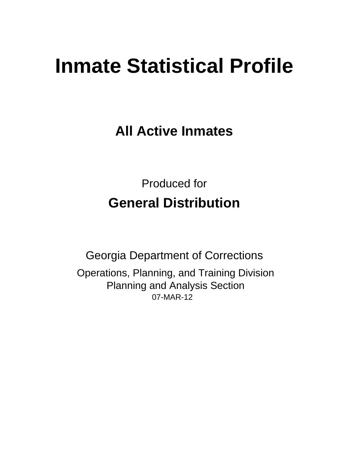# **Inmate Statistical Profile**

**All Active Inmates** 

**Produced for General Distribution** 

**Georgia Department of Corrections** Operations, Planning, and Training Division **Planning and Analysis Section** 07-MAR-12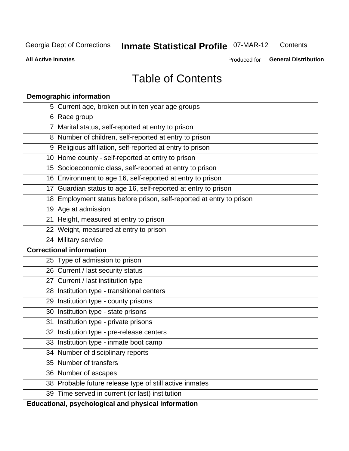#### **Inmate Statistical Profile O7-MAR-12** Contents

**All Active Inmates** 

Produced for General Distribution

# **Table of Contents**

| <b>Demographic information</b>                                       |
|----------------------------------------------------------------------|
| 5 Current age, broken out in ten year age groups                     |
| 6 Race group                                                         |
| 7 Marital status, self-reported at entry to prison                   |
| 8 Number of children, self-reported at entry to prison               |
| 9 Religious affiliation, self-reported at entry to prison            |
| 10 Home county - self-reported at entry to prison                    |
| 15 Socioeconomic class, self-reported at entry to prison             |
| 16 Environment to age 16, self-reported at entry to prison           |
| 17 Guardian status to age 16, self-reported at entry to prison       |
| 18 Employment status before prison, self-reported at entry to prison |
| 19 Age at admission                                                  |
| 21 Height, measured at entry to prison                               |
| 22 Weight, measured at entry to prison                               |
| 24 Military service                                                  |
| <b>Correctional information</b>                                      |
| 25 Type of admission to prison                                       |
| 26 Current / last security status                                    |
| 27 Current / last institution type                                   |
| 28 Institution type - transitional centers                           |
| 29 Institution type - county prisons                                 |
| 30 Institution type - state prisons                                  |
| 31 Institution type - private prisons                                |
| 32 Institution type - pre-release centers                            |
| 33 Institution type - inmate boot camp                               |
| 34 Number of disciplinary reports                                    |
| 35 Number of transfers                                               |
| 36 Number of escapes                                                 |
| 38 Probable future release type of still active inmates              |
| 39 Time served in current (or last) institution                      |
| <b>Educational, psychological and physical information</b>           |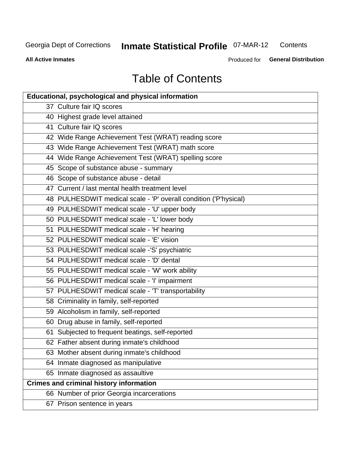#### **Inmate Statistical Profile O7-MAR-12** Contents

**All Active Inmates** 

Produced for General Distribution

# **Table of Contents**

| <b>Educational, psychological and physical information</b>       |
|------------------------------------------------------------------|
| 37 Culture fair IQ scores                                        |
| 40 Highest grade level attained                                  |
| 41 Culture fair IQ scores                                        |
| 42 Wide Range Achievement Test (WRAT) reading score              |
| 43 Wide Range Achievement Test (WRAT) math score                 |
| 44 Wide Range Achievement Test (WRAT) spelling score             |
| 45 Scope of substance abuse - summary                            |
| 46 Scope of substance abuse - detail                             |
| 47 Current / last mental health treatment level                  |
| 48 PULHESDWIT medical scale - 'P' overall condition ('P'hysical) |
| 49 PULHESDWIT medical scale - 'U' upper body                     |
| 50 PULHESDWIT medical scale - 'L' lower body                     |
| 51 PULHESDWIT medical scale - 'H' hearing                        |
| 52 PULHESDWIT medical scale - 'E' vision                         |
| 53 PULHESDWIT medical scale -'S' psychiatric                     |
| 54 PULHESDWIT medical scale - 'D' dental                         |
| 55 PULHESDWIT medical scale - 'W' work ability                   |
| 56 PULHESDWIT medical scale - 'I' impairment                     |
| 57 PULHESDWIT medical scale - 'T' transportability               |
| 58 Criminality in family, self-reported                          |
| 59 Alcoholism in family, self-reported                           |
| 60 Drug abuse in family, self-reported                           |
| 61 Subjected to frequent beatings, self-reported                 |
| 62 Father absent during inmate's childhood                       |
| 63 Mother absent during inmate's childhood                       |
| 64 Inmate diagnosed as manipulative                              |
| 65 Inmate diagnosed as assaultive                                |
| <b>Crimes and criminal history information</b>                   |
| 66 Number of prior Georgia incarcerations                        |
| 67 Prison sentence in years                                      |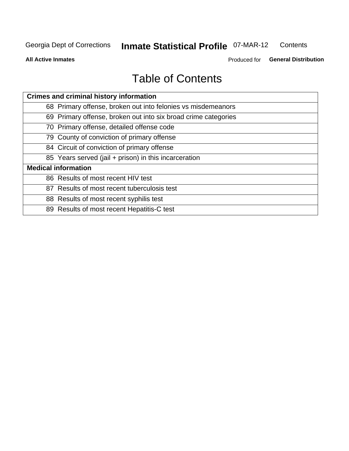#### **Inmate Statistical Profile O7-MAR-12** Contents

**All Active Inmates** 

Produced for General Distribution

# **Table of Contents**

| <b>Crimes and criminal history information</b>                 |
|----------------------------------------------------------------|
| 68 Primary offense, broken out into felonies vs misdemeanors   |
| 69 Primary offense, broken out into six broad crime categories |
| 70 Primary offense, detailed offense code                      |
| 79 County of conviction of primary offense                     |
| 84 Circuit of conviction of primary offense                    |
| 85 Years served (jail + prison) in this incarceration          |
| <b>Medical information</b>                                     |
| 86 Results of most recent HIV test                             |
| 87 Results of most recent tuberculosis test                    |
| 88 Results of most recent syphilis test                        |
| 89 Results of most recent Hepatitis-C test                     |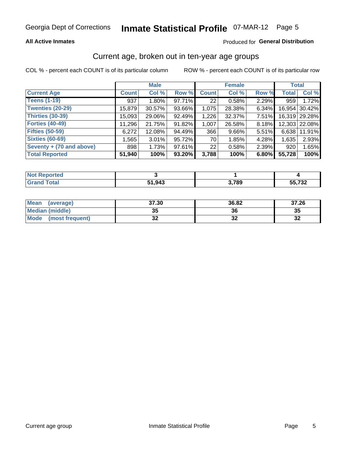#### **All Active Inmates**

#### Produced for General Distribution

### Current age, broken out in ten-year age groups

COL % - percent each COUNT is of its particular column

|                          |              | <b>Male</b> |        |                 | <b>Female</b> |          | <b>Total</b> |               |
|--------------------------|--------------|-------------|--------|-----------------|---------------|----------|--------------|---------------|
| <b>Current Age</b>       | <b>Count</b> | Col %       | Row %  | <b>Count</b>    | Col %         | Row %    | <b>Total</b> | Col %         |
| <b>Teens (1-19)</b>      | 937          | $1.80\%$    | 97.71% | 22 <sub>1</sub> | 0.58%         | 2.29%    | 959          | 1.72%         |
| <b>Twenties (20-29)</b>  | 15,879       | 30.57%      | 93.66% | 1,075           | 28.38%        | 6.34%    | 16,954       | 30.42%        |
| <b>Thirties (30-39)</b>  | 15,093       | 29.06%      | 92.49% | 1,226           | 32.37%        | $7.51\%$ |              | 16,319 29.28% |
| <b>Forties (40-49)</b>   | 11,296       | 21.75%      | 91.82% | 1,007           | 26.58%        | 8.18%    |              | 12,303 22.08% |
| <b>Fifties (50-59)</b>   | 6,272        | 12.08%      | 94.49% | 366             | 9.66%         | 5.51%    | 6,638        | 11.91%        |
| <b>Sixties (60-69)</b>   | 1,565        | $3.01\%$    | 95.72% | 70              | 1.85%         | 4.28%    | 1,635        | 2.93%         |
| Seventy + (70 and above) | 898          | 1.73%       | 97.61% | 22 <sub>1</sub> | 0.58%         | 2.39%    | 920          | 1.65%         |
| <b>Total Reported</b>    | 51,940       | 100%        | 93.20% | 3,788           | 100%          | 6.80%    | 55,728       | 100%          |

| <b>Not Reported</b> |        |       |             |
|---------------------|--------|-------|-------------|
| Total               | 51 943 | 3,789 | 700<br>ா பட |

| <b>Mean</b><br>(average) | 37.30     | 36.82 | 37.26                      |
|--------------------------|-----------|-------|----------------------------|
| Median (middle)          | -25<br>vu | 36    | 35                         |
| Mode<br>(most frequent)  | n,<br>◡▵  | ◡▵    | $\ddot{\phantom{0}}$<br>⊾ت |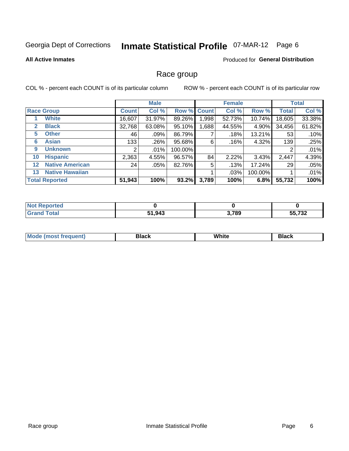# Inmate Statistical Profile 07-MAR-12 Page 6

#### **All Active Inmates**

#### **Produced for General Distribution**

### Race group

COL % - percent each COUNT is of its particular column

|                   |                        |              | <b>Male</b> |         |             | <b>Female</b> |         |              | <b>Total</b> |
|-------------------|------------------------|--------------|-------------|---------|-------------|---------------|---------|--------------|--------------|
|                   | <b>Race Group</b>      | <b>Count</b> | Col %       |         | Row % Count | Col %         | Row %   | <b>Total</b> | Col %        |
|                   | <b>White</b>           | 16,607       | 31.97%      | 89.26%  | 1,998       | 52.73%        | 10.74%  | 18,605       | 33.38%       |
| 2                 | <b>Black</b>           | 32,768       | 63.08%      | 95.10%  | ,688        | 44.55%        | 4.90%   | 34,456       | 61.82%       |
| 5                 | <b>Other</b>           | 46           | .09%        | 86.79%  |             | .18%          | 13.21%  | 53           | .10%         |
| 6                 | <b>Asian</b>           | 133          | .26%        | 95.68%  | 6           | .16%          | 4.32%   | 139          | .25%         |
| 9                 | <b>Unknown</b>         | 2            | $.01\%$     | 100.00% |             |               |         | 2            | .01%         |
| 10                | <b>Hispanic</b>        | 2,363        | 4.55%       | 96.57%  | 84          | 2.22%         | 3.43%   | 2,447        | 4.39%        |
| $12 \overline{ }$ | <b>Native American</b> | 24           | .05%        | 82.76%  | 5           | .13%          | 17.24%  | 29           | .05%         |
| 13                | <b>Native Hawaiian</b> |              |             |         |             | .03%          | 100.00% |              | .01%         |
|                   | <b>Total Reported</b>  | 51,943       | 100%        | 93.2%   | 3,789       | 100%          | 6.8%    | 55,732       | 100%         |

| <b>orted</b><br>- IN 4 |        |       |                |
|------------------------|--------|-------|----------------|
| <b>cotal</b>           | 51,943 | 3,789 | -- 700<br>ے ک' |

| Mode (<br>tenti<br>most tren | こうへん | White<br>$\sim$ $\sim$ $\sim$ | <b>Black</b> |
|------------------------------|------|-------------------------------|--------------|
|                              |      |                               |              |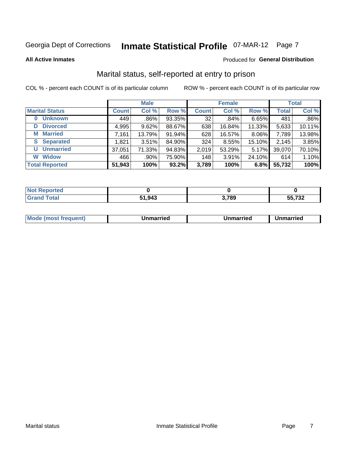# Inmate Statistical Profile 07-MAR-12 Page 7

**All Active Inmates** 

#### Produced for General Distribution

### Marital status, self-reported at entry to prison

COL % - percent each COUNT is of its particular column

|                            |              | <b>Male</b> |        |              | <b>Female</b> |        |              | <b>Total</b> |
|----------------------------|--------------|-------------|--------|--------------|---------------|--------|--------------|--------------|
| <b>Marital Status</b>      | <b>Count</b> | Col %       | Row %  | <b>Count</b> | Col %         | Row %  | <b>Total</b> | Col %        |
| <b>Unknown</b><br>$\bf{0}$ | 449          | .86%        | 93.35% | 32           | .84%          | 6.65%  | 481          | .86%         |
| <b>Divorced</b><br>D       | 4,995        | 9.62%       | 88.67% | 638          | 16.84%        | 11.33% | 5,633        | 10.11%       |
| <b>Married</b><br>М        | 7,161        | 13.79%      | 91.94% | 628          | 16.57%        | 8.06%  | 7,789        | 13.98%       |
| <b>S</b> Separated         | 1,821        | 3.51%       | 84.90% | 324          | 8.55%         | 15.10% | 2,145        | 3.85%        |
| <b>Unmarried</b><br>U      | 37,051       | 71.33%      | 94.83% | 2,019        | 53.29%        | 5.17%  | 39,070       | 70.10%       |
| <b>Widow</b><br>W          | 466          | .90%        | 75.90% | 148          | 3.91%         | 24.10% | 614          | 1.10%        |
| <b>Total Reported</b>      | 51,943       | 100%        | 93.2%  | 3,789        | 100%          | 6.8%   | 55,732       | 100%         |

| <b>Not Reported</b> |        |       |               |
|---------------------|--------|-------|---------------|
| Total<br>Grar       | 51.943 | 3,789 | ビビ ラクク<br>ے ت |

|--|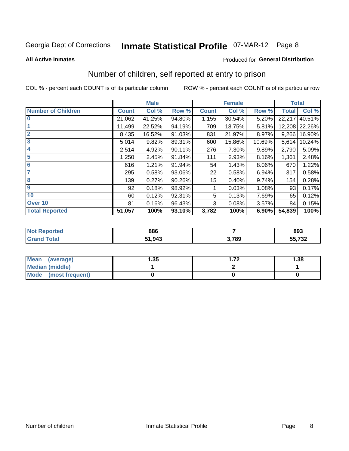# Inmate Statistical Profile 07-MAR-12 Page 8

#### **All Active Inmates**

#### **Produced for General Distribution**

### Number of children, self reported at entry to prison

COL % - percent each COUNT is of its particular column

|                           |              | <b>Male</b> |           |              | <b>Female</b> |        | <b>Total</b> |        |
|---------------------------|--------------|-------------|-----------|--------------|---------------|--------|--------------|--------|
| <b>Number of Children</b> | <b>Count</b> | Col %       | Row %     | <b>Count</b> | Col %         | Row %  | <b>Total</b> | Col %  |
| 10                        | 21,062       | 41.25%      | 94.80%    | 1,155        | 30.54%        | 5.20%  | 22,217       | 40.51% |
|                           | 11,499       | 22.52%      | 94.19%    | 709          | 18.75%        | 5.81%  | 12,208       | 22.26% |
| $\overline{2}$            | 8,435        | 16.52%      | 91.03%    | 831          | 21.97%        | 8.97%  | 9,266        | 16.90% |
| $\overline{\mathbf{3}}$   | 5,014        | 9.82%       | 89.31%    | 600          | 15.86%        | 10.69% | 5,614        | 10.24% |
| $\overline{\mathbf{4}}$   | 2,514        | 4.92%       | 90.11%    | 276          | 7.30%         | 9.89%  | 2,790        | 5.09%  |
| 5                         | 1,250        | 2.45%       | 91.84%    | 111          | 2.93%         | 8.16%  | 1,361        | 2.48%  |
| $6\phantom{1}6$           | 616          | 1.21%       | 91.94%    | 54           | 1.43%         | 8.06%  | 670          | 1.22%  |
| 7                         | 295          | 0.58%       | 93.06%    | 22           | 0.58%         | 6.94%  | 317          | 0.58%  |
| 8                         | 139          | 0.27%       | $90.26\%$ | 15           | 0.40%         | 9.74%  | 154          | 0.28%  |
| 9                         | 92           | 0.18%       | 98.92%    |              | 0.03%         | 1.08%  | 93           | 0.17%  |
| 10                        | 60           | 0.12%       | 92.31%    | 5            | 0.13%         | 7.69%  | 65           | 0.12%  |
| Over 10                   | 81           | 0.16%       | 96.43%    | 3            | 0.08%         | 3.57%  | 84           | 0.15%  |
| <b>Total Reported</b>     | 51,057       | 100%        | 93.10%    | 3,782        | 100%          | 6.90%  | 54,839       | 100%   |

| NO | 886    |       | 893              |
|----|--------|-------|------------------|
|    | 51,943 | 3,789 | rr 700<br>55,732 |

| <b>Mean</b><br>(average) | l.35 | 72 | 1.38 |
|--------------------------|------|----|------|
| Median (middle)          |      |    |      |
| Mode<br>(most frequent)  |      |    |      |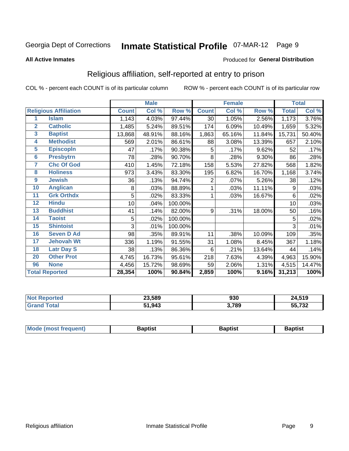# Inmate Statistical Profile 07-MAR-12 Page 9

#### **All Active Inmates**

#### Produced for General Distribution

### Religious affiliation, self-reported at entry to prison

COL % - percent each COUNT is of its particular column

|                         |                              |              | <b>Male</b> |         |              | <b>Female</b> |        | <b>Total</b> |        |
|-------------------------|------------------------------|--------------|-------------|---------|--------------|---------------|--------|--------------|--------|
|                         | <b>Religious Affiliation</b> | <b>Count</b> | Col %       | Row %   | <b>Count</b> | Col %         | Row %  | <b>Total</b> | Col %  |
| 1                       | <b>Islam</b>                 | 1,143        | 4.03%       | 97.44%  | 30           | 1.05%         | 2.56%  | 1,173        | 3.76%  |
| $\overline{2}$          | <b>Catholic</b>              | 1,485        | 5.24%       | 89.51%  | 174          | 6.09%         | 10.49% | 1,659        | 5.32%  |
| $\overline{\mathbf{3}}$ | <b>Baptist</b>               | 13,868       | 48.91%      | 88.16%  | 1,863        | 65.16%        | 11.84% | 15,731       | 50.40% |
| 4                       | <b>Methodist</b>             | 569          | 2.01%       | 86.61%  | 88           | 3.08%         | 13.39% | 657          | 2.10%  |
| $\overline{5}$          | <b>EpiscopIn</b>             | 47           | .17%        | 90.38%  | 5            | .17%          | 9.62%  | 52           | .17%   |
| $6\overline{6}$         | <b>Presbytrn</b>             | 78           | .28%        | 90.70%  | 8            | .28%          | 9.30%  | 86           | .28%   |
| 7                       | <b>Chc Of God</b>            | 410          | 1.45%       | 72.18%  | 158          | 5.53%         | 27.82% | 568          | 1.82%  |
| 8                       | <b>Holiness</b>              | 973          | 3.43%       | 83.30%  | 195          | 6.82%         | 16.70% | 1,168        | 3.74%  |
| $\boldsymbol{9}$        | <b>Jewish</b>                | 36           | .13%        | 94.74%  | 2            | .07%          | 5.26%  | 38           | .12%   |
| 10                      | <b>Anglican</b>              | 8            | .03%        | 88.89%  |              | .03%          | 11.11% | 9            | .03%   |
| 11                      | <b>Grk Orthdx</b>            | 5            | .02%        | 83.33%  | 1            | .03%          | 16.67% | 6            | .02%   |
| 12                      | <b>Hindu</b>                 | 10           | .04%        | 100.00% |              |               |        | 10           | .03%   |
| 13                      | <b>Buddhist</b>              | 41           | .14%        | 82.00%  | 9            | .31%          | 18.00% | 50           | .16%   |
| 14                      | <b>Taoist</b>                | 5            | .02%        | 100.00% |              |               |        | 5            | .02%   |
| 15                      | <b>Shintoist</b>             | 3            | .01%        | 100.00% |              |               |        | 3            | .01%   |
| 16                      | <b>Seven D Ad</b>            | 98           | .35%        | 89.91%  | 11           | .38%          | 10.09% | 109          | .35%   |
| 17                      | <b>Jehovah Wt</b>            | 336          | 1.19%       | 91.55%  | 31           | 1.08%         | 8.45%  | 367          | 1.18%  |
| 18                      | <b>Latr Day S</b>            | 38           | .13%        | 86.36%  | 6            | .21%          | 13.64% | 44           | .14%   |
| 20                      | <b>Other Prot</b>            | 4,745        | 16.73%      | 95.61%  | 218          | 7.63%         | 4.39%  | 4,963        | 15.90% |
| 96                      | <b>None</b>                  | 4,456        | 15.72%      | 98.69%  | 59           | 2.06%         | 1.31%  | 4,515        | 14.47% |
|                         | <b>Total Reported</b>        | 28,354       | 100%        | 90.84%  | 2,859        | 100%          | 9.16%  | 31,213       | 100%   |

| 23,589        | חמח<br>งงบ | 24,519        |
|---------------|------------|---------------|
| 51,943<br>E4. | 3,789      | 55,732<br>--- |

|  | Mode (most frequent) | 3aptist | 3aptist | Baptist |
|--|----------------------|---------|---------|---------|
|--|----------------------|---------|---------|---------|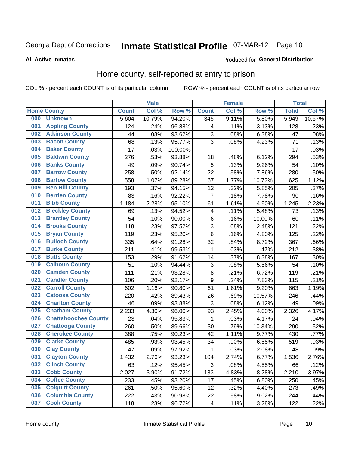# Inmate Statistical Profile 07-MAR-12 Page 10

#### **All Active Inmates**

#### **Produced for General Distribution**

### Home county, self-reported at entry to prison

COL % - percent each COUNT is of its particular column

|     |                             |              | <b>Male</b> |                  |                         | <b>Female</b> |        | <b>Total</b> |        |
|-----|-----------------------------|--------------|-------------|------------------|-------------------------|---------------|--------|--------------|--------|
|     | <b>Home County</b>          | <b>Count</b> | Col %       | Row <sup>%</sup> | <b>Count</b>            | Col %         | Row %  | <b>Total</b> | Col %  |
| 000 | <b>Unknown</b>              | 5,604        | 10.79%      | 94.20%           | 345                     | 9.11%         | 5.80%  | 5,949        | 10.67% |
| 001 | <b>Appling County</b>       | 124          | .24%        | 96.88%           | 4                       | .11%          | 3.13%  | 128          | .23%   |
| 002 | <b>Atkinson County</b>      | 44           | .08%        | 93.62%           | 3                       | .08%          | 6.38%  | 47           | .08%   |
| 003 | <b>Bacon County</b>         | 68           | .13%        | 95.77%           | 3                       | .08%          | 4.23%  | 71           | .13%   |
| 004 | <b>Baker County</b>         | 17           | .03%        | 100.00%          |                         |               |        | 17           | .03%   |
| 005 | <b>Baldwin County</b>       | 276          | .53%        | 93.88%           | 18                      | .48%          | 6.12%  | 294          | .53%   |
| 006 | <b>Banks County</b>         | 49           | .09%        | 90.74%           | 5                       | .13%          | 9.26%  | 54           | .10%   |
| 007 | <b>Barrow County</b>        | 258          | .50%        | 92.14%           | 22                      | .58%          | 7.86%  | 280          | .50%   |
| 008 | <b>Bartow County</b>        | 558          | 1.07%       | 89.28%           | 67                      | 1.77%         | 10.72% | 625          | 1.12%  |
| 009 | <b>Ben Hill County</b>      | 193          | .37%        | 94.15%           | 12                      | .32%          | 5.85%  | 205          | .37%   |
| 010 | <b>Berrien County</b>       | 83           | .16%        | 92.22%           | 7                       | .18%          | 7.78%  | 90           | .16%   |
| 011 | <b>Bibb County</b>          | 1,184        | 2.28%       | 95.10%           | 61                      | 1.61%         | 4.90%  | 1,245        | 2.23%  |
| 012 | <b>Bleckley County</b>      | 69           | .13%        | 94.52%           | 4                       | .11%          | 5.48%  | 73           | .13%   |
| 013 | <b>Brantley County</b>      | 54           | .10%        | 90.00%           | $\,6$                   | .16%          | 10.00% | 60           | .11%   |
| 014 | <b>Brooks County</b>        | 118          | .23%        | 97.52%           | $\overline{3}$          | .08%          | 2.48%  | 121          | .22%   |
| 015 | <b>Bryan County</b>         | 119          | .23%        | 95.20%           | $\,6$                   | .16%          | 4.80%  | 125          | .22%   |
| 016 | <b>Bulloch County</b>       | 335          | .64%        | 91.28%           | 32                      | .84%          | 8.72%  | 367          | .66%   |
| 017 | <b>Burke County</b>         | 211          | .41%        | 99.53%           | 1                       | .03%          | .47%   | 212          | .38%   |
| 018 | <b>Butts County</b>         | 153          | .29%        | 91.62%           | 14                      | .37%          | 8.38%  | 167          | .30%   |
| 019 | <b>Calhoun County</b>       | 51           | .10%        | 94.44%           | 3                       | .08%          | 5.56%  | 54           | .10%   |
| 020 | <b>Camden County</b>        | 111          | .21%        | 93.28%           | $\bf 8$                 | .21%          | 6.72%  | 119          | .21%   |
| 021 | <b>Candler County</b>       | 106          | .20%        | 92.17%           | $\boldsymbol{9}$        | .24%          | 7.83%  | 115          | .21%   |
| 022 | <b>Carroll County</b>       | 602          | 1.16%       | 90.80%           | 61                      | 1.61%         | 9.20%  | 663          | 1.19%  |
| 023 | <b>Catoosa County</b>       | 220          | .42%        | 89.43%           | 26                      | .69%          | 10.57% | 246          | .44%   |
| 024 | <b>Charlton County</b>      | 46           | .09%        | 93.88%           | 3                       | .08%          | 6.12%  | 49           | .09%   |
| 025 | <b>Chatham County</b>       | 2,233        | 4.30%       | 96.00%           | 93                      | 2.45%         | 4.00%  | 2,326        | 4.17%  |
| 026 | <b>Chattahoochee County</b> | 23           | .04%        | 95.83%           | 1                       | .03%          | 4.17%  | 24           | .04%   |
| 027 | <b>Chattooga County</b>     | 260          | .50%        | 89.66%           | 30                      | .79%          | 10.34% | 290          | .52%   |
| 028 | <b>Cherokee County</b>      | 388          | .75%        | 90.23%           | 42                      | 1.11%         | 9.77%  | 430          | .77%   |
| 029 | <b>Clarke County</b>        | 485          | .93%        | 93.45%           | 34                      | .90%          | 6.55%  | 519          | .93%   |
| 030 | <b>Clay County</b>          | 47           | .09%        | 97.92%           | 1                       | .03%          | 2.08%  | 48           | .09%   |
| 031 | <b>Clayton County</b>       | 1,432        | 2.76%       | 93.23%           | 104                     | 2.74%         | 6.77%  | 1,536        | 2.76%  |
| 032 | <b>Clinch County</b>        | 63           | .12%        | 95.45%           | 3                       | .08%          | 4.55%  | 66           | .12%   |
| 033 | <b>Cobb County</b>          | 2,027        | 3.90%       | 91.72%           | 183                     | 4.83%         | 8.28%  | 2,210        | 3.97%  |
| 034 | <b>Coffee County</b>        | 233          | .45%        | 93.20%           | 17                      | .45%          | 6.80%  | 250          | .45%   |
| 035 | <b>Colquitt County</b>      | 261          | .50%        | 95.60%           | 12                      | .32%          | 4.40%  | 273          | .49%   |
| 036 | <b>Columbia County</b>      | 222          | .43%        | 90.98%           | 22                      | .58%          | 9.02%  | 244          | .44%   |
| 037 | <b>Cook County</b>          | 118          | .23%        | 96.72%           | $\overline{\mathbf{4}}$ | .11%          | 3.28%  | 122          | .22%   |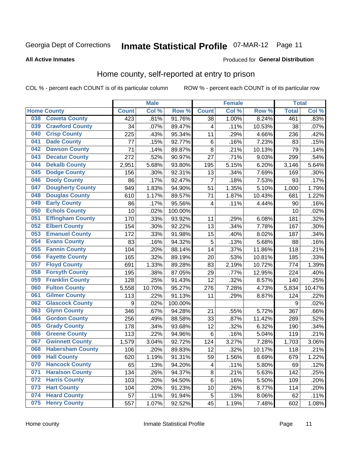# Inmate Statistical Profile 07-MAR-12 Page 11

**All Active Inmates** 

#### Produced for General Distribution

### Home county, self-reported at entry to prison

COL % - percent each COUNT is of its particular column

|     |                         |                  | <b>Male</b> |         |                 | <b>Female</b> |        | <b>Total</b> |        |
|-----|-------------------------|------------------|-------------|---------|-----------------|---------------|--------|--------------|--------|
|     | <b>Home County</b>      | <b>Count</b>     | Col %       | Row %   | <b>Count</b>    | Col %         | Row %  | <b>Total</b> | Col %  |
| 038 | <b>Coweta County</b>    | $\overline{423}$ | .81%        | 91.76%  | $\overline{38}$ | 1.00%         | 8.24%  | 461          | .83%   |
| 039 | <b>Crawford County</b>  | 34               | .07%        | 89.47%  | 4               | .11%          | 10.53% | 38           | .07%   |
| 040 | <b>Crisp County</b>     | 225              | .43%        | 95.34%  | 11              | .29%          | 4.66%  | 236          | .42%   |
| 041 | <b>Dade County</b>      | 77               | .15%        | 92.77%  | 6               | .16%          | 7.23%  | 83           | .15%   |
| 042 | <b>Dawson County</b>    | 71               | .14%        | 89.87%  | 8               | .21%          | 10.13% | 79           | .14%   |
| 043 | <b>Decatur County</b>   | 272              | .52%        | 90.97%  | 27              | .71%          | 9.03%  | 299          | .54%   |
| 044 | <b>Dekalb County</b>    | 2,951            | 5.68%       | 93.80%  | 195             | 5.15%         | 6.20%  | 3,146        | 5.64%  |
| 045 | <b>Dodge County</b>     | 156              | .30%        | 92.31%  | 13              | .34%          | 7.69%  | 169          | .30%   |
| 046 | <b>Dooly County</b>     | 86               | .17%        | 92.47%  | 7               | .18%          | 7.53%  | 93           | .17%   |
| 047 | <b>Dougherty County</b> | 949              | 1.83%       | 94.90%  | 51              | 1.35%         | 5.10%  | 1,000        | 1.79%  |
| 048 | <b>Douglas County</b>   | 610              | 1.17%       | 89.57%  | 71              | 1.87%         | 10.43% | 681          | 1.22%  |
| 049 | <b>Early County</b>     | 86               | .17%        | 95.56%  | 4               | .11%          | 4.44%  | 90           | .16%   |
| 050 | <b>Echols County</b>    | 10               | .02%        | 100.00% |                 |               |        | 10           | .02%   |
| 051 | <b>Effingham County</b> | 170              | .33%        | 93.92%  | 11              | .29%          | 6.08%  | 181          | .32%   |
| 052 | <b>Elbert County</b>    | 154              | .30%        | 92.22%  | 13              | .34%          | 7.78%  | 167          | .30%   |
| 053 | <b>Emanuel County</b>   | 172              | .33%        | 91.98%  | 15              | .40%          | 8.02%  | 187          | .34%   |
| 054 | <b>Evans County</b>     | 83               | .16%        | 94.32%  | 5               | .13%          | 5.68%  | 88           | .16%   |
| 055 | <b>Fannin County</b>    | 104              | .20%        | 88.14%  | 14              | .37%          | 11.86% | 118          | .21%   |
| 056 | <b>Fayette County</b>   | 165              | .32%        | 89.19%  | 20              | .53%          | 10.81% | 185          | .33%   |
| 057 | <b>Floyd County</b>     | 691              | 1.33%       | 89.28%  | 83              | 2.19%         | 10.72% | 774          | 1.39%  |
| 058 | <b>Forsyth County</b>   | 195              | .38%        | 87.05%  | 29              | .77%          | 12.95% | 224          | .40%   |
| 059 | <b>Franklin County</b>  | 128              | .25%        | 91.43%  | 12              | .32%          | 8.57%  | 140          | .25%   |
| 060 | <b>Fulton County</b>    | 5,558            | 10.70%      | 95.27%  | 276             | 7.28%         | 4.73%  | 5,834        | 10.47% |
| 061 | <b>Gilmer County</b>    | 113              | .22%        | 91.13%  | 11              | .29%          | 8.87%  | 124          | .22%   |
| 062 | <b>Glascock County</b>  | 9                | .02%        | 100.00% |                 |               |        | 9            | .02%   |
| 063 | <b>Glynn County</b>     | 346              | .67%        | 94.28%  | 21              | .55%          | 5.72%  | 367          | .66%   |
| 064 | <b>Gordon County</b>    | 256              | .49%        | 88.58%  | 33              | .87%          | 11.42% | 289          | .52%   |
| 065 | <b>Grady County</b>     | 178              | .34%        | 93.68%  | 12              | .32%          | 6.32%  | 190          | .34%   |
| 066 | <b>Greene County</b>    | 113              | .22%        | 94.96%  | 6               | .16%          | 5.04%  | 119          | .21%   |
| 067 | <b>Gwinnett County</b>  | 1,579            | 3.04%       | 92.72%  | 124             | 3.27%         | 7.28%  | 1,703        | 3.06%  |
| 068 | <b>Habersham County</b> | 106              | .20%        | 89.83%  | 12              | .32%          | 10.17% | 118          | .21%   |
| 069 | <b>Hall County</b>      | 620              | 1.19%       | 91.31%  | 59              | 1.56%         | 8.69%  | 679          | 1.22%  |
| 070 | <b>Hancock County</b>   | 65               | .13%        | 94.20%  | 4               | .11%          | 5.80%  | 69           | .12%   |
| 071 | <b>Haralson County</b>  | 134              | .26%        | 94.37%  | 8               | .21%          | 5.63%  | 142          | .25%   |
| 072 | <b>Harris County</b>    | 103              | .20%        | 94.50%  | 6               | .16%          | 5.50%  | 109          | .20%   |
| 073 | <b>Hart County</b>      | 104              | .20%        | 91.23%  | 10              | .26%          | 8.77%  | 114          | .20%   |
| 074 | <b>Heard County</b>     | 57               | .11%        | 91.94%  | 5               | .13%          | 8.06%  | 62           | .11%   |
| 075 | <b>Henry County</b>     | 557              | 1.07%       | 92.52%  | 45              | 1.19%         | 7.48%  | 602          | 1.08%  |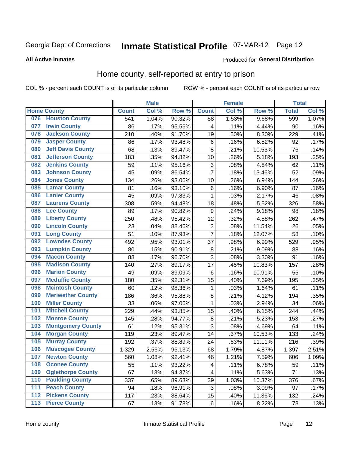# Inmate Statistical Profile 07-MAR-12 Page 12

#### **All Active Inmates**

#### Produced for General Distribution

### Home county, self-reported at entry to prison

COL % - percent each COUNT is of its particular column

|                  |                          |              | <b>Male</b> |                  |                         | <b>Female</b> |        | <b>Total</b> |       |
|------------------|--------------------------|--------------|-------------|------------------|-------------------------|---------------|--------|--------------|-------|
|                  | <b>Home County</b>       | <b>Count</b> | Col %       | Row <sup>%</sup> | <b>Count</b>            | Col %         | Row %  | <b>Total</b> | Col % |
| 076              | <b>Houston County</b>    | 541          | 1.04%       | 90.32%           | 58                      | 1.53%         | 9.68%  | 599          | 1.07% |
| 077              | <b>Irwin County</b>      | 86           | .17%        | 95.56%           | 4                       | .11%          | 4.44%  | 90           | .16%  |
| 078              | <b>Jackson County</b>    | 210          | .40%        | 91.70%           | 19                      | .50%          | 8.30%  | 229          | .41%  |
| 079              | <b>Jasper County</b>     | 86           | .17%        | 93.48%           | 6                       | .16%          | 6.52%  | 92           | .17%  |
| 080              | <b>Jeff Davis County</b> | 68           | .13%        | 89.47%           | 8                       | .21%          | 10.53% | 76           | .14%  |
| 081              | <b>Jefferson County</b>  | 183          | .35%        | 94.82%           | 10                      | .26%          | 5.18%  | 193          | .35%  |
| 082              | <b>Jenkins County</b>    | 59           | .11%        | 95.16%           | 3                       | .08%          | 4.84%  | 62           | .11%  |
| 083              | <b>Johnson County</b>    | 45           | .09%        | 86.54%           | $\overline{7}$          | .18%          | 13.46% | 52           | .09%  |
| 084              | <b>Jones County</b>      | 134          | .26%        | 93.06%           | 10                      | .26%          | 6.94%  | 144          | .26%  |
| 085              | <b>Lamar County</b>      | 81           | .16%        | 93.10%           | $\,6$                   | .16%          | 6.90%  | 87           | .16%  |
| 086              | <b>Lanier County</b>     | 45           | .09%        | 97.83%           | 1                       | .03%          | 2.17%  | 46           | .08%  |
| 087              | <b>Laurens County</b>    | 308          | .59%        | 94.48%           | 18                      | .48%          | 5.52%  | 326          | .58%  |
| 088              | <b>Lee County</b>        | 89           | .17%        | 90.82%           | 9                       | .24%          | 9.18%  | 98           | .18%  |
| 089              | <b>Liberty County</b>    | 250          | .48%        | 95.42%           | 12                      | .32%          | 4.58%  | 262          | .47%  |
| 090              | <b>Lincoln County</b>    | 23           | .04%        | 88.46%           | 3                       | .08%          | 11.54% | 26           | .05%  |
| 091              | <b>Long County</b>       | 51           | .10%        | 87.93%           | $\overline{7}$          | .18%          | 12.07% | 58           | .10%  |
| 092              | <b>Lowndes County</b>    | 492          | .95%        | 93.01%           | 37                      | .98%          | 6.99%  | 529          | .95%  |
| 093              | <b>Lumpkin County</b>    | 80           | .15%        | 90.91%           | $\bf 8$                 | .21%          | 9.09%  | 88           | .16%  |
| 094              | <b>Macon County</b>      | 88           | .17%        | 96.70%           | 3                       | .08%          | 3.30%  | 91           | .16%  |
| 095              | <b>Madison County</b>    | 140          | .27%        | 89.17%           | 17                      | .45%          | 10.83% | 157          | .28%  |
| 096              | <b>Marion County</b>     | 49           | .09%        | 89.09%           | 6                       | .16%          | 10.91% | 55           | .10%  |
| 097              | <b>Mcduffie County</b>   | 180          | .35%        | 92.31%           | 15                      | .40%          | 7.69%  | 195          | .35%  |
| 098              | <b>Mcintosh County</b>   | 60           | .12%        | 98.36%           | 1                       | .03%          | 1.64%  | 61           | .11%  |
| 099              | <b>Meriwether County</b> | 186          | .36%        | 95.88%           | 8                       | .21%          | 4.12%  | 194          | .35%  |
| 100              | <b>Miller County</b>     | 33           | .06%        | 97.06%           | 1                       | .03%          | 2.94%  | 34           | .06%  |
| 101              | <b>Mitchell County</b>   | 229          | .44%        | 93.85%           | 15                      | .40%          | 6.15%  | 244          | .44%  |
| 102              | <b>Monroe County</b>     | 145          | .28%        | 94.77%           | $\bf 8$                 | .21%          | 5.23%  | 153          | .27%  |
| 103              | <b>Montgomery County</b> | 61           | .12%        | 95.31%           | 3                       | .08%          | 4.69%  | 64           | .11%  |
| 104              | <b>Morgan County</b>     | 119          | .23%        | 89.47%           | 14                      | .37%          | 10.53% | 133          | .24%  |
| 105              | <b>Murray County</b>     | 192          | .37%        | 88.89%           | 24                      | .63%          | 11.11% | 216          | .39%  |
| 106              | <b>Muscogee County</b>   | 1,329        | 2.56%       | 95.13%           | 68                      | 1.79%         | 4.87%  | 1,397        | 2.51% |
| 107              | <b>Newton County</b>     | 560          | 1.08%       | 92.41%           | 46                      | 1.21%         | 7.59%  | 606          | 1.09% |
| 108              | <b>Oconee County</b>     | 55           | .11%        | 93.22%           | $\overline{\mathbf{4}}$ | .11%          | 6.78%  | 59           | .11%  |
| 109              | <b>Oglethorpe County</b> | 67           | .13%        | 94.37%           | 4                       | .11%          | 5.63%  | 71           | .13%  |
| 110              | <b>Paulding County</b>   | 337          | .65%        | 89.63%           | 39                      | 1.03%         | 10.37% | 376          | .67%  |
| 111              | <b>Peach County</b>      | 94           | .18%        | 96.91%           | 3                       | .08%          | 3.09%  | 97           | .17%  |
| $\overline{112}$ | <b>Pickens County</b>    | 117          | .23%        | 88.64%           | 15                      | .40%          | 11.36% | 132          | .24%  |
| 113              | <b>Pierce County</b>     | 67           | .13%        | 91.78%           | $\,6$                   | .16%          | 8.22%  | 73           | .13%  |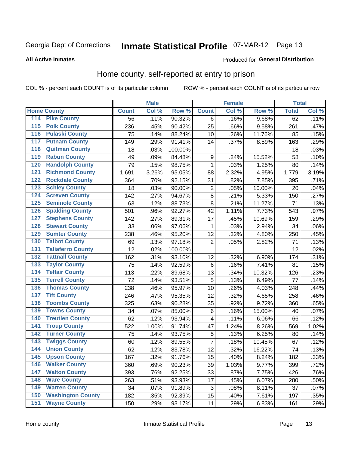# Inmate Statistical Profile 07-MAR-12 Page 13

**All Active Inmates** 

#### Produced for General Distribution

### Home county, self-reported at entry to prison

COL % - percent each COUNT is of its particular column

|     |                          |              | <b>Male</b> |                  |                  | <b>Female</b> |        | <b>Total</b> |       |
|-----|--------------------------|--------------|-------------|------------------|------------------|---------------|--------|--------------|-------|
|     | <b>Home County</b>       | <b>Count</b> | Col %       | Row <sup>%</sup> | <b>Count</b>     | Col %         | Row %  | <b>Total</b> | Col % |
| 114 | <b>Pike County</b>       | 56           | .11%        | 90.32%           | 6                | .16%          | 9.68%  | 62           | .11%  |
| 115 | <b>Polk County</b>       | 236          | .45%        | 90.42%           | 25               | .66%          | 9.58%  | 261          | .47%  |
| 116 | <b>Pulaski County</b>    | 75           | .14%        | 88.24%           | 10               | .26%          | 11.76% | 85           | .15%  |
| 117 | <b>Putnam County</b>     | 149          | .29%        | 91.41%           | 14               | .37%          | 8.59%  | 163          | .29%  |
| 118 | <b>Quitman County</b>    | 18           | .03%        | 100.00%          |                  |               |        | 18           | .03%  |
| 119 | <b>Rabun County</b>      | 49           | .09%        | 84.48%           | $\boldsymbol{9}$ | .24%          | 15.52% | 58           | .10%  |
| 120 | <b>Randolph County</b>   | 79           | .15%        | 98.75%           | 1                | .03%          | 1.25%  | 80           | .14%  |
| 121 | <b>Richmond County</b>   | 1,691        | 3.26%       | 95.05%           | 88               | 2.32%         | 4.95%  | 1,779        | 3.19% |
| 122 | <b>Rockdale County</b>   | 364          | .70%        | 92.15%           | 31               | .82%          | 7.85%  | 395          | .71%  |
| 123 | <b>Schley County</b>     | 18           | .03%        | 90.00%           | $\overline{2}$   | .05%          | 10.00% | 20           | .04%  |
| 124 | <b>Screven County</b>    | 142          | .27%        | 94.67%           | $\bf 8$          | .21%          | 5.33%  | 150          | .27%  |
| 125 | <b>Seminole County</b>   | 63           | .12%        | 88.73%           | 8                | .21%          | 11.27% | 71           | .13%  |
| 126 | <b>Spalding County</b>   | 501          | .96%        | 92.27%           | 42               | 1.11%         | 7.73%  | 543          | .97%  |
| 127 | <b>Stephens County</b>   | 142          | .27%        | 89.31%           | 17               | .45%          | 10.69% | 159          | .29%  |
| 128 | <b>Stewart County</b>    | 33           | .06%        | 97.06%           | $\mathbf 1$      | .03%          | 2.94%  | 34           | .06%  |
| 129 | <b>Sumter County</b>     | 238          | .46%        | 95.20%           | 12               | .32%          | 4.80%  | 250          | .45%  |
| 130 | <b>Talbot County</b>     | 69           | .13%        | 97.18%           | $\overline{2}$   | .05%          | 2.82%  | 71           | .13%  |
| 131 | <b>Taliaferro County</b> | 12           | .02%        | 100.00%          |                  |               |        | 12           | .02%  |
| 132 | <b>Tattnall County</b>   | 162          | .31%        | 93.10%           | 12               | .32%          | 6.90%  | 174          | .31%  |
| 133 | <b>Taylor County</b>     | 75           | .14%        | 92.59%           | 6                | .16%          | 7.41%  | 81           | .15%  |
| 134 | <b>Telfair County</b>    | 113          | .22%        | 89.68%           | 13               | .34%          | 10.32% | 126          | .23%  |
| 135 | <b>Terrell County</b>    | 72           | .14%        | 93.51%           | 5                | .13%          | 6.49%  | 77           | .14%  |
| 136 | <b>Thomas County</b>     | 238          | .46%        | 95.97%           | 10               | .26%          | 4.03%  | 248          | .44%  |
| 137 | <b>Tift County</b>       | 246          | .47%        | 95.35%           | 12               | .32%          | 4.65%  | 258          | .46%  |
| 138 | <b>Toombs County</b>     | 325          | .63%        | 90.28%           | 35               | .92%          | 9.72%  | 360          | .65%  |
| 139 | <b>Towns County</b>      | 34           | .07%        | 85.00%           | $\,6$            | .16%          | 15.00% | 40           | .07%  |
| 140 | <b>Treutlen County</b>   | 62           | .12%        | 93.94%           | 4                | .11%          | 6.06%  | 66           | .12%  |
| 141 | <b>Troup County</b>      | 522          | 1.00%       | 91.74%           | 47               | 1.24%         | 8.26%  | 569          | 1.02% |
| 142 | <b>Turner County</b>     | 75           | .14%        | 93.75%           | 5                | .13%          | 6.25%  | 80           | .14%  |
| 143 | <b>Twiggs County</b>     | 60           | .12%        | 89.55%           | $\overline{7}$   | .18%          | 10.45% | 67           | .12%  |
| 144 | <b>Union County</b>      | 62           | .12%        | 83.78%           | 12               | .32%          | 16.22% | 74           | .13%  |
| 145 | <b>Upson County</b>      | 167          | .32%        | 91.76%           | 15               | .40%          | 8.24%  | 182          | .33%  |
| 146 | <b>Walker County</b>     | 360          | .69%        | 90.23%           | 39               | 1.03%         | 9.77%  | 399          | .72%  |
| 147 | <b>Walton County</b>     | 393          | .76%        | 92.25%           | 33               | .87%          | 7.75%  | 426          | .76%  |
| 148 | <b>Ware County</b>       | 263          | .51%        | 93.93%           | 17               | .45%          | 6.07%  | 280          | .50%  |
| 149 | <b>Warren County</b>     | 34           | .07%        | 91.89%           | 3                | .08%          | 8.11%  | 37           | .07%  |
| 150 | <b>Washington County</b> | 182          | .35%        | 92.39%           | 15               | .40%          | 7.61%  | 197          | .35%  |
| 151 | <b>Wayne County</b>      | 150          | .29%        | 93.17%           | 11               | .29%          | 6.83%  | 161          | .29%  |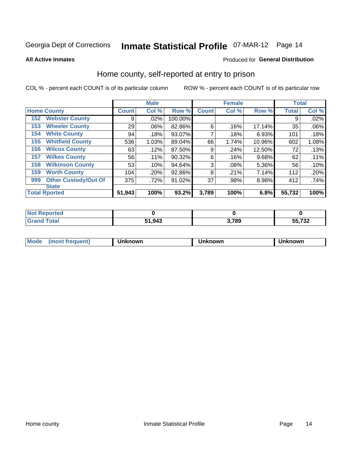# Inmate Statistical Profile 07-MAR-12 Page 14

**All Active Inmates** 

#### Produced for General Distribution

### Home county, self-reported at entry to prison

COL % - percent each COUNT is of its particular column

|                                    |              | <b>Male</b> |         |              | <b>Female</b> |        | <b>Total</b> |       |
|------------------------------------|--------------|-------------|---------|--------------|---------------|--------|--------------|-------|
| <b>Home County</b>                 | <b>Count</b> | Col %       | Row %   | <b>Count</b> | Col %         | Row %  | <b>Total</b> | Col % |
| <b>Webster County</b><br>152       | 9            | .02%        | 100.00% |              |               |        | 9            | .02%  |
| <b>Wheeler County</b><br>153       | 29           | $.06\%$     | 82.86%  | 6            | .16%          | 17.14% | 35           | .06%  |
| <b>White County</b><br>154         | 94           | .18%        | 93.07%  | 7            | .18%          | 6.93%  | 101          | .18%  |
| <b>Whitfield County</b><br>155     | 536          | 1.03%       | 89.04%  | 66           | 1.74%         | 10.96% | 602          | 1.08% |
| <b>Wilcox County</b><br>156        | 63           | .12%        | 87.50%  | 9            | .24%          | 12.50% | 72           | .13%  |
| <b>Wilkes County</b><br>157        | 56           | $.11\%$     | 90.32%  | 6            | .16%          | 9.68%  | 62           | .11%  |
| <b>Wilkinson County</b><br>158     | 53           | .10%        | 94.64%  | 3            | .08%          | 5.36%  | 56           | .10%  |
| <b>Worth County</b><br>159         | 104          | .20%        | 92.86%  | 8            | .21%          | 7.14%  | 112          | .20%  |
| <b>Other Custody/Out Of</b><br>999 | 375          | .72%        | 91.02%  | 37           | .98%          | 8.98%  | 412          | .74%  |
| <b>State</b>                       |              |             |         |              |               |        |              |       |
| <b>Total Rported</b>               | 51,943       | 100%        | 93.2%   | 3,789        | 100%          | 6.8%   | 55,732       | 100%  |

| Reported<br>NO1 |        |       |                 |
|-----------------|--------|-------|-----------------|
| `otal           | 51,943 | 3,789 | EE 700<br>1 J L |

| Mode<br><b>Tequent)</b><br>ns | nown | mown | เทown |
|-------------------------------|------|------|-------|
|                               |      |      |       |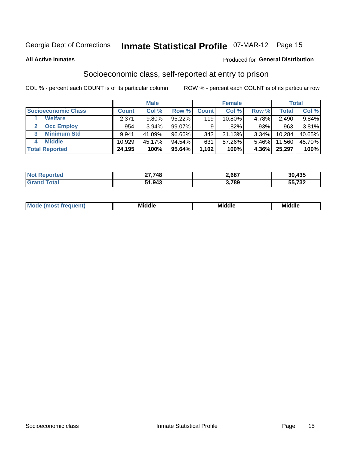# Inmate Statistical Profile 07-MAR-12 Page 15

#### **All Active Inmates**

#### Produced for General Distribution

### Socioeconomic class, self-reported at entry to prison

COL % - percent each COUNT is of its particular column

|                            |              | <b>Male</b> |        |              | <b>Female</b> |          |              | <b>Total</b> |
|----------------------------|--------------|-------------|--------|--------------|---------------|----------|--------------|--------------|
| <b>Socioeconomic Class</b> | <b>Count</b> | Col %       | Row %  | <b>Count</b> | Col %         | Row %    | <b>Total</b> | Col %        |
| <b>Welfare</b>             | 2,371        | 9.80%       | 95.22% | 119          | 10.80%        | 4.78%    | 2,490        | 9.84%        |
| <b>Occ Employ</b>          | 954          | 3.94%       | 99.07% | 9            | .82%          | .93%     | 963          | 3.81%        |
| <b>Minimum Std</b><br>3    | 9.941        | 41.09%      | 96.66% | 343          | 31.13%        | $3.34\%$ | 10,284       | 40.65%       |
| <b>Middle</b><br>4         | 10,929       | 45.17%      | 94.54% | 631          | 57.26%        | 5.46%    | 11,560       | 45.70%       |
| <b>Total Reported</b>      | 24,195       | 100%        | 95.64% | 1,102        | 100%          | 4.36%    | 25,297       | 100%         |

| Not F<br>orted | 27,748 | 2,687 | 30,435         |
|----------------|--------|-------|----------------|
|                | 51,943 | 789   | 700<br>גט ו.ככ |

| ____<br>____ |
|--------------|
|--------------|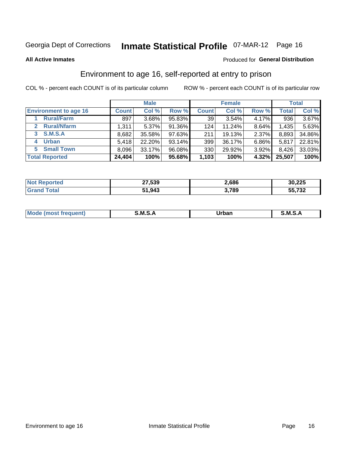# Inmate Statistical Profile 07-MAR-12 Page 16

**All Active Inmates** 

#### Produced for General Distribution

### Environment to age 16, self-reported at entry to prison

COL % - percent each COUNT is of its particular column

|                                    |              | <b>Male</b> |           |              | <b>Female</b> |          |              | <b>Total</b> |
|------------------------------------|--------------|-------------|-----------|--------------|---------------|----------|--------------|--------------|
| <b>Environment to age 16</b>       | <b>Count</b> | Col %       | Row %     | <b>Count</b> | Col %         | Row %    | <b>Total</b> | Col %        |
| <b>Rural/Farm</b>                  | 897          | 3.68%       | 95.83%    | 39           | 3.54%         | $4.17\%$ | 936          | $3.67\%$     |
| <b>Rural/Nfarm</b><br>$\mathbf{2}$ | 1,311        | 5.37%       | 91.36%    | 124          | $11.24\%$     | 8.64%    | 1,435        | 5.63%        |
| <b>S.M.S.A</b><br>$\mathbf{3}$     | 8,682        | 35.58%      | 97.63%    | 211          | 19.13%        | 2.37%    | 8,893        | 34.86%       |
| <b>Urban</b><br>4                  | 5,418        | 22.20%      | $93.14\%$ | 399          | 36.17%        | $6.86\%$ | 5,817        | 22.81%       |
| <b>Small Town</b><br>5.            | 8,096        | 33.17%      | 96.08%    | 330          | 29.92%        | 3.92%    | 8,426        | 33.03%       |
| <b>Total Reported</b>              | 24,404       | 100%        | $95.68\%$ | 1,103        | 100%          | 4.32%    | 25,507       | 100%         |

| <b>Not Reported</b> | 27,539 | 2,686 | 30,225           |
|---------------------|--------|-------|------------------|
| Total               | 51,943 | 3,789 | ヒヒ ラヘヘ<br>ວວ.73∠ |

| Mo | M | Irhan<br>rva<br>______ | M<br>______ |
|----|---|------------------------|-------------|
|    |   |                        |             |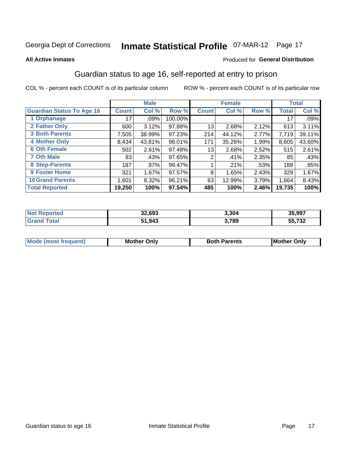# Inmate Statistical Profile 07-MAR-12 Page 17

#### **All Active Inmates**

#### Produced for General Distribution

### Guardian status to age 16, self-reported at entry to prison

COL % - percent each COUNT is of its particular column

|                                  |                 | <b>Male</b> |         |              | <b>Female</b> |       |              | <b>Total</b> |
|----------------------------------|-----------------|-------------|---------|--------------|---------------|-------|--------------|--------------|
| <b>Guardian Status To Age 16</b> | <b>Count</b>    | Col %       | Row %   | <b>Count</b> | Col %         | Row % | <b>Total</b> | Col %        |
| 1 Orphanage                      | 17 <sup>1</sup> | $.09\%$     | 100.00% |              |               |       | 17           | .09%         |
| 2 Father Only                    | 600             | 3.12%       | 97.88%  | 13           | 2.68%         | 2.12% | 613          | 3.11%        |
| <b>3 Both Parents</b>            | 7,505           | 38.99%      | 97.23%  | 214          | 44.12%        | 2.77% | 7,719        | 39.11%       |
| <b>4 Mother Only</b>             | 8,434           | 43.81%      | 98.01%  | 171          | 35.26%        | 1.99% | 8,605        | 43.60%       |
| <b>6 Oth Female</b>              | 502             | 2.61%       | 97.48%  | 13           | 2.68%         | 2.52% | 515          | 2.61%        |
| <b>7 Oth Male</b>                | 83              | .43%        | 97.65%  | 2            | .41%          | 2.35% | 85           | .43%         |
| 8 Step-Parents                   | 187             | .97%        | 99.47%  |              | .21%          | .53%  | 188          | .95%         |
| 9 Foster Home                    | 321             | 1.67%       | 97.57%  | 8            | 1.65%         | 2.43% | 329          | 1.67%        |
| <b>10 Grand Parents</b>          | 1,601           | 8.32%       | 96.21%  | 63           | 12.99%        | 3.79% | 1,664        | 8.43%        |
| <b>Total Reported</b>            | 19,250          | 100%        | 97.54%  | 485          | 100%          | 2.46% | 19,735       | 100%         |

| ттес<br>NO | 32.693 | 3,304 | 35,997       |
|------------|--------|-------|--------------|
|            | 51,943 | 3,789 | 55,732<br>55 |

| Mode | วทIv<br>Mot | <b>Both Parents</b><br>Parents | lM.<br>Only<br>. |
|------|-------------|--------------------------------|------------------|
|      |             |                                |                  |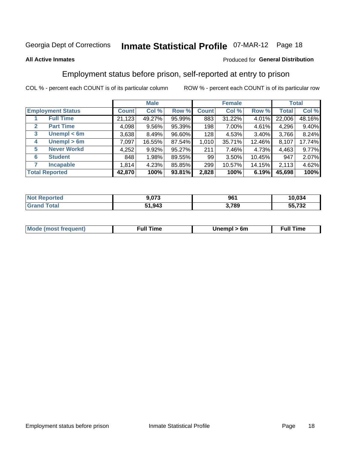# Inmate Statistical Profile 07-MAR-12 Page 18

#### **All Active Inmates**

#### Produced for General Distribution

### Employment status before prison, self-reported at entry to prison

COL % - percent each COUNT is of its particular column

|                                  |              | <b>Male</b> |        |              | <b>Female</b> |          |              | <b>Total</b> |
|----------------------------------|--------------|-------------|--------|--------------|---------------|----------|--------------|--------------|
| <b>Employment Status</b>         | <b>Count</b> | Col %       | Row %  | <b>Count</b> | Col %         | Row %    | <b>Total</b> | Col %        |
| <b>Full Time</b>                 | 21,123       | 49.27%      | 95.99% | 883          | 31.22%        | 4.01%    | 22,006       | 48.16%       |
| <b>Part Time</b><br>$\mathbf{2}$ | 4,098        | 9.56%       | 95.39% | 198          | 7.00%         | $4.61\%$ | 4,296        | 9.40%        |
| Unempl $<$ 6m<br>3               | 3,638        | 8.49%       | 96.60% | 128          | 4.53%         | 3.40%    | 3,766        | 8.24%        |
| Unempl > 6m<br>4                 | 7,097        | 16.55%      | 87.54% | 1,010        | 35.71%        | 12.46%   | 8,107        | 17.74%       |
| <b>Never Workd</b><br>5          | 4,252        | 9.92%       | 95.27% | 211          | 7.46%         | 4.73%    | 4,463        | 9.77%        |
| <b>Student</b><br>6              | 848          | 1.98%       | 89.55% | 99           | 3.50%         | 10.45%   | 947          | 2.07%        |
| <b>Incapable</b>                 | 1,814        | 4.23%       | 85.85% | 299          | 10.57%        | 14.15%   | 2,113        | 4.62%        |
| <b>Total Reported</b>            | 42,870       | 100%        | 93.81% | 2,828        | 100%          | 6.19%    | 45,698       | 100%         |

| <b>orted</b><br><b>NOT</b> | 9,073  | 961          | 10.034 |
|----------------------------|--------|--------------|--------|
| $\sim$ 10 $\sim$<br>Grs    | 51,943 | 3,789<br>J.I | 55,732 |

| <b>Mode (most frequent)</b> | full "<br>the contract of the contract of the contract of the contract of the contract of the contract of the contract of | 6m | ïme<br>้นเ<br>the contract of the contract of the contract of the contract of the contract of the contract of the contract of |
|-----------------------------|---------------------------------------------------------------------------------------------------------------------------|----|-------------------------------------------------------------------------------------------------------------------------------|
|                             |                                                                                                                           |    |                                                                                                                               |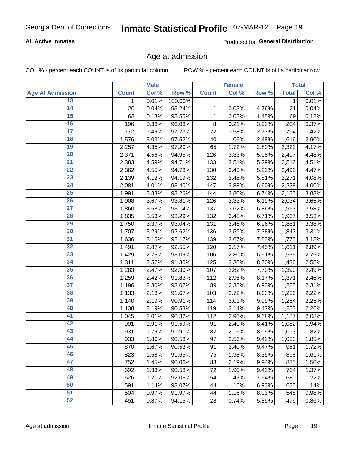#### **All Active Inmates**

Produced for General Distribution

### Age at admission

COL % - percent each COUNT is of its particular column

|                         |              | <b>Male</b> |         |              | <b>Female</b> |       |              | <b>Total</b> |
|-------------------------|--------------|-------------|---------|--------------|---------------|-------|--------------|--------------|
| <b>Age At Admission</b> | <b>Count</b> | Col %       | Row %   | <b>Count</b> | Col %         | Row % | <b>Total</b> | Col %        |
| 13                      | 1            | 0.01%       | 100.00% |              |               |       | 1            | 0.01%        |
| $\overline{14}$         | 20           | 0.04%       | 95.24%  | 1            | 0.03%         | 4.76% | 21           | 0.04%        |
| 15                      | 68           | 0.13%       | 98.55%  | 1            | 0.03%         | 1.45% | 69           | 0.12%        |
| 16                      | 196          | 0.38%       | 96.08%  | 8            | 0.21%         | 3.92% | 204          | 0.37%        |
| $\overline{17}$         | 772          | 1.49%       | 97.23%  | 22           | 0.58%         | 2.77% | 794          | 1.42%        |
| 18                      | 1,576        | 3.03%       | 97.52%  | 40           | 1.06%         | 2.48% | 1,616        | 2.90%        |
| 19                      | 2,257        | 4.35%       | 97.20%  | 65           | 1.72%         | 2.80% | 2,322        | 4.17%        |
| 20                      | 2,371        | 4.56%       | 94.95%  | 126          | 3.33%         | 5.05% | 2,497        | 4.48%        |
| $\overline{21}$         | 2,383        | 4.59%       | 94.71%  | 133          | 3.51%         | 5.29% | 2,516        | 4.51%        |
| $\overline{22}$         | 2,362        | 4.55%       | 94.78%  | 130          | 3.43%         | 5.22% | 2,492        | 4.47%        |
| 23                      | 2,139        | 4.12%       | 94.19%  | 132          | 3.48%         | 5.81% | 2,271        | 4.08%        |
| $\overline{24}$         | 2,081        | 4.01%       | 93.40%  | 147          | 3.88%         | 6.60% | 2,228        | 4.00%        |
| $\overline{25}$         | 1,991        | 3.83%       | 93.26%  | 144          | 3.80%         | 6.74% | 2,135        | 3.83%        |
| 26                      | 1,908        | 3.67%       | 93.81%  | 126          | 3.33%         | 6.19% | 2,034        | 3.65%        |
| 27                      | 1,860        | 3.58%       | 93.14%  | 137          | 3.62%         | 6.86% | 1,997        | 3.58%        |
| 28                      | 1,835        | 3.53%       | 93.29%  | 132          | 3.48%         | 6.71% | 1,967        | 3.53%        |
| 29                      | 1,750        | 3.37%       | 93.04%  | 131          | 3.46%         | 6.96% | 1,881        | 3.38%        |
| 30                      | 1,707        | 3.29%       | 92.62%  | 136          | 3.59%         | 7.38% | 1,843        | 3.31%        |
| 31                      | 1,636        | 3.15%       | 92.17%  | 139          | 3.67%         | 7.83% | 1,775        | 3.18%        |
| 32                      | 1,491        | 2.87%       | 92.55%  | 120          | 3.17%         | 7.45% | 1,611        | 2.89%        |
| 33                      | 1,429        | 2.75%       | 93.09%  | 106          | 2.80%         | 6.91% | 1,535        | 2.75%        |
| 34                      | 1,311        | 2.52%       | 91.30%  | 125          | 3.30%         | 8.70% | 1,436        | 2.58%        |
| 35                      | 1,283        | 2.47%       | 92.30%  | 107          | 2.82%         | 7.70% | 1,390        | 2.49%        |
| 36                      | 1,259        | 2.42%       | 91.83%  | 112          | 2.96%         | 8.17% | 1,371        | 2.46%        |
| $\overline{37}$         | 1,196        | 2.30%       | 93.07%  | 89           | 2.35%         | 6.93% | 1,285        | 2.31%        |
| 38                      | 1,133        | 2.18%       | 91.67%  | 103          | 2.72%         | 8.33% | 1,236        | 2.22%        |
| 39                      | 1,140        | 2.19%       | 90.91%  | 114          | 3.01%         | 9.09% | 1,254        | 2.25%        |
| 40                      | 1,138        | 2.19%       | 90.53%  | 119          | 3.14%         | 9.47% | 1,257        | 2.26%        |
| 41                      | 1,045        | 2.01%       | 90.32%  | 112          | 2.96%         | 9.68% | 1,157        | 2.08%        |
| 42                      | 991          | 1.91%       | 91.59%  | 91           | 2.40%         | 8.41% | 1,082        | 1.94%        |
| 43                      | 931          | 1.79%       | 91.91%  | 82           | 2.16%         | 8.09% | 1,013        | 1.82%        |
| 44                      | 933          | 1.80%       | 90.58%  | 97           | 2.56%         | 9.42% | 1,030        | 1.85%        |
| 45                      | 870          | 1.67%       | 90.53%  | 91           | 2.40%         | 9.47% | 961          | 1.72%        |
| 46                      | 823          | 1.58%       | 91.65%  | 75           | 1.98%         | 8.35% | 898          | 1.61%        |
| 47                      | 752          | 1.45%       | 90.06%  | 83           | 2.19%         | 9.94% | 835          | 1.50%        |
| 48                      | 692          | 1.33%       | 90.58%  | 72           | 1.90%         | 9.42% | 764          | 1.37%        |
| 49                      | 626          | 1.21%       | 92.06%  | 54           | 1.43%         | 7.94% | 680          | 1.22%        |
| 50                      | 591          | 1.14%       | 93.07%  | 44           | 1.16%         | 6.93% | 635          | 1.14%        |
| 51                      | 504          | 0.97%       | 91.97%  | 44           | 1.16%         | 8.03% | 548          | 0.98%        |
| 52                      | 451          | 0.87%       | 94.15%  | 28           | 0.74%         | 5.85% | 479          | 0.86%        |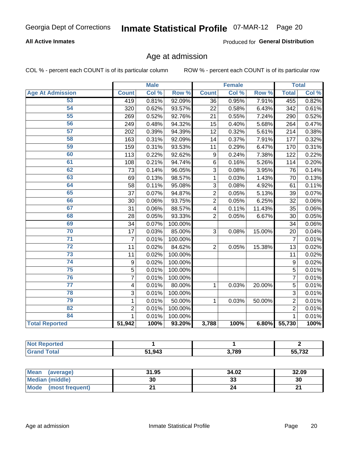#### **All Active Inmates**

Produced for General Distribution

### Age at admission

COL % - percent each COUNT is of its particular column

|                         | <b>Male</b>    |       | <b>Female</b> |                |       | <b>Total</b> |                |       |
|-------------------------|----------------|-------|---------------|----------------|-------|--------------|----------------|-------|
| <b>Age At Admission</b> | <b>Count</b>   | Col % | Row %         | <b>Count</b>   | Col % | Row %        | <b>Total</b>   | Col % |
| 53                      | 419            | 0.81% | 92.09%        | 36             | 0.95% | 7.91%        | 455            | 0.82% |
| 54                      | 320            | 0.62% | 93.57%        | 22             | 0.58% | 6.43%        | 342            | 0.61% |
| 55                      | 269            | 0.52% | 92.76%        | 21             | 0.55% | 7.24%        | 290            | 0.52% |
| 56                      | 249            | 0.48% | 94.32%        | 15             | 0.40% | 5.68%        | 264            | 0.47% |
| 57                      | 202            | 0.39% | 94.39%        | 12             | 0.32% | 5.61%        | 214            | 0.38% |
| 58                      | 163            | 0.31% | 92.09%        | 14             | 0.37% | 7.91%        | 177            | 0.32% |
| 59                      | 159            | 0.31% | 93.53%        | 11             | 0.29% | 6.47%        | 170            | 0.31% |
| 60                      | 113            | 0.22% | 92.62%        | 9              | 0.24% | 7.38%        | 122            | 0.22% |
| 61                      | 108            | 0.21% | 94.74%        | 6              | 0.16% | 5.26%        | 114            | 0.20% |
| 62                      | 73             | 0.14% | 96.05%        | 3              | 0.08% | 3.95%        | 76             | 0.14% |
| 63                      | 69             | 0.13% | 98.57%        | 1              | 0.03% | 1.43%        | 70             | 0.13% |
| 64                      | 58             | 0.11% | 95.08%        | 3              | 0.08% | 4.92%        | 61             | 0.11% |
| 65                      | 37             | 0.07% | 94.87%        | $\overline{2}$ | 0.05% | 5.13%        | 39             | 0.07% |
| 66                      | 30             | 0.06% | 93.75%        | $\overline{2}$ | 0.05% | 6.25%        | 32             | 0.06% |
| 67                      | 31             | 0.06% | 88.57%        | 4              | 0.11% | 11.43%       | 35             | 0.06% |
| 68                      | 28             | 0.05% | 93.33%        | $\overline{2}$ | 0.05% | 6.67%        | 30             | 0.05% |
| 69                      | 34             | 0.07% | 100.00%       |                |       |              | 34             | 0.06% |
| 70                      | 17             | 0.03% | 85.00%        | 3              | 0.08% | 15.00%       | 20             | 0.04% |
| $\overline{71}$         | $\overline{7}$ | 0.01% | 100.00%       |                |       |              | 7              | 0.01% |
| $\overline{72}$         | 11             | 0.02% | 84.62%        | $\overline{2}$ | 0.05% | 15.38%       | 13             | 0.02% |
| $\overline{73}$         | 11             | 0.02% | 100.00%       |                |       |              | 11             | 0.02% |
| $\overline{74}$         | 9              | 0.02% | 100.00%       |                |       |              | 9              | 0.02% |
| 75                      | $\overline{5}$ | 0.01% | 100.00%       |                |       |              | 5              | 0.01% |
| 76                      | $\overline{7}$ | 0.01% | 100.00%       |                |       |              | $\overline{7}$ | 0.01% |
| $\overline{77}$         | 4              | 0.01% | 80.00%        | $\mathbf{1}$   | 0.03% | 20.00%       | 5              | 0.01% |
| 78                      | 3              | 0.01% | 100.00%       |                |       |              | $\overline{3}$ | 0.01% |
| 79                      | $\mathbf{1}$   | 0.01% | 50.00%        | $\mathbf{1}$   | 0.03% | 50.00%       | $\overline{2}$ | 0.01% |
| 82                      | $\overline{2}$ | 0.01% | 100.00%       |                |       |              | $\overline{2}$ | 0.01% |
| 84                      | 1              | 0.01% | 100.00%       |                |       |              | 1              | 0.01% |
| <b>Total Reported</b>   | 51,942         | 100%  | 93.20%        | 3,788          | 100%  |              | 6.80% 55,730   | 100%  |

| N<br>TE 10 |        |       |                       |
|------------|--------|-------|-----------------------|
|            | 51.943 | 3,789 | rr 700<br>כפ<br>70 J. |

| Mean (average)         | 31.95 | 34.02   | 32.09  |
|------------------------|-------|---------|--------|
| <b>Median (middle)</b> | 30    | ົ<br>ند | 30     |
| Mode (most frequent)   |       |         | $\sim$ |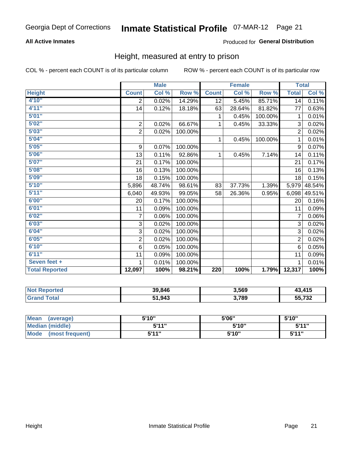#### **All Active Inmates**

#### Produced for General Distribution

### Height, measured at entry to prison

COL % - percent each COUNT is of its particular column

|                       | <b>Male</b>    |        |         |                  | <b>Female</b> | <b>Total</b> |                |        |
|-----------------------|----------------|--------|---------|------------------|---------------|--------------|----------------|--------|
| <b>Height</b>         | <b>Count</b>   | Col %  | Row %   | <b>Count</b>     | Col %         | Row %        | <b>Total</b>   | Col %  |
| 4'10"                 | 2              | 0.02%  | 14.29%  | 12               | 5.45%         | 85.71%       | 14             | 0.11%  |
| 4'11''                | 14             | 0.12%  | 18.18%  | 63               | 28.64%        | 81.82%       | 77             | 0.63%  |
| 5'01''                |                |        |         | 1                | 0.45%         | 100.00%      | 1              | 0.01%  |
| 5'02''                | $\overline{2}$ | 0.02%  | 66.67%  | 1                | 0.45%         | 33.33%       | 3              | 0.02%  |
| 5'03''                | $\overline{c}$ | 0.02%  | 100.00% |                  |               |              | $\overline{c}$ | 0.02%  |
| 5'04''                |                |        |         | 1                | 0.45%         | 100.00%      | 1              | 0.01%  |
| 5'05''                | 9              | 0.07%  | 100.00% |                  |               |              | 9              | 0.07%  |
| 5'06''                | 13             | 0.11%  | 92.86%  | 1                | 0.45%         | 7.14%        | 14             | 0.11%  |
| 5'07''                | 21             | 0.17%  | 100.00% |                  |               |              | 21             | 0.17%  |
| 5'08''                | 16             | 0.13%  | 100.00% |                  |               |              | 16             | 0.13%  |
| 5'09''                | 18             | 0.15%  | 100.00% |                  |               |              | 18             | 0.15%  |
| 5'10''                | 5,896          | 48.74% | 98.61%  | 83               | 37.73%        | 1.39%        | 5,979          | 48.54% |
| 5'11''                | 6,040          | 49.93% | 99.05%  | 58               | 26.36%        | 0.95%        | 6,098          | 49.51% |
| 6'00''                | 20             | 0.17%  | 100.00% |                  |               |              | 20             | 0.16%  |
| 6'01''                | 11             | 0.09%  | 100.00% |                  |               |              | 11             | 0.09%  |
| 6'02''                | 7              | 0.06%  | 100.00% |                  |               |              | 7              | 0.06%  |
| 6'03''                | 3              | 0.02%  | 100.00% |                  |               |              | 3              | 0.02%  |
| 6'04''                | 3              | 0.02%  | 100.00% |                  |               |              | 3              | 0.02%  |
| 6'05''                | 2              | 0.02%  | 100.00% |                  |               |              | $\overline{2}$ | 0.02%  |
| 6'10''                | 6              | 0.05%  | 100.00% |                  |               |              | 6              | 0.05%  |
| 6'11''                | 11             | 0.09%  | 100.00% |                  |               |              | 11             | 0.09%  |
| Seven feet +          | 1              | 0.01%  | 100.00% |                  |               |              | 1              | 0.01%  |
| <b>Total Reported</b> | 12,097         | 100%   | 98.21%  | $\overline{220}$ | 100%          | 1.79%        | 12,317         | 100%   |

| <b>leported</b> | 39,846 | 3,569 | 43.415           |
|-----------------|--------|-------|------------------|
| <b>Fotal</b>    | 51,943 | 3,789 | 55732<br>ວວ.≀ ວ∠ |

| <b>Mean</b><br>(average)       | 5'10'' | 5'06" | 5'10" |
|--------------------------------|--------|-------|-------|
| <b>Median (middle)</b>         | 5'11"  | 5'10" | 5'11" |
| <b>Mode</b><br>(most frequent) | 5'11"  | 5'10" | 5'11" |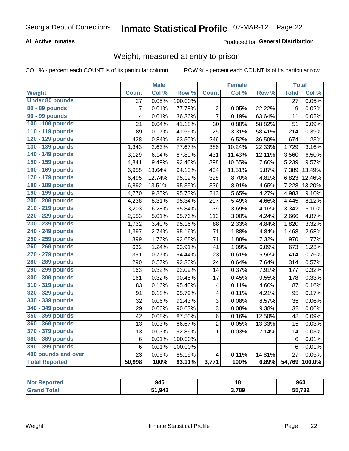#### **All Active Inmates**

#### Produced for General Distribution

### Weight, measured at entry to prison

COL % - percent each COUNT is of its particular column

|                        |                 | <b>Male</b> |         |                         | <b>Female</b> |                  | <b>Total</b>     |        |
|------------------------|-----------------|-------------|---------|-------------------------|---------------|------------------|------------------|--------|
| <b>Weight</b>          | <b>Count</b>    | Col %       | Row %   | <b>Count</b>            | Col %         | Row <sup>%</sup> | <b>Total</b>     | Col %  |
| <b>Under 80 pounds</b> | $\overline{27}$ | 0.05%       | 100.00% |                         |               |                  | $\overline{27}$  | 0.05%  |
| 80 - 89 pounds         | $\overline{7}$  | 0.01%       | 77.78%  | 2                       | 0.05%         | 22.22%           | $\boldsymbol{9}$ | 0.02%  |
| 90 - 99 pounds         | 4               | 0.01%       | 36.36%  | $\overline{7}$          | 0.19%         | 63.64%           | 11               | 0.02%  |
| 100 - 109 pounds       | 21              | 0.04%       | 41.18%  | 30                      | 0.80%         | 58.82%           | 51               | 0.09%  |
| 110 - 119 pounds       | 89              | 0.17%       | 41.59%  | 125                     | 3.31%         | 58.41%           | 214              | 0.39%  |
| 120 - 129 pounds       | 428             | 0.84%       | 63.50%  | 246                     | 6.52%         | 36.50%           | 674              | 1.23%  |
| 130 - 139 pounds       | 1,343           | 2.63%       | 77.67%  | 386                     | 10.24%        | 22.33%           | 1,729            | 3.16%  |
| 140 - 149 pounds       | 3,129           | 6.14%       | 87.89%  | 431                     | 11.43%        | 12.11%           | 3,560            | 6.50%  |
| 150 - 159 pounds       | 4,841           | 9.49%       | 92.40%  | 398                     | 10.55%        | 7.60%            | 5,239            | 9.57%  |
| 160 - 169 pounds       | 6,955           | 13.64%      | 94.13%  | 434                     | 11.51%        | 5.87%            | 7,389            | 13.49% |
| 170 - 179 pounds       | 6,495           | 12.74%      | 95.19%  | 328                     | 8.70%         | 4.81%            | 6,823            | 12.46% |
| 180 - 189 pounds       | 6,892           | 13.51%      | 95.35%  | 336                     | 8.91%         | 4.65%            | 7,228            | 13.20% |
| 190 - 199 pounds       | 4,770           | 9.35%       | 95.73%  | 213                     | 5.65%         | 4.27%            | 4,983            | 9.10%  |
| 200 - 209 pounds       | 4,238           | 8.31%       | 95.34%  | 207                     | 5.49%         | 4.66%            | 4,445            | 8.12%  |
| 210 - 219 pounds       | 3,203           | 6.28%       | 95.84%  | 139                     | 3.69%         | 4.16%            | 3,342            | 6.10%  |
| 220 - 229 pounds       | 2,553           | 5.01%       | 95.76%  | 113                     | 3.00%         | 4.24%            | 2,666            | 4.87%  |
| 230 - 239 pounds       | 1,732           | 3.40%       | 95.16%  | 88                      | 2.33%         | 4.84%            | 1,820            | 3.32%  |
| 240 - 249 pounds       | 1,397           | 2.74%       | 95.16%  | 71                      | 1.88%         | 4.84%            | 1,468            | 2.68%  |
| 250 - 259 pounds       | 899             | 1.76%       | 92.68%  | 71                      | 1.88%         | 7.32%            | 970              | 1.77%  |
| 260 - 269 pounds       | 632             | 1.24%       | 93.91%  | 41                      | 1.09%         | 6.09%            | 673              | 1.23%  |
| 270 - 279 pounds       | 391             | 0.77%       | 94.44%  | 23                      | 0.61%         | 5.56%            | 414              | 0.76%  |
| 280 - 289 pounds       | 290             | 0.57%       | 92.36%  | 24                      | 0.64%         | 7.64%            | 314              | 0.57%  |
| 290 - 299 pounds       | 163             | 0.32%       | 92.09%  | 14                      | 0.37%         | 7.91%            | 177              | 0.32%  |
| 300 - 309 pounds       | 161             | 0.32%       | 90.45%  | 17                      | 0.45%         | 9.55%            | 178              | 0.33%  |
| 310 - 319 pounds       | 83              | 0.16%       | 95.40%  | 4                       | 0.11%         | 4.60%            | 87               | 0.16%  |
| 320 - 329 pounds       | 91              | 0.18%       | 95.79%  | $\overline{\mathbf{4}}$ | 0.11%         | 4.21%            | 95               | 0.17%  |
| 330 - 339 pounds       | 32              | 0.06%       | 91.43%  | 3                       | 0.08%         | 8.57%            | 35               | 0.06%  |
| 340 - 349 pounds       | 29              | 0.06%       | 90.63%  | 3                       | 0.08%         | 9.38%            | 32               | 0.06%  |
| 350 - 359 pounds       | 42              | 0.08%       | 87.50%  | 6                       | 0.16%         | 12.50%           | 48               | 0.09%  |
| 360 - 369 pounds       | 13              | 0.03%       | 86.67%  | $\overline{2}$          | 0.05%         | 13.33%           | 15               | 0.03%  |
| 370 - 379 pounds       | 13              | 0.03%       | 92.86%  | $\mathbf{1}$            | 0.03%         | 7.14%            | 14               | 0.03%  |
| 380 - 389 pounds       | $\,6$           | 0.01%       | 100.00% |                         |               |                  | $6\phantom{1}6$  | 0.01%  |
| 390 - 399 pounds       | 6               | 0.01%       | 100.00% |                         |               |                  | $6\phantom{1}6$  | 0.01%  |
| 400 pounds and over    | 23              | 0.05%       | 85.19%  | $\overline{\mathbf{4}}$ | 0.11%         | 14.81%           | 27               | 0.05%  |
| <b>Total Reported</b>  | 50,998          | 100%        | 93.11%  | 3,771                   | 100%          | 6.89%            | 54,769           | 100.0% |

| <b>Not</b><br>ported<br>NJ. | 945    |                 | 963                        |
|-----------------------------|--------|-----------------|----------------------------|
| <b>Total</b>                | 51,943 | 2700<br>১, / ০খ | $   \sim$ $\sim$<br>33,732 |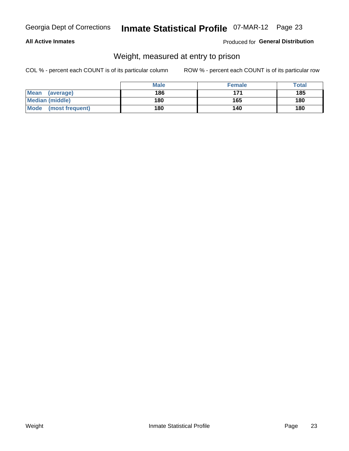#### **All Active Inmates**

#### Produced for General Distribution

### Weight, measured at entry to prison

COL % - percent each COUNT is of its particular column

|                          | <b>Male</b> | <b>Female</b> | Total |
|--------------------------|-------------|---------------|-------|
| <b>Mean</b><br>(average) | 186         | 171           | 185   |
| <b>Median (middle)</b>   | 180         | 165           | 180   |
| Mode<br>(most frequent)  | 180         | 140           | 180   |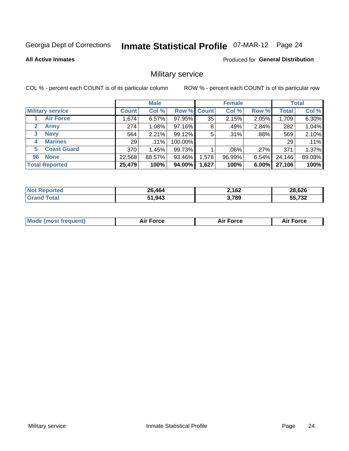# Inmate Statistical Profile 07-MAR-12 Page 24

#### **All Active Inmates**

### **Produced for General Distribution**

### Military service

COL % - percent each COUNT is of its particular column

|                          | <b>Male</b>  |         |                    | <b>Female</b> |         |          | <b>Total</b> |        |
|--------------------------|--------------|---------|--------------------|---------------|---------|----------|--------------|--------|
| <b>Military service</b>  | <b>Count</b> | Col %   | <b>Row % Count</b> |               | Col %   | Row %    | <b>Total</b> | Col %  |
| <b>Air Force</b>         | .674         | 6.57%   | 97.95%             | 35            | 2.15%   | 2.05%    | 1,709        | 6.30%  |
| $\mathbf{2}$<br>Army     | 274          | 1.08%   | 97.16%             | 8             | .49%    | 2.84%    | 282          | 1.04%  |
| <b>Navy</b><br>3         | 564          | 2.21%   | 99.12%             | 5             | .31%    | $.88\%$  | 569          | 2.10%  |
| <b>Marines</b><br>4      | 29           | $.11\%$ | 100.00%            |               |         |          | 29           | .11%   |
| <b>Coast Guard</b><br>5. | 370          | 1.45%   | 99.73%             |               | $.06\%$ | .27%     | 371          | 1.37%  |
| <b>None</b><br>96        | 22,568       | 88.57%  | 93.46%             | .578          | 96.99%  | $6.54\%$ | 24,146       | 89.08% |
| <b>Total Reported</b>    | 25,479       | 100%    | 94.00%             | 1,627         | 100%    | 6.00%    | 27,106       | 100%   |

| <b>ported</b><br>'N ( | 26.464 | 2,162 | 28,626                    |
|-----------------------|--------|-------|---------------------------|
| <b>otal</b>           | 51,943 | 3,789 | $F$ $F$ $\rightarrow$ 0.0 |
| "Grai.                | 64.    |       | 1 J.Z                     |

| <b>Mode (most frequent)</b><br>Force<br><b>Force</b><br>orce<br>Aır |
|---------------------------------------------------------------------|
|---------------------------------------------------------------------|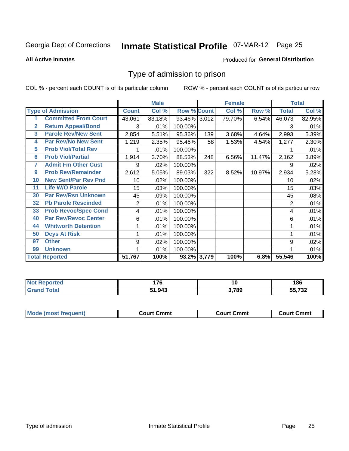# Inmate Statistical Profile 07-MAR-12 Page 25

**All Active Inmates** 

#### Produced for General Distribution

### Type of admission to prison

COL % - percent each COUNT is of its particular column

|                         |                             |                | <b>Male</b> |                    |     | <b>Female</b> |        |                | <b>Total</b> |
|-------------------------|-----------------------------|----------------|-------------|--------------------|-----|---------------|--------|----------------|--------------|
|                         | <b>Type of Admission</b>    | <b>Count</b>   | Col %       | <b>Row % Count</b> |     | Col %         | Row %  | <b>Total</b>   | Col %        |
|                         | <b>Committed From Court</b> | 43,061         | 83.18%      | 93.46% 3,012       |     | 79.70%        | 6.54%  | 46,073         | 82.95%       |
| $\overline{2}$          | <b>Return Appeal/Bond</b>   | 3              | .01%        | 100.00%            |     |               |        | 3              | .01%         |
| $\overline{\mathbf{3}}$ | <b>Parole Rev/New Sent</b>  | 2,854          | 5.51%       | 95.36%             | 139 | 3.68%         | 4.64%  | 2,993          | 5.39%        |
| 4                       | <b>Par Rev/No New Sent</b>  | 1,219          | 2.35%       | 95.46%             | 58  | 1.53%         | 4.54%  | 1,277          | 2.30%        |
| 5                       | <b>Prob Viol/Total Rev</b>  |                | .01%        | 100.00%            |     |               |        |                | .01%         |
| 6                       | <b>Prob Viol/Partial</b>    | 1,914          | 3.70%       | 88.53%             | 248 | 6.56%         | 11.47% | 2,162          | 3.89%        |
| 7                       | <b>Admit Fm Other Cust</b>  | 9              | .02%        | 100.00%            |     |               |        | 9              | .02%         |
| 9                       | <b>Prob Rev/Remainder</b>   | 2,612          | 5.05%       | 89.03%             | 322 | 8.52%         | 10.97% | 2,934          | 5.28%        |
| 10                      | <b>New Sent/Par Rev Pnd</b> | 10             | .02%        | 100.00%            |     |               |        | 10             | .02%         |
| 11                      | <b>Life W/O Parole</b>      | 15             | .03%        | 100.00%            |     |               |        | 15             | .03%         |
| 30                      | <b>Par Rev/Rsn Unknown</b>  | 45             | .09%        | 100.00%            |     |               |        | 45             | .08%         |
| 32                      | <b>Pb Parole Rescinded</b>  | $\overline{2}$ | .01%        | 100.00%            |     |               |        | $\overline{2}$ | .01%         |
| 33                      | <b>Prob Revoc/Spec Cond</b> | 4              | .01%        | 100.00%            |     |               |        | 4              | .01%         |
| 40                      | <b>Par Rev/Revoc Center</b> | 6              | .01%        | 100.00%            |     |               |        | 6              | .01%         |
| 44                      | <b>Whitworth Detention</b>  | 1              | .01%        | 100.00%            |     |               |        |                | .01%         |
| 50                      | <b>Dcys At Risk</b>         | 1              | .01%        | 100.00%            |     |               |        |                | .01%         |
| 97                      | <b>Other</b>                | 9              | .02%        | 100.00%            |     |               |        | 9              | .02%         |
| 99                      | <b>Unknown</b>              |                | .01%        | 100.00%            |     |               |        |                | .01%         |
|                         | <b>Total Reported</b>       | 51,767         | 100%        | 93.2% 3,779        |     | 100%          | 6.8%   | 55,546         | 100%         |

| <b>Not</b> | --        | 10    | <i>ום</i> ו       |  |
|------------|-----------|-------|-------------------|--|
| neo        | <u>''</u> |       | 1 O O             |  |
| $-1$       | 51,943    | 3,789 | $F = 700$<br>72 ن |  |

| <b>Mode (most frequent)</b><br><b>Court Cmmt</b><br>Court Cmmt<br>Court Cmmt |  |  |
|------------------------------------------------------------------------------|--|--|
|                                                                              |  |  |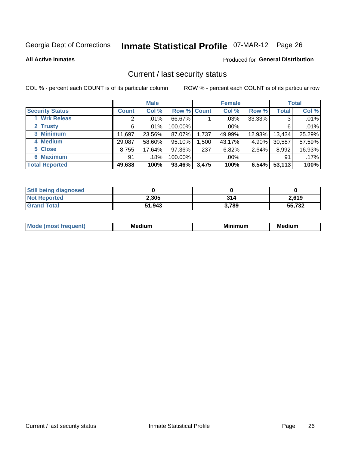# Inmate Statistical Profile 07-MAR-12 Page 26

**All Active Inmates** 

#### Produced for General Distribution

### Current / last security status

COL % - percent each COUNT is of its particular column

|                        |              | <b>Male</b> |             |       | <b>Female</b> |        |              | <b>Total</b> |
|------------------------|--------------|-------------|-------------|-------|---------------|--------|--------------|--------------|
| <b>Security Status</b> | <b>Count</b> | Col %       | Row % Count |       | Col %         | Row %  | <b>Total</b> | Col %        |
| 1 Wrk Releas           | 2            | $.01\%$     | 66.67%      |       | $.03\%$       | 33.33% | 3            | .01%         |
| 2 Trusty               | 6            | .01%        | 100.00%     |       | $.00\%$       |        | 6            | .01%         |
| 3 Minimum              | 11,697       | 23.56%      | 87.07%      | 1,737 | 49.99%        | 12.93% | 13,434       | 25.29%       |
| 4 Medium               | 29,087       | 58.60%      | 95.10%      | 1,500 | 43.17%        | 4.90%  | 30,587       | 57.59%       |
| 5 Close                | 8,755        | 17.64%      | 97.36%      | 237   | 6.82%         | 2.64%  | 8,992        | 16.93%       |
| <b>6 Maximum</b>       | 91           | .18%        | 100.00%     |       | $.00\%$       |        | 91           | .17%         |
| <b>Total Reported</b>  | 49,638       | 100%        | 93.46%      | 3,475 | 100%          | 6.54%  | 53,113       | 100%         |

| <b>Still being diagnosed</b> |        |       |        |
|------------------------------|--------|-------|--------|
| <b>Not Reported</b>          | 2,305  | 314   | 2,619  |
| <b>Grand Total</b>           | 51,943 | 3,789 | 55,732 |

| M | NЛ<br>. .<br>dilim<br>_____ | ---<br>-- | . .<br>Medium<br>Me |
|---|-----------------------------|-----------|---------------------|
|   |                             |           |                     |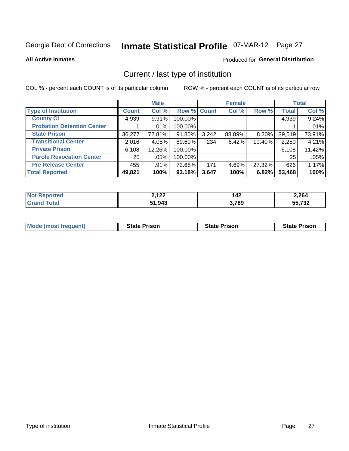# Inmate Statistical Profile 07-MAR-12 Page 27

**All Active Inmates** 

#### Produced for General Distribution

### Current / last type of institution

COL % - percent each COUNT is of its particular column

|                                   |              | <b>Male</b> |                    |       | <b>Female</b> |        |              | <b>Total</b> |
|-----------------------------------|--------------|-------------|--------------------|-------|---------------|--------|--------------|--------------|
| <b>Type of Institution</b>        | <b>Count</b> | Col %       | <b>Row % Count</b> |       | Col %         | Row %  | <b>Total</b> | Col %        |
| <b>County Ci</b>                  | 4,939        | 9.91%       | 100.00%            |       |               |        | 4,939        | 9.24%        |
| <b>Probation Detention Center</b> |              | .01%        | 100.00%            |       |               |        |              | .01%         |
| <b>State Prison</b>               | 36,277       | 72.81%      | 91.80%             | 3,242 | 88.89%        | 8.20%  | 39,519       | 73.91%       |
| <b>Transitional Center</b>        | 2,016        | 4.05%       | 89.60%             | 234   | 6.42%         | 10.40% | 2,250        | 4.21%        |
| <b>Private Prison</b>             | 6,108        | 12.26%      | 100.00%            |       |               |        | 6,108        | 11.42%       |
| <b>Parole Revocation Center</b>   | 25           | .05%        | 100.00%            |       |               |        | 25           | .05%         |
| <b>Pre Release Center</b>         | 455          | .91%        | 72.68%             | 171   | 4.69%         | 27.32% | 626          | 1.17%        |
| <b>Total Reported</b>             | 49,821       | 100%        | 93.18%             | 3,647 | 100%          | 6.82%  | 53,468       | 100%         |

| NI. | <b>2122</b> | .     | 2,264                   |
|-----|-------------|-------|-------------------------|
| τeα | -, 144      | I T 4 |                         |
|     | 51.943      | 3,789 | $F = 700$<br>ے ت<br>. . |

| <b>Mode (most frequent)</b> | <b>State Prison</b> | <b>State Prison</b> | <b>State Prison</b> |
|-----------------------------|---------------------|---------------------|---------------------|
|                             |                     |                     |                     |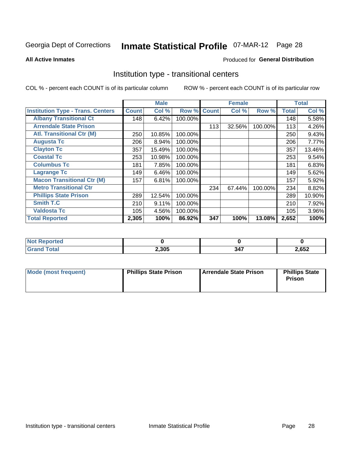# Inmate Statistical Profile 07-MAR-12 Page 28

**All Active Inmates** 

#### **Produced for General Distribution**

### Institution type - transitional centers

COL % - percent each COUNT is of its particular column

|                                          |              | <b>Male</b> |         |              | <b>Female</b> |         |              | <b>Total</b> |
|------------------------------------------|--------------|-------------|---------|--------------|---------------|---------|--------------|--------------|
| <b>Institution Type - Trans. Centers</b> | <b>Count</b> | Col %       | Row %   | <b>Count</b> | Col %         | Row %   | <b>Total</b> | Col %        |
| <b>Albany Transitional Ct</b>            | 148          | 6.42%       | 100.00% |              |               |         | 148          | 5.58%        |
| <b>Arrendale State Prison</b>            |              |             |         | 113          | 32.56%        | 100.00% | 113          | 4.26%        |
| <b>Atl. Transitional Ctr (M)</b>         | 250          | 10.85%      | 100.00% |              |               |         | 250          | 9.43%        |
| <b>Augusta Tc</b>                        | 206          | 8.94%       | 100.00% |              |               |         | 206          | 7.77%        |
| <b>Clayton Tc</b>                        | 357          | 15.49%      | 100.00% |              |               |         | 357          | 13.46%       |
| <b>Coastal Tc</b>                        | 253          | 10.98%      | 100.00% |              |               |         | 253          | 9.54%        |
| <b>Columbus Tc</b>                       | 181          | 7.85%       | 100.00% |              |               |         | 181          | 6.83%        |
| <b>Lagrange Tc</b>                       | 149          | 6.46%       | 100.00% |              |               |         | 149          | 5.62%        |
| <b>Macon Transitional Ctr (M)</b>        | 157          | 6.81%       | 100.00% |              |               |         | 157          | 5.92%        |
| <b>Metro Transitional Ctr</b>            |              |             |         | 234          | 67.44%        | 100.00% | 234          | 8.82%        |
| <b>Phillips State Prison</b>             | 289          | 12.54%      | 100.00% |              |               |         | 289          | 10.90%       |
| <b>Smith T.C</b>                         | 210          | 9.11%       | 100.00% |              |               |         | 210          | 7.92%        |
| <b>Valdosta Tc</b>                       | 105          | 4.56%       | 100.00% |              |               |         | 105          | 3.96%        |
| <b>Total Reported</b>                    | 2,305        | 100%        | 86.92%  | 347          | 100%          | 13.08%  | 2,652        | 100%         |

| --<br>ncea |       |               |       |
|------------|-------|---------------|-------|
|            | 2,305 | $\sim$ $\sim$ | 2,652 |

| Mode (most frequent) | <b>Phillips State Prison</b> | Arrendale State Prison | <b>Phillips State</b><br>Prison |
|----------------------|------------------------------|------------------------|---------------------------------|
|                      |                              |                        |                                 |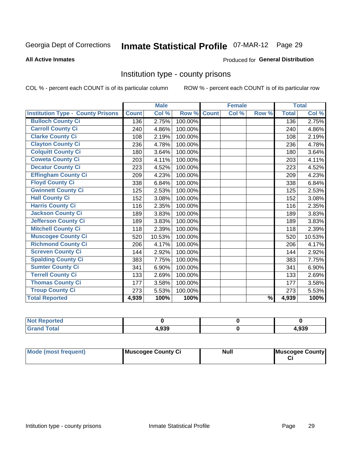# Inmate Statistical Profile 07-MAR-12 Page 29

#### **All Active Inmates**

#### **Produced for General Distribution**

### Institution type - county prisons

COL % - percent each COUNT is of its particular column

|                                          |              | <b>Male</b> |         |              | <b>Female</b> |               |              | <b>Total</b> |
|------------------------------------------|--------------|-------------|---------|--------------|---------------|---------------|--------------|--------------|
| <b>Institution Type - County Prisons</b> | <b>Count</b> | Col %       | Row %   | <b>Count</b> | Col %         | Row %         | <b>Total</b> | Col %        |
| <b>Bulloch County Ci</b>                 | 136          | 2.75%       | 100.00% |              |               |               | 136          | 2.75%        |
| <b>Carroll County Ci</b>                 | 240          | 4.86%       | 100.00% |              |               |               | 240          | 4.86%        |
| <b>Clarke County Ci</b>                  | 108          | 2.19%       | 100.00% |              |               |               | 108          | 2.19%        |
| <b>Clayton County Ci</b>                 | 236          | 4.78%       | 100.00% |              |               |               | 236          | 4.78%        |
| <b>Colquitt County Ci</b>                | 180          | 3.64%       | 100.00% |              |               |               | 180          | 3.64%        |
| <b>Coweta County Ci</b>                  | 203          | 4.11%       | 100.00% |              |               |               | 203          | 4.11%        |
| <b>Decatur County Ci</b>                 | 223          | 4.52%       | 100.00% |              |               |               | 223          | 4.52%        |
| <b>Effingham County Ci</b>               | 209          | 4.23%       | 100.00% |              |               |               | 209          | 4.23%        |
| <b>Floyd County Ci</b>                   | 338          | 6.84%       | 100.00% |              |               |               | 338          | 6.84%        |
| <b>Gwinnett County Ci</b>                | 125          | 2.53%       | 100.00% |              |               |               | 125          | 2.53%        |
| <b>Hall County Ci</b>                    | 152          | 3.08%       | 100.00% |              |               |               | 152          | 3.08%        |
| <b>Harris County Ci</b>                  | 116          | 2.35%       | 100.00% |              |               |               | 116          | 2.35%        |
| <b>Jackson County Ci</b>                 | 189          | 3.83%       | 100.00% |              |               |               | 189          | 3.83%        |
| <b>Jefferson County Ci</b>               | 189          | 3.83%       | 100.00% |              |               |               | 189          | 3.83%        |
| <b>Mitchell County Ci</b>                | 118          | 2.39%       | 100.00% |              |               |               | 118          | 2.39%        |
| <b>Muscogee County Ci</b>                | 520          | 10.53%      | 100.00% |              |               |               | 520          | 10.53%       |
| <b>Richmond County Ci</b>                | 206          | 4.17%       | 100.00% |              |               |               | 206          | 4.17%        |
| <b>Screven County Ci</b>                 | 144          | 2.92%       | 100.00% |              |               |               | 144          | 2.92%        |
| <b>Spalding County Ci</b>                | 383          | 7.75%       | 100.00% |              |               |               | 383          | 7.75%        |
| <b>Sumter County Ci</b>                  | 341          | 6.90%       | 100.00% |              |               |               | 341          | 6.90%        |
| <b>Terrell County Ci</b>                 | 133          | 2.69%       | 100.00% |              |               |               | 133          | 2.69%        |
| <b>Thomas County Ci</b>                  | 177          | 3.58%       | 100.00% |              |               |               | 177          | 3.58%        |
| <b>Troup County Ci</b>                   | 273          | 5.53%       | 100.00% |              |               |               | 273          | 5.53%        |
| <b>Total Reported</b>                    | 4,939        | 100%        | 100%    |              |               | $\frac{9}{6}$ | 4,939        | 100%         |

| 'Not<br>Reported |       |      |
|------------------|-------|------|
| <b>Total</b>     | 4,939 | ,939 |

| Mode (most frequent) | Muscogee County Ci | <b>Null</b> | Muscogee County |
|----------------------|--------------------|-------------|-----------------|
|                      |                    |             |                 |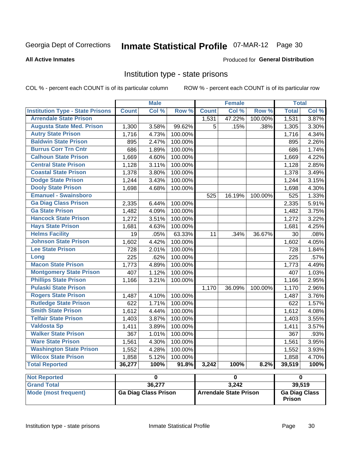## Inmate Statistical Profile 07-MAR-12 Page 30

#### **All Active Inmates**

#### Produced for General Distribution

### Institution type - state prisons

COL % - percent each COUNT is of its particular column

ROW % - percent each COUNT is of its particular row

|                                         |              | <b>Male</b>                 |         |              | <b>Female</b>                 |         | <b>Total</b>         |       |
|-----------------------------------------|--------------|-----------------------------|---------|--------------|-------------------------------|---------|----------------------|-------|
| <b>Institution Type - State Prisons</b> | <b>Count</b> | Col %                       | Row %   | <b>Count</b> | Col %                         | Row %   | <b>Total</b>         | Col % |
| <b>Arrendale State Prison</b>           |              |                             |         | 1,531        | 47.22%                        | 100.00% | 1,531                | 3.87% |
| <b>Augusta State Med. Prison</b>        | 1,300        | 3.58%                       | 99.62%  | 5            | .15%                          | .38%    | 1,305                | 3.30% |
| <b>Autry State Prison</b>               | 1,716        | 4.73%                       | 100.00% |              |                               |         | 1,716                | 4.34% |
| <b>Baldwin State Prison</b>             | 895          | 2.47%                       | 100.00% |              |                               |         | 895                  | 2.26% |
| <b>Burrus Corr Trn Cntr</b>             | 686          | 1.89%                       | 100.00% |              |                               |         | 686                  | 1.74% |
| <b>Calhoun State Prison</b>             | 1,669        | 4.60%                       | 100.00% |              |                               |         | 1,669                | 4.22% |
| <b>Central State Prison</b>             | 1,128        | 3.11%                       | 100.00% |              |                               |         | 1,128                | 2.85% |
| <b>Coastal State Prison</b>             | 1,378        | 3.80%                       | 100.00% |              |                               |         | 1,378                | 3.49% |
| <b>Dodge State Prison</b>               | 1,244        | 3.43%                       | 100.00% |              |                               |         | 1,244                | 3.15% |
| <b>Dooly State Prison</b>               | 1,698        | 4.68%                       | 100.00% |              |                               |         | 1,698                | 4.30% |
| <b>Emanuel - Swainsboro</b>             |              |                             |         | 525          | 16.19%                        | 100.00% | 525                  | 1.33% |
| <b>Ga Diag Class Prison</b>             | 2,335        | 6.44%                       | 100.00% |              |                               |         | 2,335                | 5.91% |
| <b>Ga State Prison</b>                  | 1,482        | 4.09%                       | 100.00% |              |                               |         | 1,482                | 3.75% |
| <b>Hancock State Prison</b>             | 1,272        | 3.51%                       | 100.00% |              |                               |         | 1,272                | 3.22% |
| <b>Hays State Prison</b>                | 1,681        | 4.63%                       | 100.00% |              |                               |         | 1,681                | 4.25% |
| <b>Helms Facility</b>                   | 19           | .05%                        | 63.33%  | 11           | .34%                          | 36.67%  | 30                   | .08%  |
| <b>Johnson State Prison</b>             | 1,602        | 4.42%                       | 100.00% |              |                               |         | 1,602                | 4.05% |
| <b>Lee State Prison</b>                 | 728          | 2.01%                       | 100.00% |              |                               |         | 728                  | 1.84% |
| Long                                    | 225          | .62%                        | 100.00% |              |                               |         | $\overline{225}$     | .57%  |
| <b>Macon State Prison</b>               | 1,773        | 4.89%                       | 100.00% |              |                               |         | 1,773                | 4.49% |
| <b>Montgomery State Prison</b>          | 407          | 1.12%                       | 100.00% |              |                               |         | 407                  | 1.03% |
| <b>Phillips State Prison</b>            | 1,166        | 3.21%                       | 100.00% |              |                               |         | 1,166                | 2.95% |
| <b>Pulaski State Prison</b>             |              |                             |         | 1,170        | 36.09%                        | 100.00% | 1,170                | 2.96% |
| <b>Rogers State Prison</b>              | 1,487        | 4.10%                       | 100.00% |              |                               |         | 1,487                | 3.76% |
| <b>Rutledge State Prison</b>            | 622          | 1.71%                       | 100.00% |              |                               |         | 622                  | 1.57% |
| <b>Smith State Prison</b>               | 1,612        | 4.44%                       | 100.00% |              |                               |         | 1,612                | 4.08% |
| <b>Telfair State Prison</b>             | 1,403        | 3.87%                       | 100.00% |              |                               |         | 1,403                | 3.55% |
| <b>Valdosta Sp</b>                      | 1,411        | 3.89%                       | 100.00% |              |                               |         | 1,411                | 3.57% |
| <b>Walker State Prison</b>              | 367          | 1.01%                       | 100.00% |              |                               |         | 367                  | .93%  |
| <b>Ware State Prison</b>                | 1,561        | 4.30%                       | 100.00% |              |                               |         | 1,561                | 3.95% |
| <b>Washington State Prison</b>          | 1,552        | 4.28%                       | 100.00% |              |                               |         | 1,552                | 3.93% |
| <b>Wilcox State Prison</b>              | 1,858        | 5.12%                       | 100.00% |              |                               |         | 1,858                | 4.70% |
| <b>Total Reported</b>                   | 36,277       | 100%                        | 91.8%   | 3,242        | 100%                          | 8.2%    | 39,519               | 100%  |
| <b>Not Reported</b>                     |              | $\overline{\mathbf{0}}$     |         |              | $\pmb{0}$                     |         | $\pmb{0}$            |       |
| <b>Grand Total</b>                      |              | 36,277                      |         |              | 3,242                         |         | 39,519               |       |
| <b>Mode (most frequent)</b>             |              | <b>Ga Diag Class Prison</b> |         |              | <b>Arrendale State Prison</b> |         | <b>Ga Diag Class</b> |       |

Prison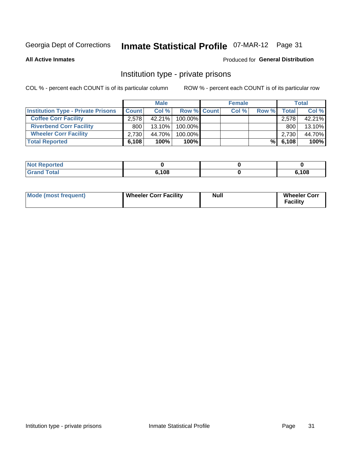# Inmate Statistical Profile 07-MAR-12 Page 31

**All Active Inmates** 

#### **Produced for General Distribution**

### Institution type - private prisons

COL % - percent each COUNT is of its particular column

|                                           |              | <b>Male</b> |                    | <b>Female</b> |       |              | <b>Total</b> |
|-------------------------------------------|--------------|-------------|--------------------|---------------|-------|--------------|--------------|
| <b>Institution Type - Private Prisons</b> | <b>Count</b> | Col %       | <b>Row % Count</b> | Col %         | Row % | <b>Total</b> | Col %        |
| <b>Coffee Corr Facility</b>               | 2.578        | $42.21\%$   | $100.00\%$         |               |       | 2,578        | 42.21%       |
| <b>Riverbend Corr Facility</b>            | 800          | 13.10%      | 100.00%            |               |       | 800          | 13.10%       |
| <b>Wheeler Corr Facility</b>              | 2.730        | 44.70%      | 100.00%            |               |       | 2,730        | 44.70%       |
| <b>Total Reported</b>                     | 6,108        | 100%        | 100%               |               | %I    | 6,108        | 100%         |

| <b>Reported</b><br><b>NOT</b> |       |       |
|-------------------------------|-------|-------|
| Total                         | 6.108 | 6,108 |

| <b>Mode (most frequent)</b> | <b>Wheeler Corr Facility</b> | <b>Null</b> | <b>Wheeler Corr</b><br><b>Facility</b> |
|-----------------------------|------------------------------|-------------|----------------------------------------|
|-----------------------------|------------------------------|-------------|----------------------------------------|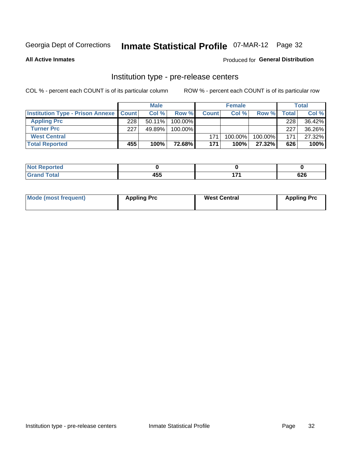# Inmate Statistical Profile 07-MAR-12 Page 32

**All Active Inmates** 

Produced for General Distribution

# Institution type - pre-release centers

COL % - percent each COUNT is of its particular column

|                                                   |     | <b>Male</b> |               |              | <b>Female</b> |           |       | <b>Total</b> |
|---------------------------------------------------|-----|-------------|---------------|--------------|---------------|-----------|-------|--------------|
| <b>Institution Type - Prison Annexe   Count  </b> |     | Col %       | Row %         | <b>Count</b> | Col %         | Row %     | Total | Col %        |
| <b>Appling Prc</b>                                | 228 | $50.11\%$   | $100.00\%$    |              |               |           | 228   | 36.42%       |
| <b>Turner Prc</b>                                 | 227 | 49.89%      | 100.00%       |              |               |           | 227   | 36.26%       |
| <b>West Central</b>                               |     |             |               | 171          | $100.00\%$    | 100.00%   | 171.  | 27.32%       |
| <b>Total Reported</b>                             | 455 | 100%        | <b>72.68%</b> | 171          | 100%          | $27.32\%$ | 626   | 100%         |

| ted:         |         |   |     |
|--------------|---------|---|-----|
| <u>i vuu</u> | $1 - F$ | . | coc |
| -            | .JJ     |   | ס∡ס |

| Mode (most frequent) | <b>Appling Prc</b> | <b>West Central</b> | <b>Appling Prc</b> |
|----------------------|--------------------|---------------------|--------------------|
|----------------------|--------------------|---------------------|--------------------|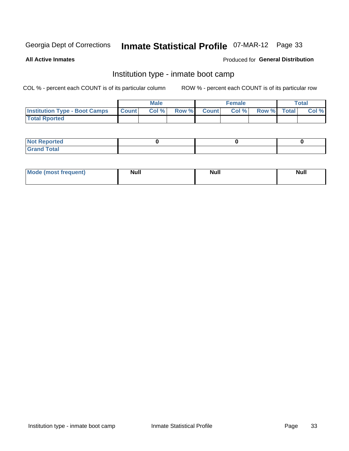# Inmate Statistical Profile 07-MAR-12 Page 33

**All Active Inmates** 

#### **Produced for General Distribution**

### Institution type - inmate boot camp

COL % - percent each COUNT is of its particular column

|                                      |              | <b>Male</b> |               |              | <b>Female</b> |             | <b>Total</b> |
|--------------------------------------|--------------|-------------|---------------|--------------|---------------|-------------|--------------|
| <b>Institution Type - Boot Camps</b> | <b>Count</b> | Col %       | <b>Row %I</b> | <b>Count</b> | Col %         | Row % Total | Col %        |
| <b>Total Rported</b>                 |              |             |               |              |               |             |              |

| <b>Not Reported</b>            |  |  |
|--------------------------------|--|--|
| <b>Total</b><br>C <sub>r</sub> |  |  |

| Mode (most<br>Treauent) | <b>Null</b> | . .<br><b>Nu</b> |  |
|-------------------------|-------------|------------------|--|
|                         |             |                  |  |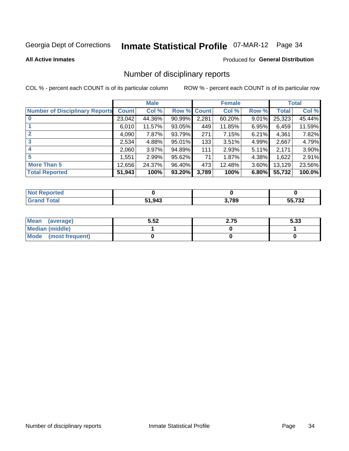# Inmate Statistical Profile 07-MAR-12 Page 34

#### **All Active Inmates**

#### **Produced for General Distribution**

### Number of disciplinary reports

COL % - percent each COUNT is of its particular column

|                                       |              | <b>Male</b> |        |       | <b>Female</b> |          |              | <b>Total</b> |
|---------------------------------------|--------------|-------------|--------|-------|---------------|----------|--------------|--------------|
| <b>Number of Disciplinary Reports</b> | <b>Count</b> | Col %       | Row %  | Count | Col %         | Row %    | <b>Total</b> | Col %        |
|                                       | 23,042       | 44.36%      | 90.99% | 2,281 | 60.20%        | 9.01%    | 25,323       | 45.44%       |
|                                       | 6,010        | 11.57%      | 93.05% | 449   | 11.85%        | 6.95%    | 6,459        | 11.59%       |
| $\overline{2}$                        | 4,090        | 7.87%       | 93.79% | 271   | 7.15%         | $6.21\%$ | 4,361        | 7.82%        |
| 3                                     | 2,534        | 4.88%       | 95.01% | 133   | $3.51\%$      | 4.99%    | 2,667        | 4.79%        |
| 4                                     | 2,060        | 3.97%       | 94.89% | 111   | 2.93%         | 5.11%    | 2,171        | 3.90%        |
| 5                                     | 1,551        | 2.99%       | 95.62% | 71    | 1.87%         | 4.38%    | 1,622        | 2.91%        |
| <b>More Than 5</b>                    | 12,656       | 24.37%      | 96.40% | 473   | 12.48%        | $3.60\%$ | 13,129       | 23.56%       |
| <b>Total Reported</b>                 | 51,943       | 100%        | 93.20% | 3,789 | 100%          | 6.80%    | 55,732       | 100.0%       |

| orted<br>NO1 |        |       |               |
|--------------|--------|-------|---------------|
| Total        | 51,943 | 3,789 | -- 700<br>ے ت |

| Mean (average)       | 5.52 | 2.75 | 5.33 |
|----------------------|------|------|------|
| Median (middle)      |      |      |      |
| Mode (most frequent) |      |      |      |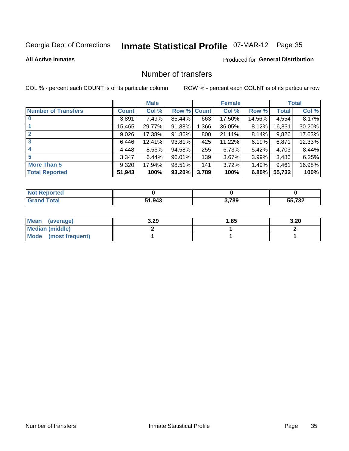# Inmate Statistical Profile 07-MAR-12 Page 35

#### **All Active Inmates**

#### **Produced for General Distribution**

### Number of transfers

COL % - percent each COUNT is of its particular column

|                            |         | <b>Male</b> |        |              | <b>Female</b> |          |              | <b>Total</b> |
|----------------------------|---------|-------------|--------|--------------|---------------|----------|--------------|--------------|
| <b>Number of Transfers</b> | Count l | Col %       | Row %  | <b>Count</b> | Col %         | Row %    | <b>Total</b> | Col %        |
|                            | 3,891   | 7.49%       | 85.44% | 663          | 17.50%        | 14.56%   | 4,554        | 8.17%        |
|                            | 15,465  | 29.77%      | 91.88% | 366, ا       | 36.05%        | 8.12%    | 16,831       | 30.20%       |
| $\mathbf{2}$               | 9,026   | 17.38%      | 91.86% | 800          | 21.11%        | $8.14\%$ | 9,826        | 17.63%       |
| 3                          | 6,446   | 12.41%      | 93.81% | 425          | 11.22%        | 6.19%    | 6,871        | 12.33%       |
| 4                          | 4,448   | $8.56\%$    | 94.58% | 255          | 6.73%         | $5.42\%$ | 4,703        | 8.44%        |
| 5                          | 3,347   | 6.44%       | 96.01% | 139          | 3.67%         | 3.99%    | 3,486        | 6.25%        |
| <b>More Than 5</b>         | 9,320   | 17.94%      | 98.51% | 141          | 3.72%         | $1.49\%$ | 9,461        | 16.98%       |
| <b>Total Reported</b>      | 51,943  | 100%        | 93.20% | 3,789        | 100%          | 6.80%    | 55,732       | 100%         |

| orted<br>NO1 |        |       |               |
|--------------|--------|-------|---------------|
| Total        | 51,943 | 3,789 | -- 700<br>ے ت |

| Mean (average)         | 3.29 | 1.85 | 3.20 |
|------------------------|------|------|------|
| <b>Median (middle)</b> |      |      |      |
| Mode (most frequent)   |      |      |      |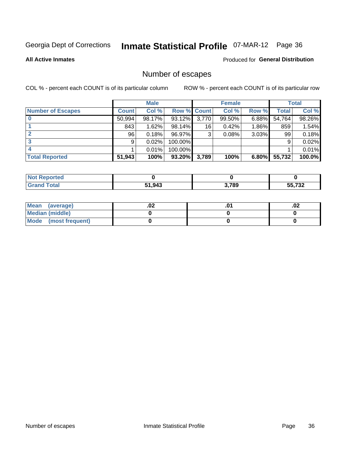# Inmate Statistical Profile 07-MAR-12 Page 36

**All Active Inmates** 

#### Produced for General Distribution

### Number of escapes

COL % - percent each COUNT is of its particular column

|                          |              | <b>Male</b> |             |                 | <b>Female</b> |          |        | <b>Total</b> |
|--------------------------|--------------|-------------|-------------|-----------------|---------------|----------|--------|--------------|
| <b>Number of Escapes</b> | <b>Count</b> | Col %       | Row % Count |                 | Col %         | Row %    | Total  | Col %        |
|                          | 50,994       | 98.17%      | 93.12%      | 3,770           | 99.50%        | 6.88%    | 54,764 | 98.26%       |
|                          | 843          | 1.62%       | 98.14%      | 16 <sub>1</sub> | 0.42%         | $1.86\%$ | 859    | 1.54%        |
|                          | 96           | 0.18%       | 96.97%      | 3               | 0.08%         | 3.03%    | 99     | 0.18%        |
|                          | 9            | 0.02%       | 100.00%     |                 |               |          | 9      | 0.02%        |
|                          |              | 0.01%       | 100.00%     |                 |               |          |        | 0.01%        |
| <b>Total Reported</b>    | 51,943       | 100%        | $93.20\%$   | 3,789           | 100%          | $6.80\%$ | 55,732 | 100.0%       |

| TAN |        |       |                 |
|-----|--------|-------|-----------------|
|     | 51,943 | 3,789 | FF 700<br>_∠د ' |

| Mean (average)       | .vz | .02 |
|----------------------|-----|-----|
| Median (middle)      |     |     |
| Mode (most frequent) |     |     |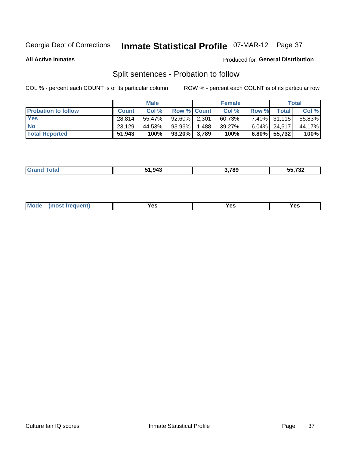# Inmate Statistical Profile 07-MAR-12 Page 37

**All Active Inmates** 

### Produced for General Distribution

## Split sentences - Probation to follow

COL % - percent each COUNT is of its particular column

|                            |              | <b>Male</b> |                 | <b>Female</b> |              |                 | <b>Total</b> |
|----------------------------|--------------|-------------|-----------------|---------------|--------------|-----------------|--------------|
| <b>Probation to follow</b> | <b>Count</b> | Col%        | Row % Count     | Col %         | <b>Row %</b> | <b>Total</b>    | Col %        |
| <b>Yes</b>                 | 28.814       | 55.47%      | 92.60% 2.301    | 60.73%        |              | 7.40% 31,115    | 55.83%       |
| <b>No</b>                  | 23,129       | 44.53%      | 93.96% 1.488    | 39.27%        |              | $6.04\%$ 24,617 | 44.17%       |
| <b>Total Reported</b>      | 51,943       | 100%        | $93.20\%$ 3,789 | 100%          |              | $6.80\%$ 55,732 | 100%         |

|  |  | 51.943 | 3,789 | <b>EE 700</b><br>35,732 |
|--|--|--------|-------|-------------------------|
|--|--|--------|-------|-------------------------|

| reauent)<br>Yes<br>v.c<br>0٥<br>.<br>. .<br>$\sim$ |  | <b>Mode</b> |  |  |  |
|----------------------------------------------------|--|-------------|--|--|--|
|----------------------------------------------------|--|-------------|--|--|--|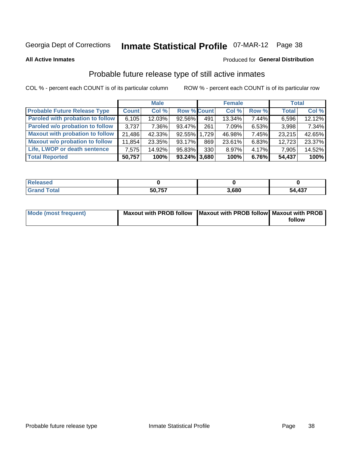# Inmate Statistical Profile 07-MAR-12 Page 38

**All Active Inmates** 

## **Produced for General Distribution**

## Probable future release type of still active inmates

COL % - percent each COUNT is of its particular column

|                                         |              | <b>Male</b> |                    |     | <b>Female</b> |          | <b>Total</b> |        |
|-----------------------------------------|--------------|-------------|--------------------|-----|---------------|----------|--------------|--------|
| <b>Probable Future Release Type</b>     | <b>Count</b> | Col %       | <b>Row % Count</b> |     | Col %         | Row %    | <b>Total</b> | Col %  |
| <b>Paroled with probation to follow</b> | 6,105        | 12.03%      | 92.56%             | 491 | 13.34%        | 7.44%    | 6,596        | 12.12% |
| Paroled w/o probation to follow         | 3.737        | 7.36%       | 93.47%             | 261 | 7.09%         | 6.53%    | 3,998        | 7.34%  |
| <b>Maxout with probation to follow</b>  | 21,486       | 42.33%      | 92.55% 1.729       |     | 46.98%        | 7.45%    | 23,215       | 42.65% |
| <b>Maxout w/o probation to follow</b>   | 11,854       | 23.35%      | 93.17%             | 869 | 23.61%        | 6.83%    | 12,723       | 23.37% |
| Life, LWOP or death sentence            | 7,575        | 14.92%      | 95.83%             | 330 | 8.97%         | $4.17\%$ | 7,905        | 14.52% |
| <b>Total Reported</b>                   | 50,757       | 100%        | $93.24\%$ 3,680    |     | 100%          | 6.76%    | 54,437       | 100%   |

| 50.757 | .680 | ,437<br>54 |
|--------|------|------------|

| <b>Mode (most frequent)</b> | Maxout with PROB follow   Maxout with PROB follow  Maxout with PROB |        |
|-----------------------------|---------------------------------------------------------------------|--------|
|                             |                                                                     | follow |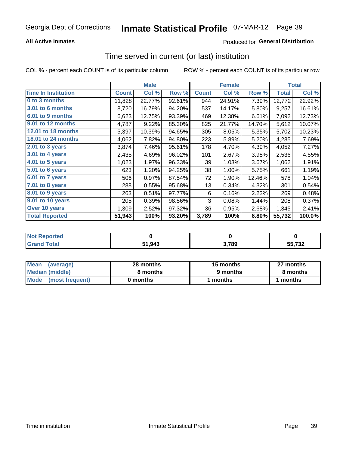## **All Active Inmates**

## Produced for General Distribution

## Time served in current (or last) institution

COL % - percent each COUNT is of its particular column

|                            |              | <b>Male</b> |        |              | <b>Female</b> |        |              | <b>Total</b> |
|----------------------------|--------------|-------------|--------|--------------|---------------|--------|--------------|--------------|
| <b>Time In Institution</b> | <b>Count</b> | Col %       | Row %  | <b>Count</b> | Col %         | Row %  | <b>Total</b> | Col %        |
| 0 to 3 months              | 11,828       | 22.77%      | 92.61% | 944          | 24.91%        | 7.39%  | 12,772       | 22.92%       |
| <b>3.01 to 6 months</b>    | 8,720        | 16.79%      | 94.20% | 537          | 14.17%        | 5.80%  | 9,257        | 16.61%       |
| 6.01 to 9 months           | 6,623        | 12.75%      | 93.39% | 469          | 12.38%        | 6.61%  | 7,092        | 12.73%       |
| 9.01 to 12 months          | 4,787        | 9.22%       | 85.30% | 825          | 21.77%        | 14.70% | 5,612        | 10.07%       |
| 12.01 to 18 months         | 5,397        | 10.39%      | 94.65% | 305          | 8.05%         | 5.35%  | 5,702        | 10.23%       |
| <b>18.01 to 24 months</b>  | 4,062        | 7.82%       | 94.80% | 223          | 5.89%         | 5.20%  | 4,285        | 7.69%        |
| $2.01$ to 3 years          | 3,874        | 7.46%       | 95.61% | 178          | 4.70%         | 4.39%  | 4,052        | 7.27%        |
| 3.01 to 4 years            | 2,435        | 4.69%       | 96.02% | 101          | 2.67%         | 3.98%  | 2,536        | 4.55%        |
| $4.01$ to 5 years          | 1,023        | 1.97%       | 96.33% | 39           | 1.03%         | 3.67%  | 1,062        | 1.91%        |
| 5.01 to 6 years            | 623          | 1.20%       | 94.25% | 38           | 1.00%         | 5.75%  | 661          | 1.19%        |
| $6.01$ to 7 years          | 506          | 0.97%       | 87.54% | 72           | 1.90%         | 12.46% | 578          | 1.04%        |
| 7.01 to 8 years            | 288          | 0.55%       | 95.68% | 13           | 0.34%         | 4.32%  | 301          | 0.54%        |
| $8.01$ to 9 years          | 263          | 0.51%       | 97.77% | 6            | 0.16%         | 2.23%  | 269          | 0.48%        |
| 9.01 to 10 years           | 205          | 0.39%       | 98.56% | 3            | 0.08%         | 1.44%  | 208          | 0.37%        |
| Over 10 years              | 1,309        | 2.52%       | 97.32% | 36           | 0.95%         | 2.68%  | 1,345        | 2.41%        |
| <b>Total Reported</b>      | 51,943       | 100%        | 93.20% | 3,789        | 100%          | 6.80%  | 55,732       | 100.0%       |

| NO1<br>onreg |        |       |                          |
|--------------|--------|-------|--------------------------|
| ntar         | 51,943 | 3,789 | $F = 700$<br>ے ۔<br>$ -$ |

| <b>Mean</b><br>(average) | 28 months | 15 months | 27 months |  |
|--------------------------|-----------|-----------|-----------|--|
| Median (middle)          | 8 months  | 9 months  | 8 months  |  |
| Mode<br>(most frequent)  | 0 months  | months    | ∖ months  |  |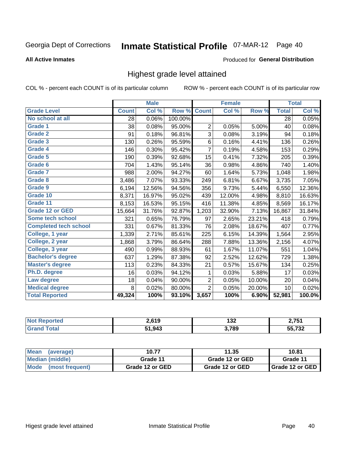# Inmate Statistical Profile 07-MAR-12 Page 40

### **All Active Inmates**

### **Produced for General Distribution**

## Highest grade level attained

COL % - percent each COUNT is of its particular column

|                              |              | <b>Male</b> |         |                | <b>Female</b> |        |              | <b>Total</b> |
|------------------------------|--------------|-------------|---------|----------------|---------------|--------|--------------|--------------|
| <b>Grade Level</b>           | <b>Count</b> | Col %       | Row %   | <b>Count</b>   | Col %         | Row %  | <b>Total</b> | Col %        |
| No school at all             | 28           | 0.06%       | 100.00% |                |               |        | 28           | 0.05%        |
| Grade 1                      | 38           | 0.08%       | 95.00%  | $\overline{2}$ | 0.05%         | 5.00%  | 40           | 0.08%        |
| Grade 2                      | 91           | 0.18%       | 96.81%  | 3              | 0.08%         | 3.19%  | 94           | 0.18%        |
| Grade 3                      | 130          | 0.26%       | 95.59%  | $\,6$          | 0.16%         | 4.41%  | 136          | 0.26%        |
| Grade 4                      | 146          | 0.30%       | 95.42%  | $\overline{7}$ | 0.19%         | 4.58%  | 153          | 0.29%        |
| <b>Grade 5</b>               | 190          | 0.39%       | 92.68%  | 15             | 0.41%         | 7.32%  | 205          | 0.39%        |
| Grade 6                      | 704          | 1.43%       | 95.14%  | 36             | 0.98%         | 4.86%  | 740          | 1.40%        |
| <b>Grade 7</b>               | 988          | 2.00%       | 94.27%  | 60             | 1.64%         | 5.73%  | 1,048        | 1.98%        |
| Grade 8                      | 3,486        | 7.07%       | 93.33%  | 249            | 6.81%         | 6.67%  | 3,735        | 7.05%        |
| <b>Grade 9</b>               | 6,194        | 12.56%      | 94.56%  | 356            | 9.73%         | 5.44%  | 6,550        | 12.36%       |
| Grade 10                     | 8,371        | 16.97%      | 95.02%  | 439            | 12.00%        | 4.98%  | 8,810        | 16.63%       |
| Grade 11                     | 8,153        | 16.53%      | 95.15%  | 416            | 11.38%        | 4.85%  | 8,569        | 16.17%       |
| <b>Grade 12 or GED</b>       | 15,664       | 31.76%      | 92.87%  | 1,203          | 32.90%        | 7.13%  | 16,867       | 31.84%       |
| <b>Some tech school</b>      | 321          | 0.65%       | 76.79%  | 97             | 2.65%         | 23.21% | 418          | 0.79%        |
| <b>Completed tech school</b> | 331          | 0.67%       | 81.33%  | 76             | 2.08%         | 18.67% | 407          | 0.77%        |
| College, 1 year              | 1,339        | 2.71%       | 85.61%  | 225            | 6.15%         | 14.39% | 1,564        | 2.95%        |
| College, 2 year              | 1,868        | 3.79%       | 86.64%  | 288            | 7.88%         | 13.36% | 2,156        | 4.07%        |
| College, 3 year              | 490          | 0.99%       | 88.93%  | 61             | 1.67%         | 11.07% | 551          | 1.04%        |
| <b>Bachelor's degree</b>     | 637          | 1.29%       | 87.38%  | 92             | 2.52%         | 12.62% | 729          | 1.38%        |
| <b>Master's degree</b>       | 113          | 0.23%       | 84.33%  | 21             | 0.57%         | 15.67% | 134          | 0.25%        |
| Ph.D. degree                 | 16           | 0.03%       | 94.12%  | 1              | 0.03%         | 5.88%  | 17           | 0.03%        |
| Law degree                   | 18           | 0.04%       | 90.00%  | 2              | 0.05%         | 10.00% | 20           | 0.04%        |
| <b>Medical degree</b>        | 8            | 0.02%       | 80.00%  | $\overline{2}$ | 0.05%         | 20.00% | 10           | 0.02%        |
| <b>Total Reported</b>        | 49,324       | 100%        | 93.10%  | 3,657          | 100%          | 6.90%  | 52,981       | 100.0%       |

| <b>Not Reported</b>    | 2.619  | 199<br>IJZ. | ク フロイ         |
|------------------------|--------|-------------|---------------|
| <b>Total</b><br>'Grano | 51,943 | 3,789       | 55732<br>∠د ا |

| <b>Mean</b><br>(average)       | 10.77           | 11.35           | 10.81                    |
|--------------------------------|-----------------|-----------------|--------------------------|
| Median (middle)                | Grade 11        | Grade 12 or GED | Grade 11                 |
| <b>Mode</b><br>(most frequent) | Grade 12 or GED | Grade 12 or GED | <b>I</b> Grade 12 or GED |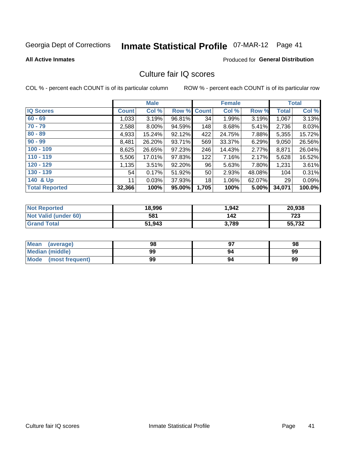# Inmate Statistical Profile 07-MAR-12 Page 41

**All Active Inmates** 

### **Produced for General Distribution**

## Culture fair IQ scores

COL % - percent each COUNT is of its particular column

|                       |              | <b>Male</b> |             |       | <b>Female</b> |          |              | <b>Total</b> |
|-----------------------|--------------|-------------|-------------|-------|---------------|----------|--------------|--------------|
| <b>IQ Scores</b>      | <b>Count</b> | Col %       | Row % Count |       | Col %         | Row %    | <b>Total</b> | Col %        |
| $60 - 69$             | 1,033        | 3.19%       | 96.81%      | 34    | 1.99%         | 3.19%    | 1,067        | 3.13%        |
| $70 - 79$             | 2,588        | 8.00%       | 94.59%      | 148   | 8.68%         | 5.41%    | 2,736        | 8.03%        |
| $80 - 89$             | 4,933        | 15.24%      | 92.12%      | 422   | 24.75%        | 7.88%    | 5,355        | 15.72%       |
| $90 - 99$             | 8,481        | 26.20%      | 93.71%      | 569   | 33.37%        | 6.29%    | 9,050        | 26.56%       |
| $100 - 109$           | 8,625        | 26.65%      | 97.23%      | 246   | 14.43%        | 2.77%    | 8,871        | 26.04%       |
| $110 - 119$           | 5,506        | 17.01%      | 97.83%      | 122   | 7.16%         | 2.17%    | 5,628        | 16.52%       |
| $120 - 129$           | 1,135        | 3.51%       | 92.20%      | 96    | 5.63%         | 7.80%    | 1,231        | 3.61%        |
| $130 - 139$           | 54           | 0.17%       | 51.92%      | 50    | 2.93%         | 48.08%   | 104          | 0.31%        |
| 140 & Up              | 11           | 0.03%       | 37.93%      | 18    | 1.06%         | 62.07%   | 29           | 0.09%        |
| <b>Total Reported</b> | 32,366       | 100%        | 95.00%      | 1,705 | 100%          | $5.00\%$ | 34,071       | 100.0%       |

| <b>Not Reported</b>         | 18,996 | 1,942 | 20,938 |
|-----------------------------|--------|-------|--------|
| <b>Not Valid (under 60)</b> | 581    | 142   | 723    |
| <b>Grand Total</b>          | 51,943 | 3.789 | 55,732 |

| Mean<br>(average)       | 98 |    | 98 |
|-------------------------|----|----|----|
| <b>Median (middle)</b>  | 99 | 94 | 99 |
| Mode<br>(most frequent) | 99 | 94 | 99 |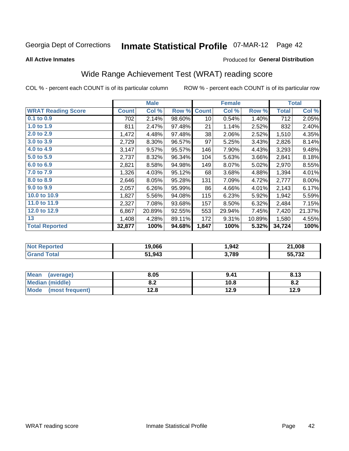# Inmate Statistical Profile 07-MAR-12 Page 42

**All Active Inmates** 

### Produced for General Distribution

## Wide Range Achievement Test (WRAT) reading score

COL % - percent each COUNT is of its particular column

|                           |              | <b>Male</b> |        |                 | <b>Female</b> |        |              | <b>Total</b> |
|---------------------------|--------------|-------------|--------|-----------------|---------------|--------|--------------|--------------|
| <b>WRAT Reading Score</b> | <b>Count</b> | Col %       | Row %  | <b>Count</b>    | Col %         | Row %  | <b>Total</b> | Col %        |
| 0.1 to 0.9                | 702          | 2.14%       | 98.60% | 10 <sup>1</sup> | 0.54%         | 1.40%  | 712          | 2.05%        |
| 1.0 to 1.9                | 811          | 2.47%       | 97.48% | 21              | 1.14%         | 2.52%  | 832          | 2.40%        |
| 2.0 to 2.9                | 1,472        | 4.48%       | 97.48% | 38              | 2.06%         | 2.52%  | 1,510        | 4.35%        |
| 3.0 to 3.9                | 2,729        | 8.30%       | 96.57% | 97              | 5.25%         | 3.43%  | 2,826        | 8.14%        |
| 4.0 to 4.9                | 3,147        | 9.57%       | 95.57% | 146             | 7.90%         | 4.43%  | 3,293        | 9.48%        |
| 5.0 to 5.9                | 2,737        | 8.32%       | 96.34% | 104             | 5.63%         | 3.66%  | 2,841        | 8.18%        |
| 6.0 to 6.9                | 2,821        | 8.58%       | 94.98% | 149             | 8.07%         | 5.02%  | 2,970        | 8.55%        |
| 7.0 to 7.9                | 1,326        | 4.03%       | 95.12% | 68              | 3.68%         | 4.88%  | 1,394        | 4.01%        |
| 8.0 to 8.9                | 2,646        | 8.05%       | 95.28% | 131             | 7.09%         | 4.72%  | 2,777        | 8.00%        |
| 9.0 to 9.9                | 2,057        | 6.26%       | 95.99% | 86              | 4.66%         | 4.01%  | 2,143        | 6.17%        |
| 10.0 to 10.9              | 1,827        | 5.56%       | 94.08% | 115             | 6.23%         | 5.92%  | 1,942        | 5.59%        |
| 11.0 to 11.9              | 2,327        | 7.08%       | 93.68% | 157             | 8.50%         | 6.32%  | 2,484        | 7.15%        |
| 12.0 to 12.9              | 6,867        | 20.89%      | 92.55% | 553             | 29.94%        | 7.45%  | 7,420        | 21.37%       |
| 13                        | 1,408        | 4.28%       | 89.11% | 172             | 9.31%         | 10.89% | 1,580        | 4.55%        |
| <b>Total Reported</b>     | 32,877       | 100%        | 94.68% | 1,847           | 100%          | 5.32%  | 34,724       | 100%         |

| Reported<br>' N∩t | 19,066 | 1,942 | 21,008           |
|-------------------|--------|-------|------------------|
| <b>otal</b>       | 51,943 | 3,789 | EE 700<br>33.73Z |

| Mean<br>(average)    | 8.05       | 9.41 | 8.13 |
|----------------------|------------|------|------|
| Median (middle)      | י ה<br>0.Z | 10.8 | 0.Z  |
| Mode (most frequent) | 12.8       | 12.9 | 12.9 |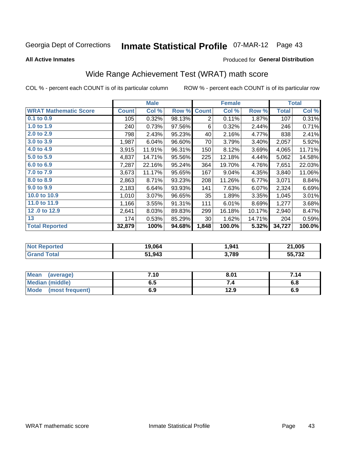# Inmate Statistical Profile 07-MAR-12 Page 43

**All Active Inmates** 

### Produced for General Distribution

## Wide Range Achievement Test (WRAT) math score

COL % - percent each COUNT is of its particular column

|                              |              | <b>Male</b> |        |                | <b>Female</b> |        |              | <b>Total</b> |
|------------------------------|--------------|-------------|--------|----------------|---------------|--------|--------------|--------------|
| <b>WRAT Mathematic Score</b> | <b>Count</b> | Col %       | Row %  | <b>Count</b>   | Col %         | Row %  | <b>Total</b> | Col %        |
| $0.1$ to $0.9$               | 105          | 0.32%       | 98.13% | $\overline{2}$ | 0.11%         | 1.87%  | 107          | 0.31%        |
| 1.0 to 1.9                   | 240          | 0.73%       | 97.56% | 6              | 0.32%         | 2.44%  | 246          | 0.71%        |
| 2.0 to 2.9                   | 798          | 2.43%       | 95.23% | 40             | 2.16%         | 4.77%  | 838          | 2.41%        |
| 3.0 to 3.9                   | 1,987        | 6.04%       | 96.60% | 70             | 3.79%         | 3.40%  | 2,057        | 5.92%        |
| 4.0 to 4.9                   | 3,915        | 11.91%      | 96.31% | 150            | 8.12%         | 3.69%  | 4,065        | 11.71%       |
| 5.0 to 5.9                   | 4,837        | 14.71%      | 95.56% | 225            | 12.18%        | 4.44%  | 5,062        | 14.58%       |
| 6.0 to 6.9                   | 7,287        | 22.16%      | 95.24% | 364            | 19.70%        | 4.76%  | 7,651        | 22.03%       |
| 7.0 to 7.9                   | 3,673        | 11.17%      | 95.65% | 167            | 9.04%         | 4.35%  | 3,840        | 11.06%       |
| 8.0 to 8.9                   | 2,863        | 8.71%       | 93.23% | 208            | 11.26%        | 6.77%  | 3,071        | 8.84%        |
| 9.0 to 9.9                   | 2,183        | 6.64%       | 93.93% | 141            | 7.63%         | 6.07%  | 2,324        | 6.69%        |
| 10.0 to 10.9                 | 1,010        | 3.07%       | 96.65% | 35             | 1.89%         | 3.35%  | 1,045        | 3.01%        |
| 11.0 to 11.9                 | 1,166        | 3.55%       | 91.31% | 111            | 6.01%         | 8.69%  | 1,277        | 3.68%        |
| 12.0 to 12.9                 | 2,641        | 8.03%       | 89.83% | 299            | 16.18%        | 10.17% | 2,940        | 8.47%        |
| 13                           | 174          | 0.53%       | 85.29% | 30             | 1.62%         | 14.71% | 204          | 0.59%        |
| <b>Total Reported</b>        | 32,879       | 100%        | 94.68% | 1,848          | 100.0%        | 5.32%  | 34,727       | 100.0%       |
|                              |              |             |        |                |               |        |              |              |

| <b>Not Reported</b> | 19,064 | 1,941 | 21,005 |
|---------------------|--------|-------|--------|
| <b>Grand Total</b>  | 51,943 | 3,789 | 55,732 |

| Mean (average)         | 7.10 | 8.01 | 7.14 |
|------------------------|------|------|------|
| <b>Median (middle)</b> | ง. ว | 54   | o.o  |
| Mode (most frequent)   | 6.9  | 12.9 | 6.9  |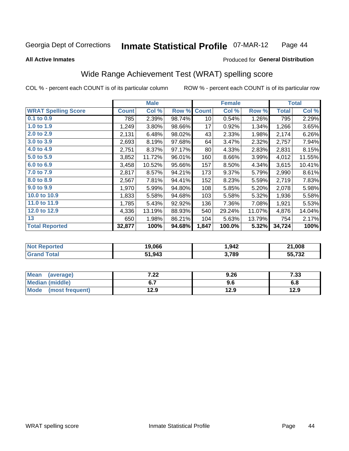#### **Inmate Statistical Profile O7-MAR-12** Page 44

### **All Active Inmates**

## Produced for General Distribution

## Wide Range Achievement Test (WRAT) spelling score

COL % - percent each COUNT is of its particular column

|                            |              | <b>Male</b> |        |              | <b>Female</b> |        |              | <b>Total</b> |
|----------------------------|--------------|-------------|--------|--------------|---------------|--------|--------------|--------------|
| <b>WRAT Spelling Score</b> | <b>Count</b> | Col %       | Row %  | <b>Count</b> | Col %         | Row %  | <b>Total</b> | Col %        |
| $0.1$ to $0.9$             | 785          | 2.39%       | 98.74% | 10           | 0.54%         | 1.26%  | 795          | 2.29%        |
| 1.0 to 1.9                 | 1,249        | 3.80%       | 98.66% | 17           | 0.92%         | 1.34%  | 1,266        | 3.65%        |
| 2.0 to 2.9                 | 2,131        | 6.48%       | 98.02% | 43           | 2.33%         | 1.98%  | 2,174        | 6.26%        |
| 3.0 to 3.9                 | 2,693        | 8.19%       | 97.68% | 64           | 3.47%         | 2.32%  | 2,757        | 7.94%        |
| 4.0 to 4.9                 | 2,751        | 8.37%       | 97.17% | 80           | 4.33%         | 2.83%  | 2,831        | 8.15%        |
| 5.0 to 5.9                 | 3,852        | 11.72%      | 96.01% | 160          | 8.66%         | 3.99%  | 4,012        | 11.55%       |
| 6.0 to 6.9                 | 3,458        | 10.52%      | 95.66% | 157          | 8.50%         | 4.34%  | 3,615        | 10.41%       |
| 7.0 to 7.9                 | 2,817        | 8.57%       | 94.21% | 173          | 9.37%         | 5.79%  | 2,990        | 8.61%        |
| 8.0 to 8.9                 | 2,567        | 7.81%       | 94.41% | 152          | 8.23%         | 5.59%  | 2,719        | 7.83%        |
| 9.0 to 9.9                 | 1,970        | 5.99%       | 94.80% | 108          | 5.85%         | 5.20%  | 2,078        | 5.98%        |
| 10.0 to 10.9               | 1,833        | 5.58%       | 94.68% | 103          | 5.58%         | 5.32%  | 1,936        | 5.58%        |
| 11.0 to 11.9               | 1,785        | 5.43%       | 92.92% | 136          | 7.36%         | 7.08%  | 1,921        | 5.53%        |
| 12.0 to 12.9               | 4,336        | 13.19%      | 88.93% | 540          | 29.24%        | 11.07% | 4,876        | 14.04%       |
| 13                         | 650          | 1.98%       | 86.21% | 104          | 5.63%         | 13.79% | 754          | 2.17%        |
| <b>Total Reported</b>      | 32,877       | 100%        | 94.68% | 1,847        | 100.0%        | 5.32%  | 34,724       | 100%         |

| Reported<br>' N∩t | 19,066 | 1,942 | 21,008           |
|-------------------|--------|-------|------------------|
| <b>otal</b>       | 51,943 | 3,789 | EE 700<br>33.73Z |

| Mean<br>(average)    | ר ר<br>.22 | 9.26 | 7.33 |
|----------------------|------------|------|------|
| Median (middle)      |            | 9.6  | 6.8  |
| Mode (most frequent) | 12.9       | 12.9 | 12.9 |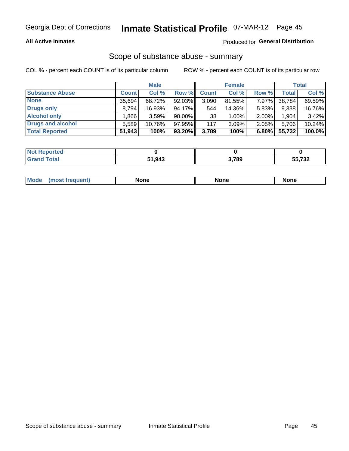### **All Active Inmates**

## Produced for General Distribution

# Scope of substance abuse - summary

COL % - percent each COUNT is of its particular column

|                        |              | <b>Male</b> |           |              | <b>Female</b> |          |              | <b>Total</b> |
|------------------------|--------------|-------------|-----------|--------------|---------------|----------|--------------|--------------|
| <b>Substance Abuse</b> | <b>Count</b> | Col %       | Row %     | <b>Count</b> | Col %         | Row %    | <b>Total</b> | Col %        |
| <b>None</b>            | 35.694       | 68.72%      | 92.03%    | 3,090        | 81.55%        | 7.97%    | 38,784       | 69.59%       |
| <b>Drugs only</b>      | 8.794        | 16.93%      | 94.17%    | 544          | 14.36%        | $5.83\%$ | 9,338        | 16.76%       |
| <b>Alcohol only</b>    | .866         | 3.59%       | 98.00%    | 38           | $1.00\%$      | 2.00%    | 1,904        | 3.42%        |
| Drugs and alcohol      | 5.589        | $10.76\%$   | 97.95%    | 117          | 3.09%         | 2.05%    | 5,706        | 10.24%       |
| <b>Total Reported</b>  | 51,943       | 100%        | $93.20\%$ | 3,789        | 100%          | 6.80%    | 55,732       | 100.0%       |

| <b>Not Reported</b> |        |       |                            |
|---------------------|--------|-------|----------------------------|
| <b>Grand Total</b>  | 51,943 | 3,789 | $F = 700$<br>70 J.<br>---- |

| Mode<br>None<br>None<br>None<br>quenu |
|---------------------------------------|
|---------------------------------------|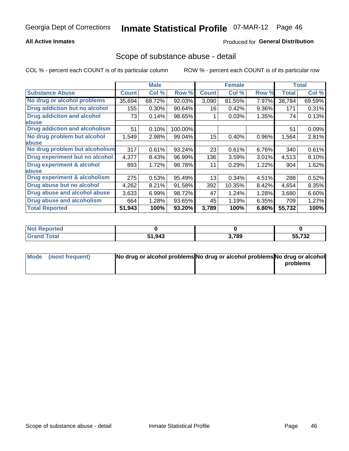### **All Active Inmates**

## Produced for General Distribution

## Scope of substance abuse - detail

COL % - percent each COUNT is of its particular column

|                                      |              | <b>Male</b> |         |              | <b>Female</b> |          |              | <b>Total</b> |
|--------------------------------------|--------------|-------------|---------|--------------|---------------|----------|--------------|--------------|
| <b>Substance Abuse</b>               | <b>Count</b> | Col %       | Row %   | <b>Count</b> | Col %         | Row %    | <b>Total</b> | Col %        |
| No drug or alcohol problems          | 35,694       | 68.72%      | 92.03%  | 3,090        | 81.55%        | 7.97%    | 38,784       | 69.59%       |
| Drug addiction but no alcohol        | 155          | 0.30%       | 90.64%  | 16           | 0.42%         | 9.36%    | 171          | 0.31%        |
| <b>Drug addiction and alcohol</b>    | 73           | 0.14%       | 98.65%  |              | 0.03%         | 1.35%    | 74           | 0.13%        |
| abuse                                |              |             |         |              |               |          |              |              |
| <b>Drug addiction and alcoholism</b> | 51           | 0.10%       | 100.00% |              |               |          | 51           | 0.09%        |
| No drug problem but alcohol          | 1,549        | 2.98%       | 99.04%  | 15           | 0.40%         | $0.96\%$ | 1,564        | 2.81%        |
| <b>labuse</b>                        |              |             |         |              |               |          |              |              |
| No drug problem but alcoholism       | 317          | 0.61%       | 93.24%  | 23           | 0.61%         | 6.76%    | 340          | 0.61%        |
| Drug experiment but no alcohol       | 4,377        | 8.43%       | 96.99%  | 136          | 3.59%         | 3.01%    | 4,513        | 8.10%        |
| <b>Drug experiment &amp; alcohol</b> | 893          | 1.72%       | 98.78%  | 11           | 0.29%         | 1.22%    | 904          | 1.62%        |
| <b>labuse</b>                        |              |             |         |              |               |          |              |              |
| Drug experiment & alcoholism         | 275          | 0.53%       | 95.49%  | 13           | 0.34%         | 4.51%    | 288          | 0.52%        |
| Drug abuse but no alcohol            | 4,262        | 8.21%       | 91.58%  | 392          | 10.35%        | 8.42%    | 4,654        | 8.35%        |
| Drug abuse and alcohol abuse         | 3,633        | 6.99%       | 98.72%  | 47           | 1.24%         | 1.28%    | 3,680        | 6.60%        |
| <b>Drug abuse and alcoholism</b>     | 664          | 1.28%       | 93.65%  | 45           | 1.19%         | 6.35%    | 709          | 1.27%        |
| <b>Total Reported</b>                | 51,943       | 100%        | 93.20%  | 3,789        | 100%          | 6.80%    | 55,732       | 100%         |

| <b>ported</b><br>NOT |        |       |                      |
|----------------------|--------|-------|----------------------|
| <b>otal</b>          | 51,943 | 3,789 | EE 700<br>1 J L<br>. |

| Mode (most frequent) | No drug or alcohol problems No drug or alcohol problems No drug or alcohol |          |
|----------------------|----------------------------------------------------------------------------|----------|
|                      |                                                                            | problems |
|                      |                                                                            |          |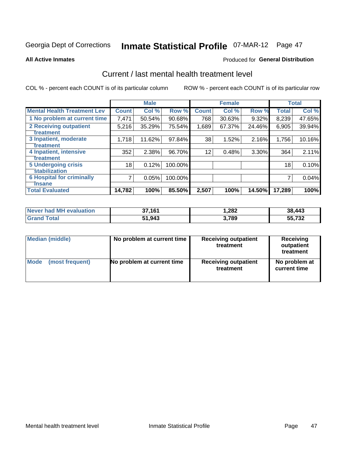# Inmate Statistical Profile 07-MAR-12 Page 47

**All Active Inmates** 

### **Produced for General Distribution**

## Current / last mental health treatment level

COL % - percent each COUNT is of its particular column

|                                    |              | <b>Male</b> |         |              | <b>Female</b> |          |              | <b>Total</b> |
|------------------------------------|--------------|-------------|---------|--------------|---------------|----------|--------------|--------------|
| <b>Mental Health Treatment Lev</b> | <b>Count</b> | Col %       | Row %   | <b>Count</b> | Col %         | Row %    | <b>Total</b> | Col %        |
| 1 No problem at current time       | 7,471        | 50.54%      | 90.68%  | 768          | 30.63%        | 9.32%    | 8,239        | 47.65%       |
| 2 Receiving outpatient             | 5,216        | 35.29%      | 75.54%  | 1,689        | 67.37%        | 24.46%   | 6,905        | 39.94%       |
| <b>Treatment</b>                   |              |             |         |              |               |          |              |              |
| 3 Inpatient, moderate              | 1,718        | 11.62%      | 97.84%  | 38           | 1.52%         | 2.16%    | 1,756        | 10.16%       |
| Treatment                          |              |             |         |              |               |          |              |              |
| 4 Inpatient, intensive             | 352          | 2.38%       | 96.70%  | 12           | 0.48%         | $3.30\%$ | 364          | 2.11%        |
| Treatment                          |              |             |         |              |               |          |              |              |
| 5 Undergoing crisis                | 18           | 0.12%       | 100.00% |              |               |          | 18           | 0.10%        |
| <b>stabilization</b>               |              |             |         |              |               |          |              |              |
| <b>6 Hospital for criminally</b>   | 7            | 0.05%       | 100.00% |              |               |          |              | 0.04%        |
| <b>Tinsane</b>                     |              |             |         |              |               |          |              |              |
| <b>Total Evaluated</b>             | 14,782       | 100%        | 85.50%  | 2,507        | 100%          | 14.50%   | 17,289       | 100%         |

| Never had MH evaluation | 37,161 | 282. ا | 38,443 |
|-------------------------|--------|--------|--------|
| <b>Grand Total</b>      | 51,943 | 3,789  | 55,732 |

| Median (middle) | No problem at current time | <b>Receiving outpatient</b><br>treatment | <b>Receiving</b><br>outpatient<br>treatment |
|-----------------|----------------------------|------------------------------------------|---------------------------------------------|
| <b>Mode</b>     | No problem at current time | <b>Receiving outpatient</b>              | No problem at                               |
| (most frequent) |                            | treatment                                | current time                                |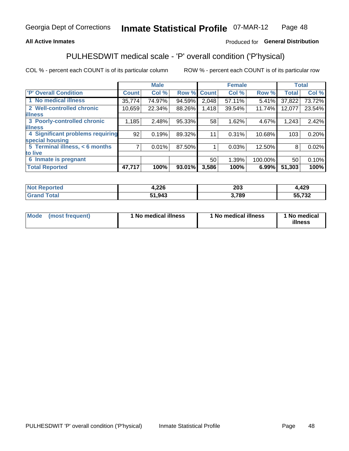### **All Active Inmates**

## Produced for General Distribution

## PULHESDWIT medical scale - 'P' overall condition ('P'hysical)

COL % - percent each COUNT is of its particular column

|                                  |              | <b>Male</b> |        |              | <b>Female</b> |         |              | <b>Total</b> |
|----------------------------------|--------------|-------------|--------|--------------|---------------|---------|--------------|--------------|
| 'P' Overall Condition            | <b>Count</b> | Col %       | Row %  | <b>Count</b> | Col %         | Row %   | <b>Total</b> | Col %        |
| 1 No medical illness             | 35,774       | 74.97%      | 94.59% | 2,048        | 57.11%        | 5.41%   | 37,822       | 73.72%       |
| 2 Well-controlled chronic        | 10,659       | 22.34%      | 88.26% | 1,418        | 39.54%        | 11.74%  | 12,077       | 23.54%       |
| <b>lillness</b>                  |              |             |        |              |               |         |              |              |
| 3 Poorly-controlled chronic      | 1,185        | 2.48%       | 95.33% | 58           | 1.62%         | 4.67%   | 1,243        | 2.42%        |
| <b>lillness</b>                  |              |             |        |              |               |         |              |              |
| 4 Significant problems requiring | 92           | 0.19%       | 89.32% | 11           | 0.31%         | 10.68%  | 103          | 0.20%        |
| special housing                  |              |             |        |              |               |         |              |              |
| 5 Terminal illness, < 6 months   | 7            | 0.01%       | 87.50% |              | 0.03%         | 12.50%  | 8            | 0.02%        |
| to live                          |              |             |        |              |               |         |              |              |
| 6 Inmate is pregnant             |              |             |        | 50           | 1.39%         | 100.00% | 50           | 0.10%        |
| <b>Total Reported</b>            | 47,717       | 100%        | 93.01% | 3,586        | 100%          | 6.99%   | 51,303       | 100%         |

| тес | nne<br>0 LZ. | 203  | חר ו<br>,42J     |
|-----|--------------|------|------------------|
|     | 1.042        | ,789 | FF 700<br>55,732 |

| Mode | (most frequent) | 1 No medical illness | 1 No medical illness | 1 No medical<br>illness |
|------|-----------------|----------------------|----------------------|-------------------------|
|------|-----------------|----------------------|----------------------|-------------------------|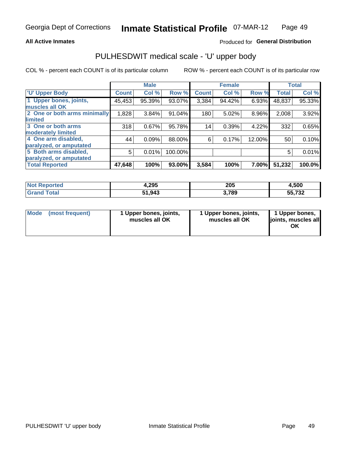### **All Active Inmates**

## Produced for General Distribution

# PULHESDWIT medical scale - 'U' upper body

COL % - percent each COUNT is of its particular column

|                              |              | <b>Male</b> |         |              | <b>Female</b> |        |              | <b>Total</b> |
|------------------------------|--------------|-------------|---------|--------------|---------------|--------|--------------|--------------|
| <b>U' Upper Body</b>         | <b>Count</b> | Col %       | Row %   | <b>Count</b> | Col %         | Row %  | <b>Total</b> | Col %        |
| 1 Upper bones, joints,       | 45,453       | 95.39%      | 93.07%  | 3,384        | 94.42%        | 6.93%  | 48,837       | 95.33%       |
| muscles all OK               |              |             |         |              |               |        |              |              |
| 2 One or both arms minimally | 1,828        | 3.84%       | 91.04%  | 180          | 5.02%         | 8.96%  | 2,008        | 3.92%        |
| limited                      |              |             |         |              |               |        |              |              |
| 3 One or both arms           | 318          | 0.67%       | 95.78%  | 14           | 0.39%         | 4.22%  | 332          | 0.65%        |
| moderately limited           |              |             |         |              |               |        |              |              |
| 4 One arm disabled,          | 44           | 0.09%       | 88.00%  | 6            | 0.17%         | 12.00% | 50           | 0.10%        |
| paralyzed, or amputated      |              |             |         |              |               |        |              |              |
| 5 Both arms disabled,        | 5            | 0.01%       | 100.00% |              |               |        | 5            | 0.01%        |
| paralyzed, or amputated      |              |             |         |              |               |        |              |              |
| <b>Total Reported</b>        | 47,648       | 100%        | 93.00%  | 3,584        | 100%          | 7.00%  | 51,232       | 100.0%       |

| <b>Not Reported</b> | 4,295  | 205   | 4,500           |
|---------------------|--------|-------|-----------------|
| Total               | 51,943 | 3,789 | E E 700         |
| <b>Grano</b>        | E4.    |       | 33. <i>I</i> 32 |

| Mode (most frequent) | 1 Upper bones, joints,<br>muscles all OK | 1 Upper bones, joints,<br>muscles all OK | 1 Upper bones,<br>joints, muscles all<br>ΟK |
|----------------------|------------------------------------------|------------------------------------------|---------------------------------------------|
|----------------------|------------------------------------------|------------------------------------------|---------------------------------------------|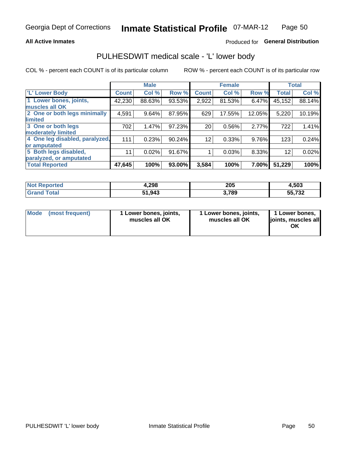### **All Active Inmates**

## Produced for General Distribution

## PULHESDWIT medical scale - 'L' lower body

COL % - percent each COUNT is of its particular column

|                                |              | <b>Male</b> |        |                 | <b>Female</b> |        |                 | <b>Total</b> |
|--------------------------------|--------------|-------------|--------|-----------------|---------------|--------|-----------------|--------------|
| 'L' Lower Body                 | <b>Count</b> | Col %       | Row %  | <b>Count</b>    | Col %         | Row %  | <b>Total</b>    | Col %        |
| 1 Lower bones, joints,         | 42,230       | 88.63%      | 93.53% | 2,922           | 81.53%        | 6.47%  | 45,152          | 88.14%       |
| muscles all OK                 |              |             |        |                 |               |        |                 |              |
| 2 One or both legs minimally   | 4,591        | 9.64%       | 87.95% | 629             | 17.55%        | 12.05% | 5,220           | 10.19%       |
| limited                        |              |             |        |                 |               |        |                 |              |
| 3 One or both legs             | 702          | 1.47%       | 97.23% | 20 <sup>1</sup> | 0.56%         | 2.77%  | 722             | 1.41%        |
| moderately limited             |              |             |        |                 |               |        |                 |              |
| 4 One leg disabled, paralyzed, | 111          | 0.23%       | 90.24% | 12 <sup>2</sup> | 0.33%         | 9.76%  | 123             | 0.24%        |
| or amputated                   |              |             |        |                 |               |        |                 |              |
| 5 Both legs disabled,          | 11           | 0.02%       | 91.67% |                 | 0.03%         | 8.33%  | 12 <sup>2</sup> | 0.02%        |
| paralyzed, or amputated        |              |             |        |                 |               |        |                 |              |
| <b>Total Reported</b>          | 47,645       | 100%        | 93.00% | 3,584           | 100%          | 7.00%  | 51,229          | 100%         |

| <b>Not Reported</b> | 4,298  | 205   | 4,503           |
|---------------------|--------|-------|-----------------|
| <b>Total</b>        | 51,943 | 3,789 | E E 700         |
| Grand               | E4.    |       | 33. <i>I</i> 32 |

| Mode | (most frequent) | 1 Lower bones, joints,<br>muscles all OK | I Lower bones, joints,<br>muscles all OK | 1 Lower bones,<br>joints, muscles all<br>ΟK |
|------|-----------------|------------------------------------------|------------------------------------------|---------------------------------------------|
|------|-----------------|------------------------------------------|------------------------------------------|---------------------------------------------|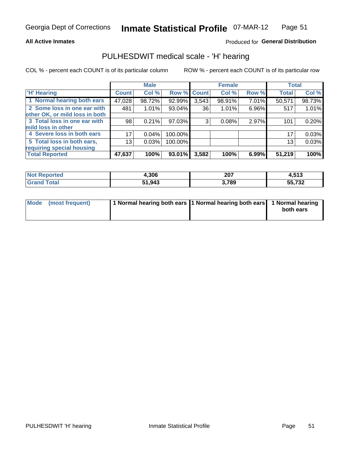### **All Active Inmates**

## Produced for General Distribution

## PULHESDWIT medical scale - 'H' hearing

COL % - percent each COUNT is of its particular column

|                                |              | <b>Male</b> |             |       | <b>Female</b> |       | <b>Total</b> |        |
|--------------------------------|--------------|-------------|-------------|-------|---------------|-------|--------------|--------|
| <b>H' Hearing</b>              | <b>Count</b> | Col %       | Row % Count |       | Col %         | Row % | <b>Total</b> | Col %  |
| 1 Normal hearing both ears     | 47,028       | 98.72%      | 92.99%      | 3,543 | 98.91%        | 7.01% | 50,571       | 98.73% |
| 2 Some loss in one ear with    | 481          | 1.01%       | 93.04%      | 36    | 1.01%         | 6.96% | 517          | 1.01%  |
| other OK, or mild loss in both |              |             |             |       |               |       |              |        |
| 3 Total loss in one ear with   | 98           | 0.21%       | 97.03%      | 3     | 0.08%         | 2.97% | 101          | 0.20%  |
| mild loss in other             |              |             |             |       |               |       |              |        |
| 4 Severe loss in both ears     | 17           | 0.04%       | 100.00%     |       |               |       | 17           | 0.03%  |
| 5 Total loss in both ears,     | 13           | 0.03%       | 100.00%     |       |               |       | 13           | 0.03%  |
| requiring special housing      |              |             |             |       |               |       |              |        |
| <b>Total Reported</b>          | 47,637       | 100%        | 93.01%      | 3,582 | 100%          | 6.99% | 51,219       | 100%   |

| <b>Not Reno</b><br><b>orted</b> | .306   | 207   | 4,513  |
|---------------------------------|--------|-------|--------|
| Total                           | 51,943 | 3,789 | 55,732 |

| Mode (most frequent) | 1 Normal hearing both ears 1 Normal hearing both ears 1 Normal hearing | both ears |
|----------------------|------------------------------------------------------------------------|-----------|
|                      |                                                                        |           |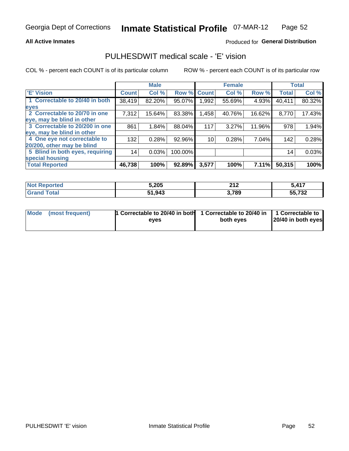### **All Active Inmates**

## Produced for General Distribution

## PULHESDWIT medical scale - 'E' vision

COL % - percent each COUNT is of its particular column

|                                 |              | <b>Male</b> |         |              | <b>Female</b> |          |              | <b>Total</b> |
|---------------------------------|--------------|-------------|---------|--------------|---------------|----------|--------------|--------------|
| <b>E' Vision</b>                | <b>Count</b> | Col %       | Row %   | <b>Count</b> | Col %         | Row %    | <b>Total</b> | Col %        |
| 1 Correctable to 20/40 in both  | 38,419       | 82.20%      | 95.07%  | .992         | 55.69%        | 4.93%    | 40,411       | 80.32%       |
| eyes                            |              |             |         |              |               |          |              |              |
| 2 Correctable to 20/70 in one   | 7,312        | 15.64%      | 83.38%  | 1,458        | 40.76%        | 16.62%   | 8,770        | 17.43%       |
| eye, may be blind in other      |              |             |         |              |               |          |              |              |
| 3 Correctable to 20/200 in one  | 861          | 1.84%       | 88.04%  | 117          | 3.27%         | 11.96%   | 978          | 1.94%        |
| eye, may be blind in other      |              |             |         |              |               |          |              |              |
| 4 One eye not correctable to    | 132          | 0.28%       | 92.96%  | 10           | 0.28%         | 7.04%    | 142          | 0.28%        |
| 20/200, other may be blind      |              |             |         |              |               |          |              |              |
| 5 Blind in both eyes, requiring | 14           | 0.03%       | 100.00% |              |               |          | 14           | 0.03%        |
| special housing                 |              |             |         |              |               |          |              |              |
| <b>Total Reported</b>           | 46,738       | 100%        | 92.89%  | 3,577        | 100%          | $7.11\%$ | 50,315       | 100%         |

| <b>Not Reported</b> | 5,205  | 24c<br>4 I 4 | 5 4 1 7    |
|---------------------|--------|--------------|------------|
| <b>fota</b>         | 51,943 | 3,789        | 55,732<br> |

| Mode (most frequent) | 1 Correctable to 20/40 in both<br>eves | 1 Correctable to 20/40 in   1 Correctable to  <br>both eves | 20/40 in both eyes |
|----------------------|----------------------------------------|-------------------------------------------------------------|--------------------|
|                      |                                        |                                                             |                    |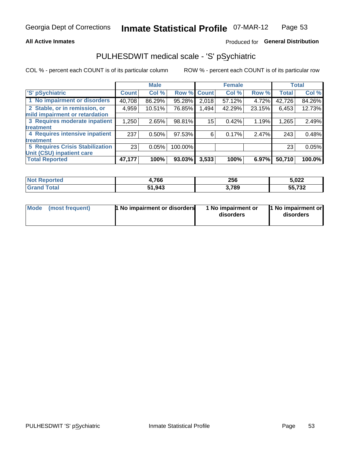### **All Active Inmates**

## Produced for General Distribution

## PULHESDWIT medical scale - 'S' pSychiatric

COL % - percent each COUNT is of its particular column

|                                        |              | <b>Male</b> |           |                    | <b>Female</b> |        |              | <b>Total</b> |
|----------------------------------------|--------------|-------------|-----------|--------------------|---------------|--------|--------------|--------------|
| 'S' pSychiatric                        | <b>Count</b> | Col %       |           | <b>Row % Count</b> | Col %         | Row %  | <b>Total</b> | Col %        |
| 1 No impairment or disorders           | 40,708       | 86.29%      | 95.28%    | 2,018              | 57.12%        | 4.72%  | 42,726       | 84.26%       |
| 2 Stable, or in remission, or          | 4,959        | 10.51%      | 76.85%    | 1,494              | 42.29%        | 23.15% | 6,453        | 12.73%       |
| mild impairment or retardation         |              |             |           |                    |               |        |              |              |
| 3 Requires moderate inpatient          | 1,250        | 2.65%       | 98.81%    | 15                 | 0.42%         | 1.19%  | 1,265        | 2.49%        |
| treatment                              |              |             |           |                    |               |        |              |              |
| 4 Requires intensive inpatient         | 237          | 0.50%       | $97.53\%$ | 6                  | 0.17%         | 2.47%  | 243          | 0.48%        |
| treatment                              |              |             |           |                    |               |        |              |              |
| <b>5 Requires Crisis Stabilization</b> | 23           | 0.05%       | 100.00%   |                    |               |        | 23           | 0.05%        |
| Unit (CSU) inpatient care              |              |             |           |                    |               |        |              |              |
| <b>Total Reported</b>                  | 47,177       | 100%        | $93.03\%$ | 3,533              | 100%          | 6.97%  | 50,710       | 100.0%       |

| Not R<br><b>Reported</b> | .766   | 256   | 5,022                     |
|--------------------------|--------|-------|---------------------------|
| Total                    | 51,943 | 3,789 | フクク<br>--<br>2د ،.<br>JJ, |

| Mode<br>1 No impairment or disorders<br>(most frequent) | 1 No impairment or<br>disorders | 1 No impairment or<br>disorders |
|---------------------------------------------------------|---------------------------------|---------------------------------|
|---------------------------------------------------------|---------------------------------|---------------------------------|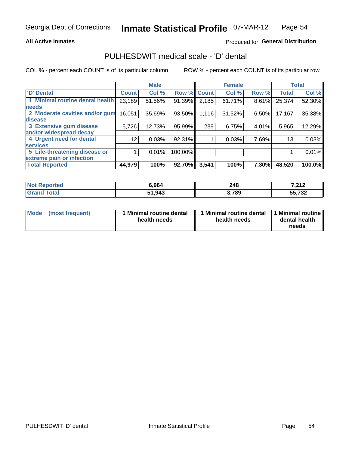### **All Active Inmates**

## Produced for General Distribution

## PULHESDWIT medical scale - 'D' dental

COL % - percent each COUNT is of its particular column

|                                 |                 | <b>Male</b> |         |              | <b>Female</b> |          |              | <b>Total</b> |
|---------------------------------|-----------------|-------------|---------|--------------|---------------|----------|--------------|--------------|
| <b>D'</b> Dental                | <b>Count</b>    | Col %       | Row %   | <b>Count</b> | Col %         | Row %    | <b>Total</b> | Col %        |
| 1 Minimal routine dental health | 23,189          | 51.56%      | 91.39%  | 2,185        | 61.71%        | $8.61\%$ | 25,374       | 52.30%       |
| <b>needs</b>                    |                 |             |         |              |               |          |              |              |
| 2 Moderate cavities and/or gum  | 16,051          | 35.69%      | 93.50%  | 1,116        | 31.52%        | 6.50%    | 17,167       | 35.38%       |
| disease                         |                 |             |         |              |               |          |              |              |
| 3 Extensive gum disease         | 5,726           | 12.73%      | 95.99%  | 239          | 6.75%         | 4.01%    | 5,965        | 12.29%       |
| and/or widespread decay         |                 |             |         |              |               |          |              |              |
| 4 Urgent need for dental        | 12 <sub>1</sub> | 0.03%       | 92.31%  |              | 0.03%         | 7.69%    | 13           | 0.03%        |
| <b>services</b>                 |                 |             |         |              |               |          |              |              |
| 5 Life-threatening disease or   |                 | 0.01%       | 100.00% |              |               |          |              | 0.01%        |
| extreme pain or infection       |                 |             |         |              |               |          |              |              |
| <b>Total Reported</b>           | 44,979          | 100%        | 92.70%  | 3,541        | 100%          | 7.30%    | 48,520       | 100.0%       |

| <b>Not Reported</b>    | 6,964  | 248   | 7,212  |
|------------------------|--------|-------|--------|
| <b>Total</b><br>'Grand | 51,943 | 3,789 | 55,732 |

| 1 Minimal routine dental<br>Mode<br>(most frequent)<br>health needs | 1 Minimal routine dental 1 Minimal routine<br>health needs | dental health<br>needs |
|---------------------------------------------------------------------|------------------------------------------------------------|------------------------|
|---------------------------------------------------------------------|------------------------------------------------------------|------------------------|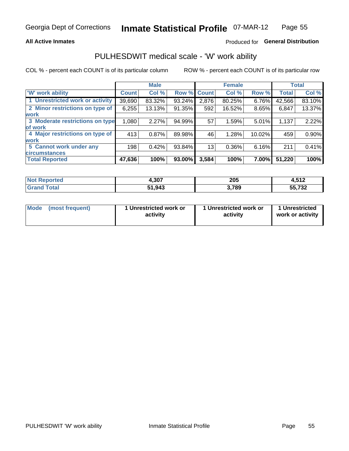### **All Active Inmates**

## Produced for General Distribution

## PULHESDWIT medical scale - 'W' work ability

COL % - percent each COUNT is of its particular column

|                                 |                    | <b>Male</b> |        |             | <b>Female</b> |        |              | <b>Total</b> |
|---------------------------------|--------------------|-------------|--------|-------------|---------------|--------|--------------|--------------|
| 'W' work ability                | Count <sup>1</sup> | Col %       |        | Row % Count | Col %         | Row %  | <b>Total</b> | Col %        |
| 1 Unrestricted work or activity | 39,690             | 83.32%      | 93.24% | 2,876       | 80.25%        | 6.76%  | 42,566       | 83.10%       |
| 2 Minor restrictions on type of | 6,255              | 13.13%      | 91.35% | 592         | 16.52%        | 8.65%  | 6,847        | 13.37%       |
| <b>work</b>                     |                    |             |        |             |               |        |              |              |
| 3 Moderate restrictions on type | 1,080              | 2.27%       | 94.99% | 57          | 1.59%         | 5.01%  | 1,137        | 2.22%        |
| lof work                        |                    |             |        |             |               |        |              |              |
| 4 Major restrictions on type of | 413                | 0.87%       | 89.98% | 46          | 1.28%         | 10.02% | 459          | 0.90%        |
| <b>work</b>                     |                    |             |        |             |               |        |              |              |
| 5 Cannot work under any         | 198                | 0.42%       | 93.84% | 13          | 0.36%         | 6.16%  | 211          | 0.41%        |
| <b>circumstances</b>            |                    |             |        |             |               |        |              |              |
| <b>Total Reported</b>           | 47,636             | 100%        | 93.00% | 3,584       | 100%          | 7.00%  | 51,220       | 100%         |

| <b>Not Reported</b> | 4,307  | 205   | <b>E49</b><br>4.J IZ |
|---------------------|--------|-------|----------------------|
| Total<br>Grand      | 51,943 | 3,789 | 55,732               |

| Mode            | 1 Unrestricted work or | 1 Unrestricted work or | 1 Unrestricted   |
|-----------------|------------------------|------------------------|------------------|
| (most frequent) | activity               | activity               | work or activity |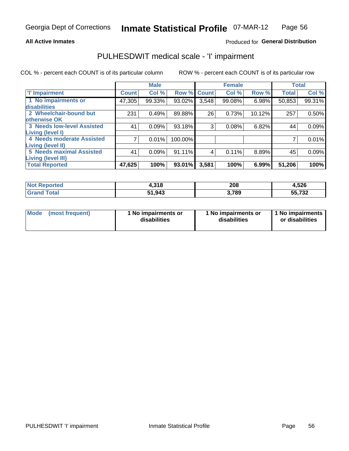### **All Active Inmates**

## Produced for General Distribution

## PULHESDWIT medical scale - 'I' impairment

COL % - percent each COUNT is of its particular column

|                                   |              | <b>Male</b> |             |       | <b>Female</b> |        |              | <b>Total</b> |
|-----------------------------------|--------------|-------------|-------------|-------|---------------|--------|--------------|--------------|
| <b>T' Impairment</b>              | <b>Count</b> | Col %       | Row % Count |       | Col %         | Row %  | <b>Total</b> | Col %        |
| 1 No impairments or               | 47,305       | 99.33%      | 93.02%      | 3,548 | 99.08%        | 6.98%  | 50,853       | 99.31%       |
| <b>disabilities</b>               |              |             |             |       |               |        |              |              |
| 2 Wheelchair-bound but            | 231          | 0.49%       | 89.88%      | 26    | 0.73%         | 10.12% | 257          | 0.50%        |
| otherwise OK                      |              |             |             |       |               |        |              |              |
| <b>3 Needs low-level Assisted</b> | 41           | 0.09%       | 93.18%      | 3     | 0.08%         | 6.82%  | 44           | 0.09%        |
| Living (level I)                  |              |             |             |       |               |        |              |              |
| 4 Needs moderate Assisted         |              | 0.01%       | 100.00%     |       |               |        |              | 0.01%        |
| Living (level II)                 |              |             |             |       |               |        |              |              |
| <b>5 Needs maximal Assisted</b>   | 41           | 0.09%       | 91.11%      | 4     | 0.11%         | 8.89%  | 45           | 0.09%        |
| <b>Living (level III)</b>         |              |             |             |       |               |        |              |              |
| <b>Total Reported</b>             | 47,625       | 100%        | 93.01%      | 3,581 | 100%          | 6.99%  | 51,206       | 100%         |

| Not F<br>Reported            | 1,318  | 208  | 4,526  |
|------------------------------|--------|------|--------|
| <b>Total</b><br><b>Grand</b> | 51,943 | ,789 | 55,732 |

| Mode | (most frequent) | 1 No impairments or<br>disabilities | 1 No impairments or<br>disabilities | 1 No impairments<br>or disabilities |
|------|-----------------|-------------------------------------|-------------------------------------|-------------------------------------|
|------|-----------------|-------------------------------------|-------------------------------------|-------------------------------------|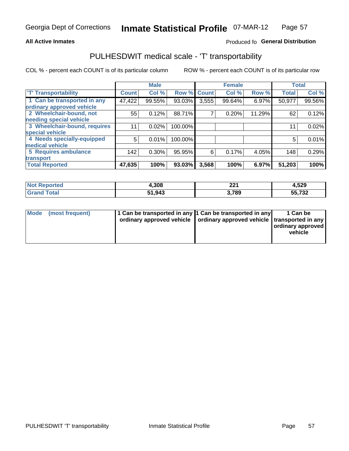### **All Active Inmates**

## Produced fo General Distribution

## PULHESDWIT medical scale - 'T' transportability

COL % - percent each COUNT is of its particular column

|                              |              | <b>Male</b> |         |              | <b>Female</b> |        |              | <b>Total</b> |
|------------------------------|--------------|-------------|---------|--------------|---------------|--------|--------------|--------------|
| <b>T' Transportability</b>   | <b>Count</b> | Col %       | Row %   | <b>Count</b> | Col %         | Row %  | <b>Total</b> | Col %        |
| 1 Can be transported in any  | 47,422       | 99.55%      | 93.03%  | 3,555        | 99.64%        | 6.97%  | 50,977       | 99.56%       |
| ordinary approved vehicle    |              |             |         |              |               |        |              |              |
| 2 Wheelchair-bound, not      | 55           | 0.12%       | 88.71%  | 7            | 0.20%         | 11.29% | 62           | 0.12%        |
| needing special vehicle      |              |             |         |              |               |        |              |              |
| 3 Wheelchair-bound, requires | 11           | 0.02%       | 100.00% |              |               |        | 11           | 0.02%        |
| special vehicle              |              |             |         |              |               |        |              |              |
| 4 Needs specially-equipped   | 5            | 0.01%       | 100.00% |              |               |        | 5            | 0.01%        |
| medical vehicle              |              |             |         |              |               |        |              |              |
| <b>5 Requires ambulance</b>  | 142          | 0.30%       | 95.95%  | 6            | 0.17%         | 4.05%  | 148          | 0.29%        |
| transport                    |              |             |         |              |               |        |              |              |
| <b>Total Reported</b>        | 47,635       | 100%        | 93.03%  | 3,568        | 100%          | 6.97%  | 51,203       | 100%         |

| <b>Not</b><br>Reported | 4,308  | nn/<br>44 I | 4,529  |
|------------------------|--------|-------------|--------|
| Total                  | 51,943 | 3,789       | 55,732 |

|  | Mode (most frequent) | 1 Can be transported in any 1 Can be transported in any<br>ordinary approved vehicle   ordinary approved vehicle   transported in any |  | 1 Can be<br>  ordinary approved  <br>vehicle |
|--|----------------------|---------------------------------------------------------------------------------------------------------------------------------------|--|----------------------------------------------|
|--|----------------------|---------------------------------------------------------------------------------------------------------------------------------------|--|----------------------------------------------|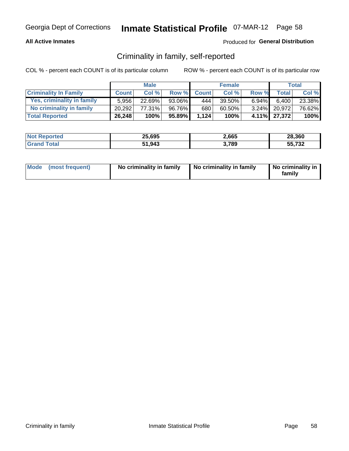### **All Active Inmates**

## Produced for General Distribution

## Criminality in family, self-reported

COL % - percent each COUNT is of its particular column

|                              |              | <b>Male</b> |        |              | <b>Female</b> |          |                 | Total  |
|------------------------------|--------------|-------------|--------|--------------|---------------|----------|-----------------|--------|
| <b>Criminality In Family</b> | <b>Count</b> | Col %       | Row %  | <b>Count</b> | Col %         | Row %    | <b>Total</b>    | Col %  |
| Yes, criminality in family   | 5.956        | 22.69%      | 93.06% | 444          | 39.50%        | $6.94\%$ | 6,400           | 23.38% |
| No criminality in family     | 20.292       | 77.31%      | 96.76% | 680          | 60.50%        |          | $3.24\%$ 20,972 | 76.62% |
| <b>Total Reported</b>        | 26,248       | 100%        | 95.89% | 1,124        | 100%          |          | 4.11% 27,372    | 100%   |

| <b>Not Reported</b> | 25,695 | 2,665 | 28,360 |
|---------------------|--------|-------|--------|
| <i>i</i> otal       | 51,943 | ,789  | 55,732 |

|  | Mode (most frequent) | No criminality in family | No criminality in family | No criminality in<br>family |
|--|----------------------|--------------------------|--------------------------|-----------------------------|
|--|----------------------|--------------------------|--------------------------|-----------------------------|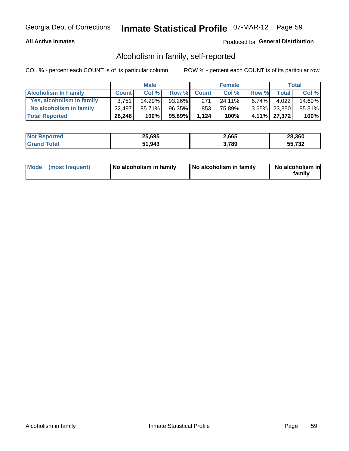### **All Active Inmates**

## Produced for General Distribution

## Alcoholism in family, self-reported

COL % - percent each COUNT is of its particular column

|                             |              | <b>Male</b> |        |              | <b>Female</b> |       |              | Total   |
|-----------------------------|--------------|-------------|--------|--------------|---------------|-------|--------------|---------|
| <b>Alcoholism In Family</b> | <b>Count</b> | Col %       | Row %  | <b>Count</b> | Col %         | Row % | <b>Total</b> | Col %   |
| Yes, alcoholism in family   | 3.751        | 14.29%      | 93.26% | 271          | 24.11%        | 6.74% | 4.022        | 14.69%  |
| No alcoholism in family     | 22.497       | 85.71%      | 96.35% | 853          | 75.89%        |       | 3.65% 23,350 | 85.31%  |
| <b>Total Reported</b>       | 26,248       | 100%        | 95.89% | 1,124        | 100%          |       | 4.11% 27,372 | $100\%$ |

| <b>Not Reported</b> | 25,695 | 2,665 | 28,360 |
|---------------------|--------|-------|--------|
| <b>Tota</b>         | 51,943 | ,789  | 55,732 |

|  | Mode (most frequent) | No alcoholism in family | No alcoholism in family | No alcoholism in<br>family |
|--|----------------------|-------------------------|-------------------------|----------------------------|
|--|----------------------|-------------------------|-------------------------|----------------------------|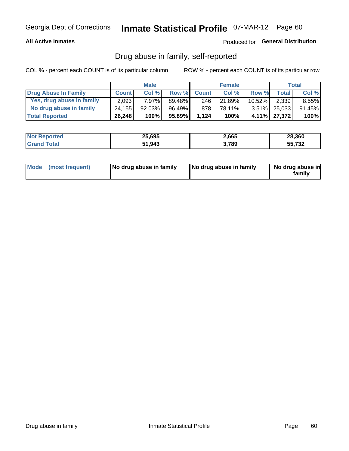## **All Active Inmates**

## Produced for General Distribution

## Drug abuse in family, self-reported

COL % - percent each COUNT is of its particular column

|                           |              | <b>Male</b> |        |              | <b>Female</b> |           |              | Total    |
|---------------------------|--------------|-------------|--------|--------------|---------------|-----------|--------------|----------|
| Drug Abuse In Family      | <b>Count</b> | Col%        | Row %  | <b>Count</b> | Col%          | Row %     | Total        | Col %    |
| Yes, drug abuse in family | 2,093        | 7.97%       | 89.48% | 246          | 21.89%        | $10.52\%$ | 2,339        | $8.55\%$ |
| No drug abuse in family   | 24.155       | $92.03\%$   | 96.49% | 878          | 78.11%        |           | 3.51% 25,033 | 91.45%   |
| <b>Total Reported</b>     | 26,248       | 100%        | 95.89% | 1.124        | 100%          |           | 4.11% 27,372 | $100\%$  |

| <b>Not Reported</b> | 25,695 | 2,665 | 28,360 |
|---------------------|--------|-------|--------|
| <b>Tota</b>         | 51,943 | ,789  | 55,732 |

|  | Mode (most frequent) | No drug abuse in family | No drug abuse in family | No drug abuse in<br>familv |
|--|----------------------|-------------------------|-------------------------|----------------------------|
|--|----------------------|-------------------------|-------------------------|----------------------------|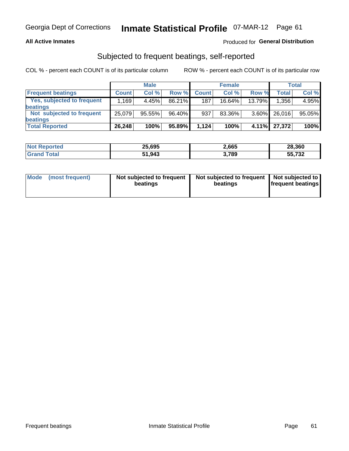### **All Active Inmates**

## Produced for General Distribution

## Subjected to frequent beatings, self-reported

COL % - percent each COUNT is of its particular column

|                            |                                  | <b>Male</b> |        |              | <b>Female</b> |           |        | Total  |
|----------------------------|----------------------------------|-------------|--------|--------------|---------------|-----------|--------|--------|
| <b>Frequent beatings</b>   | <b>Count</b>                     | Col %       | Row %  | <b>Count</b> | Col %         | Row %     | Total  | Col%   |
| Yes, subjected to frequent | $,169$ <sup><math>+</math></sup> | 4.45%       | 86.21% | 187          | $16.64\%$     | $13.79\%$ | 1,356  | 4.95%  |
| beatings                   |                                  |             |        |              |               |           |        |        |
| Not subjected to frequent  | 25,079                           | 95.55%      | 96.40% | 937          | 83.36%        | $3.60\%$  | 26,016 | 95.05% |
| beatings                   |                                  |             |        |              |               |           |        |        |
| <b>Total Reported</b>      | 26,248                           | 100%        | 95.89% | 1,124        | 100%          | 4.11%     | 27,372 | 100%   |

| <b>Not</b><br>Reported | 25,695 | 2,665 | 28,360 |
|------------------------|--------|-------|--------|
| Total                  | 51,943 | 3,789 | 55,732 |

| Mode (most frequent) | Not subjected to frequent<br>beatings | Not subjected to frequent<br>beatings | Not subjected to<br><b>frequent beatings</b> |
|----------------------|---------------------------------------|---------------------------------------|----------------------------------------------|
|                      |                                       |                                       |                                              |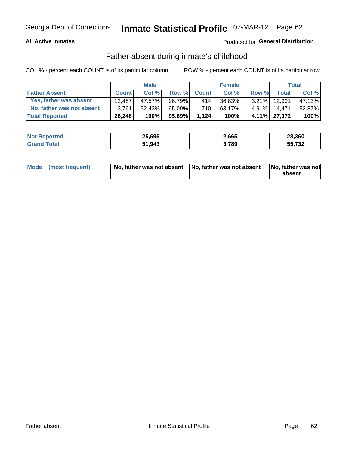### **All Active Inmates**

## Produced for General Distribution

## Father absent during inmate's childhood

COL % - percent each COUNT is of its particular column

|                           |              | <b>Male</b> |        |              | <b>Female</b> |          |              | <b>Total</b> |
|---------------------------|--------------|-------------|--------|--------------|---------------|----------|--------------|--------------|
| <b>Father Absent</b>      | <b>Count</b> | Col%        | Row %  | <b>Count</b> | Col %         | Row %    | <b>Total</b> | Col %        |
| Yes, father was absent    | 12.487       | 47.57%      | 96.79% | 414          | 36.83%        | $3.21\%$ | 12,901       | 47.13%       |
| No, father was not absent | 13.761       | $52.43\%$   | 95.09% | 710          | 63.17%        | $4.91\%$ | 14.471       | 52.87%       |
| <b>Total Reported</b>     | 26,248       | 100%        | 95.89% | 1.124        | 100%          |          | 4.11% 27,372 | 100%         |

| <b>Not Reported</b> | 25,695 | 2,665 | 28,360 |
|---------------------|--------|-------|--------|
| <b>Grand Total</b>  | 51,943 | 3,789 | 55,732 |

|  | Mode (most frequent) | No, father was not absent No, father was not absent |  | No, father was not<br>absent |
|--|----------------------|-----------------------------------------------------|--|------------------------------|
|--|----------------------|-----------------------------------------------------|--|------------------------------|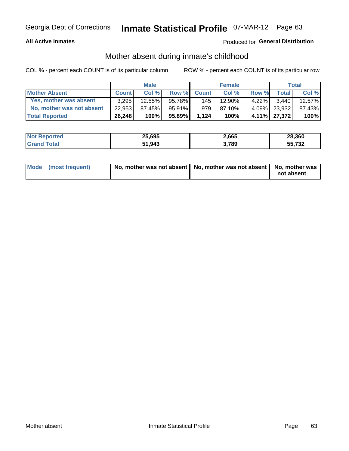### **All Active Inmates**

## Produced for General Distribution

## Mother absent during inmate's childhood

COL % - percent each COUNT is of its particular column

|                           |              | <b>Male</b> |        |              | <b>Female</b> |          |              | Total  |
|---------------------------|--------------|-------------|--------|--------------|---------------|----------|--------------|--------|
| <b>Mother Absent</b>      | <b>Count</b> | Col%        | Row %  | <b>Count</b> | Col %         | Row %    | <b>Total</b> | Col %  |
| Yes, mother was absent    | 3.295        | 12.55%      | 95.78% | 145          | 12.90%        | $4.22\%$ | 3.440        | 12.57% |
| No, mother was not absent | 22.953       | 87.45%      | 95.91% | 979          | 87.10%        | $4.09\%$ | 23,932       | 87.43% |
| <b>Total Reported</b>     | 26,248       | 100%        | 95.89% | 1.124        | 100%          |          | 4.11% 27,372 | 100%   |

| <b>Not Reported</b> | 25,695 | 2,665 | 28,360 |
|---------------------|--------|-------|--------|
| <i>i</i> otal       | 51,943 | ,789  | 55,732 |

| Mode (most frequent) | No, mother was not absent   No, mother was not absent   No, mother was | not absent |
|----------------------|------------------------------------------------------------------------|------------|
|                      |                                                                        |            |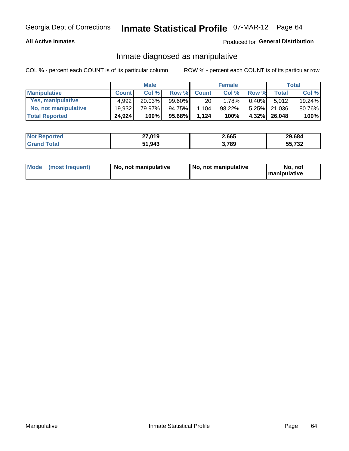### **All Active Inmates**

## Produced for General Distribution

## Inmate diagnosed as manipulative

COL % - percent each COUNT is of its particular column

|                       |              | <b>Male</b> |        |              | <b>Female</b> |          |              | Total  |
|-----------------------|--------------|-------------|--------|--------------|---------------|----------|--------------|--------|
| <b>Manipulative</b>   | <b>Count</b> | Col %       | Row %  | <b>Count</b> | Col%          | Row %    | <b>Total</b> | Col %  |
| Yes, manipulative     | 4.992        | 20.03%      | 99.60% | 20           | 1.78%         | $0.40\%$ | 5.012        | 19.24% |
| No, not manipulative  | 19.932       | 79.97%      | 94.75% | 1,104        | 98.22%        | $5.25\%$ | 21.036       | 80.76% |
| <b>Total Reported</b> | 24,924       | 100%        | 95.68% | 1.124        | 100%          | $4.32\%$ | 26,048       | 100%   |

| <b>Not Reported</b> | 27,019 | 2,665 | 29,684 |
|---------------------|--------|-------|--------|
| <b>Grand Total</b>  | 51,943 | 3,789 | 55,732 |

|  | Mode (most frequent) | No. not manipulative | No, not manipulative | No. not<br><b>I</b> manipulative |
|--|----------------------|----------------------|----------------------|----------------------------------|
|--|----------------------|----------------------|----------------------|----------------------------------|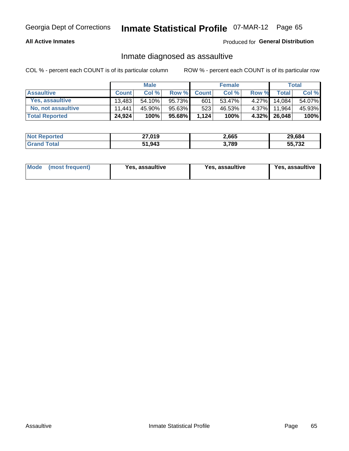### **All Active Inmates**

### Produced for General Distribution

## Inmate diagnosed as assaultive

COL % - percent each COUNT is of its particular column

|                       |              | <b>Male</b> |        |              | <b>Female</b> |          |              | <b>Total</b> |
|-----------------------|--------------|-------------|--------|--------------|---------------|----------|--------------|--------------|
| <b>Assaultive</b>     | <b>Count</b> | Col%        | Row %  | <b>Count</b> | Col %         | Row %    | Total        | Col %        |
| Yes, assaultive       | 13.483       | 54.10%      | 95.73% | 601          | 53.47%        | $4.27\%$ | 14.084       | 54.07%       |
| No, not assaultive    | 11.441       | 45.90%      | 95.63% | 523          | 46.53%        | 4.37%    | 11,964       | 45.93%       |
| <b>Total Reported</b> | 24,924       | 100%        | 95.68% | 1,124        | 100%          |          | 4.32% 26,048 | 100%         |

| <b>Not Reported</b> | 27,019 | 2,665 | 29.684 |
|---------------------|--------|-------|--------|
| <b>Grand Total</b>  | 51,943 | ,789  | 55,732 |

| Mode (most frequent)<br>Yes, assaultive | Yes, assaultive | <b>Yes, assaultive</b> |
|-----------------------------------------|-----------------|------------------------|
|-----------------------------------------|-----------------|------------------------|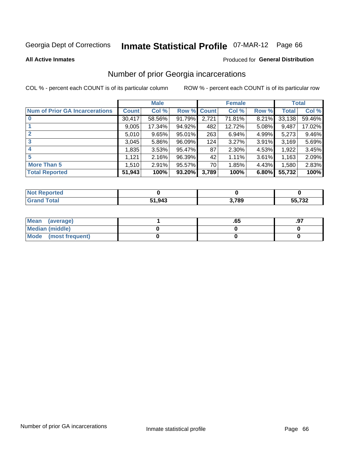# Inmate Statistical Profile 07-MAR-12 Page 66

**All Active Inmates** 

### **Produced for General Distribution**

## Number of prior Georgia incarcerations

COL % - percent each COUNT is of its particular column

|                                       |              | <b>Male</b> |             |       | <b>Female</b> |       |        | <b>Total</b> |
|---------------------------------------|--------------|-------------|-------------|-------|---------------|-------|--------|--------------|
| <b>Num of Prior GA Incarcerations</b> | <b>Count</b> | Col %       | Row % Count |       | Col %         | Row % | Total  | Col %        |
|                                       | 30,417       | 58.56%      | 91.79%      | 2,721 | 71.81%        | 8.21% | 33,138 | 59.46%       |
|                                       | 9,005        | 17.34%      | 94.92%      | 482   | 12.72%        | 5.08% | 9,487  | 17.02%       |
| $\overline{2}$                        | 5,010        | 9.65%       | 95.01%      | 263   | 6.94%         | 4.99% | 5,273  | 9.46%        |
| 3                                     | 3,045        | 5.86%       | $96.09\%$   | 124   | 3.27%         | 3.91% | 3,169  | 5.69%        |
| $\boldsymbol{4}$                      | 1,835        | 3.53%       | 95.47%      | 87    | 2.30%         | 4.53% | 1,922  | 3.45%        |
| 5                                     | 1,121        | 2.16%       | 96.39%      | 42'   | 1.11%         | 3.61% | 1,163  | 2.09%        |
| <b>More Than 5</b>                    | 1,510        | 2.91%       | $95.57\%$   | 70 l  | 1.85%         | 4.43% | 1,580  | 2.83%        |
| <b>Total Reported</b>                 | 51,943       | 100%        | $93.20\%$   | 3,789 | 100%          | 6.80% | 55,732 | 100%         |

| ∣N∩f<br>Reported |        |       |        |
|------------------|--------|-------|--------|
| Total<br>"Gran∟  | 51,943 | 3,789 | 55,732 |

| Mean (average)       | .oa | .97 |
|----------------------|-----|-----|
| Median (middle)      |     |     |
| Mode (most frequent) |     |     |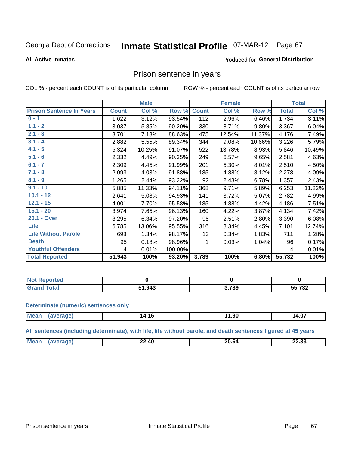# Inmate Statistical Profile 07-MAR-12 Page 67

### **All Active Inmates**

### Produced for General Distribution

## Prison sentence in years

COL % - percent each COUNT is of its particular column

ROW % - percent each COUNT is of its particular row

|                                 |              | <b>Male</b> |         |              | <b>Female</b> |        |              | <b>Total</b> |
|---------------------------------|--------------|-------------|---------|--------------|---------------|--------|--------------|--------------|
| <b>Prison Sentence In Years</b> | <b>Count</b> | Col %       | Row %   | <b>Count</b> | Col %         | Row %  | <b>Total</b> | Col %        |
| $0 - 1$                         | 1,622        | 3.12%       | 93.54%  | 112          | 2.96%         | 6.46%  | 1,734        | 3.11%        |
| $1.1 - 2$                       | 3,037        | 5.85%       | 90.20%  | 330          | 8.71%         | 9.80%  | 3,367        | 6.04%        |
| $2.1 - 3$                       | 3,701        | 7.13%       | 88.63%  | 475          | 12.54%        | 11.37% | 4,176        | 7.49%        |
| $3.1 - 4$                       | 2,882        | 5.55%       | 89.34%  | 344          | 9.08%         | 10.66% | 3,226        | 5.79%        |
| $4.1 - 5$                       | 5,324        | 10.25%      | 91.07%  | 522          | 13.78%        | 8.93%  | 5,846        | 10.49%       |
| $5.1 - 6$                       | 2,332        | 4.49%       | 90.35%  | 249          | 6.57%         | 9.65%  | 2,581        | 4.63%        |
| $6.1 - 7$                       | 2,309        | 4.45%       | 91.99%  | 201          | 5.30%         | 8.01%  | 2,510        | 4.50%        |
| $7.1 - 8$                       | 2,093        | 4.03%       | 91.88%  | 185          | 4.88%         | 8.12%  | 2,278        | 4.09%        |
| $8.1 - 9$                       | 1,265        | 2.44%       | 93.22%  | 92           | 2.43%         | 6.78%  | 1,357        | 2.43%        |
| $9.1 - 10$                      | 5,885        | 11.33%      | 94.11%  | 368          | 9.71%         | 5.89%  | 6,253        | 11.22%       |
| $10.1 - 12$                     | 2,641        | 5.08%       | 94.93%  | 141          | 3.72%         | 5.07%  | 2,782        | 4.99%        |
| $12.1 - 15$                     | 4,001        | 7.70%       | 95.58%  | 185          | 4.88%         | 4.42%  | 4,186        | 7.51%        |
| $15.1 - 20$                     | 3,974        | 7.65%       | 96.13%  | 160          | 4.22%         | 3.87%  | 4,134        | 7.42%        |
| 20.1 - Over                     | 3,295        | 6.34%       | 97.20%  | 95           | 2.51%         | 2.80%  | 3,390        | 6.08%        |
| <b>Life</b>                     | 6,785        | 13.06%      | 95.55%  | 316          | 8.34%         | 4.45%  | 7,101        | 12.74%       |
| <b>Life Without Parole</b>      | 698          | 1.34%       | 98.17%  | 13           | 0.34%         | 1.83%  | 711          | 1.28%        |
| <b>Death</b>                    | 95           | 0.18%       | 98.96%  |              | 0.03%         | 1.04%  | 96           | 0.17%        |
| <b>Youthful Offenders</b>       | 4            | 0.01%       | 100.00% |              |               |        | 4            | 0.01%        |
| <b>Total Reported</b>           | 51,943       | 100%        | 93.20%  | 3,789        | 100%          | 6.80%  | 55,732       | 100%         |

| Reported<br>I NOT |      |      |        |
|-------------------|------|------|--------|
| <b>ntal</b>       | ,943 | .789 | 55,732 |

### **Determinate (numeric) sentences only**

| <b>Mean</b> | апе: | 14.16 | $\sim$<br>טייי | 14.07 |
|-------------|------|-------|----------------|-------|
|             |      |       |                |       |

All sentences (including determinate), with life, life without parole, and death sentences figured at 45 years

| M <sub>c</sub><br>- -<br>$\Delta \mathbf{C}$<br>0000<br>^^<br>,,,<br>m<br>دد.؛<br>---<br>____<br>___ |  |  |  |
|------------------------------------------------------------------------------------------------------|--|--|--|
|                                                                                                      |  |  |  |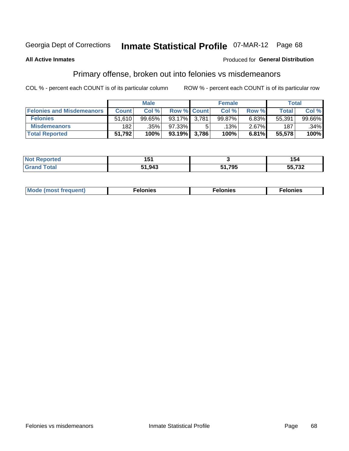# Inmate Statistical Profile 07-MAR-12 Page 68

### **All Active Inmates**

## **Produced for General Distribution**

## Primary offense, broken out into felonies vs misdemeanors

COL % - percent each COUNT is of its particular column

|                                  |              | <b>Male</b> |                    | <b>Female</b> |          | Total        |        |
|----------------------------------|--------------|-------------|--------------------|---------------|----------|--------------|--------|
| <b>Felonies and Misdemeanors</b> | <b>Count</b> | Col %       | <b>Row % Count</b> | Col %         | Row %    | <b>Total</b> | Col %  |
| <b>Felonies</b>                  | 51,610       | 99.65%      | 93.17% 3.781       | 99.87%        | 6.83%    | 55,391       | 99.66% |
| <b>Misdemeanors</b>              | 182          | .35%        | 97.33%             | .13% '        | $2.67\%$ | 187          | .34%   |
| <b>Total Reported</b>            | 51,792       | 100%        | 93.19% 3,786       | 100%          | 6.81%    | 55,578       | 100%   |

| <b>Not</b><br>rted. | - -<br>ושו |       | 54     |
|---------------------|------------|-------|--------|
| Gran                | 51,943     | 705   | ヒヒ ラヘヘ |
| ™otar               |            | , , , | 33,73Z |

| M      | .    | nes | onies |
|--------|------|-----|-------|
| nuenti | ____ | .   | .     |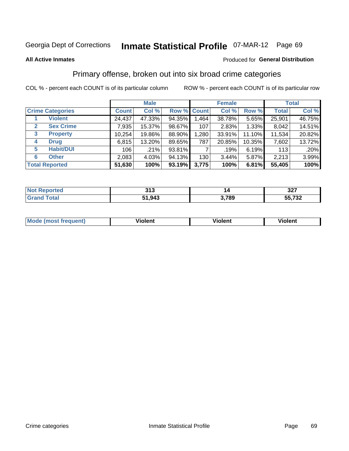### **All Active Inmates**

## Produced for **General Distribution**

## Primary offense, broken out into six broad crime categories

|                                 | <b>Male</b>  |        |        | <b>Female</b> |        |        | <b>Total</b> |        |
|---------------------------------|--------------|--------|--------|---------------|--------|--------|--------------|--------|
| <b>Crime Categories</b>         | <b>Count</b> | Col %  |        | Row % Count   | Col %  | Row %  | <b>Total</b> | Col %  |
| <b>Violent</b>                  | 24,437       | 47.33% | 94.35% | 1,464         | 38.78% | 5.65%  | 25,901       | 46.75% |
| <b>Sex Crime</b><br>2           | 7,935        | 15.37% | 98.67% | 107           | 2.83%  | 1.33%  | 8,042        | 14.51% |
| $\mathbf{3}$<br><b>Property</b> | 10,254       | 19.86% | 88.90% | 1,280         | 33.91% | 11.10% | 11,534       | 20.82% |
| <b>Drug</b><br>4                | 6,815        | 13.20% | 89.65% | 787           | 20.85% | 10.35% | 7,602        | 13.72% |
| <b>Habit/DUI</b><br>5           | 106          | .21%   | 93.81% |               | .19%   | 6.19%  | 113          | .20%   |
| <b>Other</b><br>6               | 2,083        | 4.03%  | 94.13% | 130           | 3.44%  | 5.87%  | 2,213        | 3.99%  |
| <b>Total Reported</b>           | 51,630       | 100%   | 93.19% | 3,775         | 100%   | 6.81%  | 55,405       | 100%   |

| тео | 242    |     | 227     |
|-----|--------|-----|---------|
| NG  | JIJ    |     | JZ 1    |
|     | 51,943 | 700 | -- 700  |
|     | E4     | o.  | ـ∠د ≀,י |

| M | $\overline{\phantom{a}}$<br>- --<br>100011 | .<br><b>VIOIGIIL</b> | 1.91311 |
|---|--------------------------------------------|----------------------|---------|
|   |                                            |                      |         |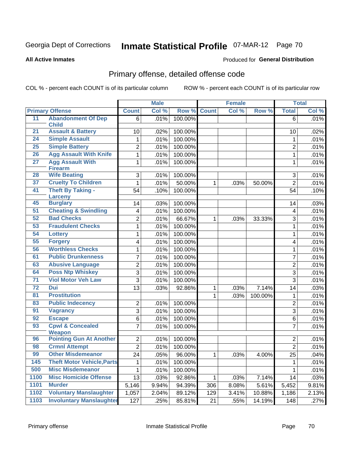**All Active Inmates**

### Produced for **General Distribution**

## Primary offense, detailed offense code

|                 |                                           |                 | <b>Male</b> |         |              | <b>Female</b> |         |                 | <b>Total</b> |
|-----------------|-------------------------------------------|-----------------|-------------|---------|--------------|---------------|---------|-----------------|--------------|
|                 | <b>Primary Offense</b>                    | <b>Count</b>    | Col %       | Row %   | <b>Count</b> | Col %         | Row %   | <b>Total</b>    | Col %        |
| 11              | <b>Abandonment Of Dep</b>                 | 6               | .01%        | 100.00% |              |               |         | 6               | .01%         |
|                 | <b>Child</b>                              |                 |             |         |              |               |         |                 |              |
| 21              | <b>Assault &amp; Battery</b>              | 10              | .02%        | 100.00% |              |               |         | 10              | .02%         |
| 24              | <b>Simple Assault</b>                     | 1               | .01%        | 100.00% |              |               |         | 1               | .01%         |
| 25              | <b>Simple Battery</b>                     | $\overline{2}$  | .01%        | 100.00% |              |               |         | $\overline{2}$  | .01%         |
| 26              | <b>Agg Assault With Knife</b>             | 1               | .01%        | 100.00% |              |               |         | $\mathbf{1}$    | .01%         |
| $\overline{27}$ | <b>Agg Assault With</b><br><b>Firearm</b> | 1               | .01%        | 100.00% |              |               |         | $\mathbf{1}$    | .01%         |
| 28              | <b>Wife Beating</b>                       | 3               | .01%        | 100.00% |              |               |         | 3               | .01%         |
| 37              | <b>Cruelty To Children</b>                | 1               | .01%        | 50.00%  | $\mathbf 1$  | .03%          | 50.00%  | $\overline{2}$  | .01%         |
| 41              | <b>Theft By Taking -</b>                  | 54              | .10%        | 100.00% |              |               |         | 54              | .10%         |
|                 | <b>Larceny</b>                            |                 |             |         |              |               |         |                 |              |
| 45              | <b>Burglary</b>                           | 14              | .03%        | 100.00% |              |               |         | 14              | .03%         |
| 51              | <b>Cheating &amp; Swindling</b>           | 4               | .01%        | 100.00% |              |               |         | 4               | .01%         |
| 52              | <b>Bad Checks</b>                         | 2               | .01%        | 66.67%  | $\mathbf 1$  | .03%          | 33.33%  | 3               | .01%         |
| 53              | <b>Fraudulent Checks</b>                  | 1               | .01%        | 100.00% |              |               |         | $\mathbf{1}$    | .01%         |
| 54              | <b>Lottery</b>                            | 1               | .01%        | 100.00% |              |               |         | $\mathbf{1}$    | .01%         |
| 55              | <b>Forgery</b>                            | 4               | .01%        | 100.00% |              |               |         | 4               | .01%         |
| 56              | <b>Worthless Checks</b>                   | 1               | .01%        | 100.00% |              |               |         | 1               | .01%         |
| 61              | <b>Public Drunkenness</b>                 | 7               | .01%        | 100.00% |              |               |         | $\overline{7}$  | .01%         |
| 63              | <b>Abusive Language</b>                   | $\overline{c}$  | .01%        | 100.00% |              |               |         | $\overline{2}$  | .01%         |
| 64              | <b>Poss Ntp Whiskey</b>                   | 3               | .01%        | 100.00% |              |               |         | $\sqrt{3}$      | .01%         |
| 71              | <b>Viol Motor Veh Law</b>                 | 3               | .01%        | 100.00% |              |               |         | $\overline{3}$  | .01%         |
| 72              | <b>Dui</b>                                | 13              | .03%        | 92.86%  | $\mathbf 1$  | .03%          | 7.14%   | 14              | .03%         |
| 81              | <b>Prostitution</b>                       |                 |             |         | 1            | .03%          | 100.00% | 1               | .01%         |
| 83              | <b>Public Indecency</b>                   | $\overline{2}$  | .01%        | 100.00% |              |               |         | $\overline{2}$  | .01%         |
| 91              | <b>Vagrancy</b>                           | 3               | .01%        | 100.00% |              |               |         | 3               | .01%         |
| 92              | <b>Escape</b>                             | 6               | .01%        | 100.00% |              |               |         | 6               | .01%         |
| 93              | <b>Cpwl &amp; Concealed</b>               | $\overline{7}$  | .01%        | 100.00% |              |               |         | $\overline{7}$  | .01%         |
|                 | <b>Weapon</b>                             |                 |             |         |              |               |         |                 |              |
| 96              | <b>Pointing Gun At Another</b>            | $\overline{2}$  | .01%        | 100.00% |              |               |         | $\overline{2}$  | .01%         |
| 98              | <b>Crmnl Attempt</b>                      | $\overline{2}$  | .01%        | 100.00% |              |               |         | $\overline{2}$  | .01%         |
| 99              | <b>Other Misdemeanor</b>                  | $\overline{24}$ | .05%        | 96.00%  | $\mathbf{1}$ | .03%          | 4.00%   | $\overline{25}$ | .04%         |
| 145             | <b>Theft Motor Vehicle, Parts</b>         | 1               | .01%        | 100.00% |              |               |         | 1               | .01%         |
| 500             | <b>Misc Misdemeanor</b>                   | 1               | .01%        | 100.00% |              |               |         | 1               | .01%         |
| 1100            | <b>Misc Homicide Offense</b>              | 13              | .03%        | 92.86%  | 1            | .03%          | 7.14%   | 14              | .03%         |
| 1101            | <b>Murder</b>                             | 5,146           | 9.94%       | 94.39%  | 306          | 8.08%         | 5.61%   | 5,452           | 9.81%        |
| 1102            | <b>Voluntary Manslaughter</b>             | 1,057           | 2.04%       | 89.12%  | 129          | 3.41%         | 10.88%  | 1,186           | 2.13%        |
| 1103            | <b>Involuntary Manslaughter</b>           | 127             | .25%        | 85.81%  | 21           | .55%          | 14.19%  | 148             | .27%         |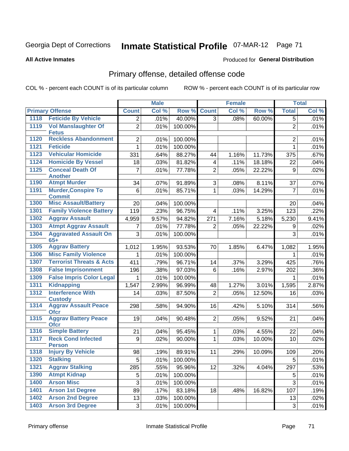### **All Active Inmates**

### Produced for **General Distribution**

## Primary offense, detailed offense code

|      |                                            |                | <b>Male</b> |         |                | <b>Female</b> |        |                | <b>Total</b> |
|------|--------------------------------------------|----------------|-------------|---------|----------------|---------------|--------|----------------|--------------|
|      | <b>Primary Offense</b>                     | <b>Count</b>   | Col %       | Row %   | <b>Count</b>   | Col %         | Row %  | <b>Total</b>   | Col %        |
| 1118 | <b>Feticide By Vehicle</b>                 | $\overline{2}$ | .01%        | 40.00%  | $\overline{3}$ | .08%          | 60.00% | 5              | .01%         |
| 1119 | <b>Vol Manslaughter Of</b><br><b>Fetus</b> | $\overline{2}$ | .01%        | 100.00% |                |               |        | $\overline{2}$ | .01%         |
| 1120 | <b>Reckless Abandonment</b>                | $\overline{2}$ | .01%        | 100.00% |                |               |        | $\overline{2}$ | .01%         |
| 1121 | <b>Feticide</b>                            | $\mathbf 1$    | .01%        | 100.00% |                |               |        | 1              | .01%         |
| 1123 | <b>Vehicular Homicide</b>                  | 331            | .64%        | 88.27%  | 44             | 1.16%         | 11.73% | 375            | .67%         |
| 1124 | <b>Homicide By Vessel</b>                  | 18             | .03%        | 81.82%  | 4              | .11%          | 18.18% | 22             | .04%         |
| 1125 | <b>Conceal Death Of</b>                    | $\overline{7}$ | .01%        | 77.78%  | $\overline{2}$ | .05%          | 22.22% | 9              | .02%         |
| 1190 | <b>Another</b><br><b>Atmpt Murder</b>      | 34             | .07%        | 91.89%  | 3              | .08%          | 8.11%  | 37             | .07%         |
| 1191 | <b>Murder, Conspire To</b>                 | 6              | .01%        | 85.71%  | 1              | .03%          | 14.29% | $\overline{7}$ | .01%         |
|      | <b>Commit</b>                              |                |             |         |                |               |        |                |              |
| 1300 | <b>Misc Assault/Battery</b>                | 20             | .04%        | 100.00% |                |               |        | 20             | .04%         |
| 1301 | <b>Family Violence Battery</b>             | 119            | .23%        | 96.75%  | $\overline{4}$ | .11%          | 3.25%  | 123            | .22%         |
| 1302 | <b>Aggrav Assault</b>                      | 4,959          | 9.57%       | 94.82%  | 271            | 7.16%         | 5.18%  | 5,230          | 9.41%        |
| 1303 | <b>Atmpt Aggrav Assault</b>                | $\overline{7}$ | .01%        | 77.78%  | 2              | .05%          | 22.22% | 9              | .02%         |
| 1304 | <b>Aggravated Assault On</b><br>$65+$      | 3              | .01%        | 100.00% |                |               |        | 3              | .01%         |
| 1305 | <b>Aggrav Battery</b>                      | 1,012          | 1.95%       | 93.53%  | 70             | 1.85%         | 6.47%  | 1,082          | 1.95%        |
| 1306 | <b>Misc Family Violence</b>                | $\mathbf{1}$   | .01%        | 100.00% |                |               |        | 1              | .01%         |
| 1307 | <b>Terrorist Threats &amp; Acts</b>        | 411            | .79%        | 96.71%  | 14             | .37%          | 3.29%  | 425            | .76%         |
| 1308 | <b>False Imprisonment</b>                  | 196            | .38%        | 97.03%  | 6              | .16%          | 2.97%  | 202            | .36%         |
| 1309 | <b>False Impris Color Legal</b>            | 1.             | .01%        | 100.00% |                |               |        | 1              | .01%         |
| 1311 | <b>Kidnapping</b>                          | 1,547          | 2.99%       | 96.99%  | 48             | 1.27%         | 3.01%  | 1,595          | 2.87%        |
| 1312 | <b>Interference With</b><br><b>Custody</b> | 14             | .03%        | 87.50%  | $\overline{2}$ | .05%          | 12.50% | 16             | .03%         |
| 1314 | <b>Aggrav Assault Peace</b><br><b>Ofcr</b> | 298            | .58%        | 94.90%  | 16             | .42%          | 5.10%  | 314            | .56%         |
| 1315 | <b>Aggrav Battery Peace</b><br><b>Ofcr</b> | 19             | .04%        | 90.48%  | $\overline{2}$ | .05%          | 9.52%  | 21             | .04%         |
| 1316 | <b>Simple Battery</b>                      | 21             | .04%        | 95.45%  | $\mathbf 1$    | .03%          | 4.55%  | 22             | .04%         |
| 1317 | <b>Reck Cond Infected</b><br><b>Person</b> | 9              | .02%        | 90.00%  | 1              | .03%          | 10.00% | 10             | .02%         |
| 1318 | <b>Injury By Vehicle</b>                   | 98             | .19%        | 89.91%  | 11             | .29%          | 10.09% | 109            | .20%         |
| 1320 | <b>Stalking</b>                            | 5              | .01%        | 100.00% |                |               |        | 5              | .01%         |
| 1321 | <b>Aggrav Stalking</b>                     | 285            | .55%        | 95.96%  | 12             | .32%          | 4.04%  | 297            | .53%         |
| 1390 | <b>Atmpt Kidnap</b>                        | 5              | .01%        | 100.00% |                |               |        | 5              | .01%         |
| 1400 | <b>Arson Misc</b>                          | 3              | .01%        | 100.00% |                |               |        | 3              | .01%         |
| 1401 | <b>Arson 1st Degree</b>                    | 89             | .17%        | 83.18%  | 18             | .48%          | 16.82% | 107            | .19%         |
| 1402 | <b>Arson 2nd Degree</b>                    | 13             | .03%        | 100.00% |                |               |        | 13             | .02%         |
| 1403 | <b>Arson 3rd Degree</b>                    | 3 <sup>1</sup> | .01%        | 100.00% |                |               |        | 3              | .01%         |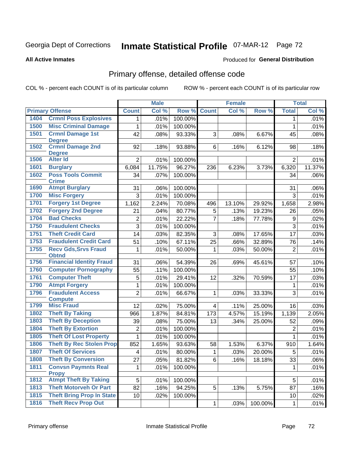**All Active Inmates**

### Produced for **General Distribution**

## Primary offense, detailed offense code

|      |                                            |                | <b>Male</b> |         |                | <b>Female</b> |         |                | <b>Total</b> |
|------|--------------------------------------------|----------------|-------------|---------|----------------|---------------|---------|----------------|--------------|
|      | <b>Primary Offense</b>                     | <b>Count</b>   | Col %       | Row %   | <b>Count</b>   | Col %         | Row %   | <b>Total</b>   | Col %        |
| 1404 | <b>Crmnl Poss Explosives</b>               | 1              | .01%        | 100.00% |                |               |         | 1              | .01%         |
| 1500 | <b>Misc Criminal Damage</b>                | 1              | .01%        | 100.00% |                |               |         | 1              | .01%         |
| 1501 | <b>Crmnl Damage 1st</b>                    | 42             | .08%        | 93.33%  | 3              | .08%          | 6.67%   | 45             | .08%         |
|      | <b>Degree</b>                              |                |             |         |                |               |         |                |              |
| 1502 | <b>Crmnl Damage 2nd</b>                    | 92             | .18%        | 93.88%  | 6              | .16%          | 6.12%   | 98             | .18%         |
| 1506 | <b>Degree</b><br><b>Alter Id</b>           | $\overline{2}$ | .01%        | 100.00% |                |               |         | $\overline{2}$ | .01%         |
| 1601 | <b>Burglary</b>                            | 6,084          | 11.75%      | 96.27%  | 236            | 6.23%         | 3.73%   | 6,320          | 11.37%       |
| 1602 | <b>Poss Tools Commit</b>                   | 34             | .07%        | 100.00% |                |               |         | 34             | .06%         |
|      | <b>Crime</b>                               |                |             |         |                |               |         |                |              |
| 1690 | <b>Atmpt Burglary</b>                      | 31             | .06%        | 100.00% |                |               |         | 31             | .06%         |
| 1700 | <b>Misc Forgery</b>                        | 3              | .01%        | 100.00% |                |               |         | 3              | .01%         |
| 1701 | <b>Forgery 1st Degree</b>                  | 1,162          | 2.24%       | 70.08%  | 496            | 13.10%        | 29.92%  | 1,658          | 2.98%        |
| 1702 | <b>Forgery 2nd Degree</b>                  | 21             | .04%        | 80.77%  | 5              | .13%          | 19.23%  | 26             | .05%         |
| 1704 | <b>Bad Checks</b>                          | 2              | .01%        | 22.22%  | $\overline{7}$ | .18%          | 77.78%  | 9              | .02%         |
| 1750 | <b>Fraudulent Checks</b>                   | $\overline{3}$ | .01%        | 100.00% |                |               |         | 3              | .01%         |
| 1751 | <b>Theft Credit Card</b>                   | 14             | .03%        | 82.35%  | 3              | .08%          | 17.65%  | 17             | .03%         |
| 1753 | <b>Fraudulent Credit Card</b>              | 51             | .10%        | 67.11%  | 25             | .66%          | 32.89%  | 76             | .14%         |
| 1755 | <b>Recv Gds, Srvs Fraud</b>                | 1              | .01%        | 50.00%  | 1              | .03%          | 50.00%  | $\overline{2}$ | .01%         |
|      | <b>Obtnd</b>                               |                |             |         |                |               |         |                |              |
| 1756 | <b>Financial Identity Fraud</b>            | 31             | .06%        | 54.39%  | 26             | .69%          | 45.61%  | 57             | .10%         |
| 1760 | <b>Computer Pornography</b>                | 55             | .11%        | 100.00% |                |               |         | 55             | .10%         |
| 1761 | <b>Computer Theft</b>                      | 5              | .01%        | 29.41%  | 12             | .32%          | 70.59%  | 17             | .03%         |
| 1790 | <b>Atmpt Forgery</b>                       | 1              | .01%        | 100.00% |                |               |         | 1              | .01%         |
| 1796 | <b>Fraudulent Access</b><br><b>Compute</b> | $\overline{2}$ | .01%        | 66.67%  | $\mathbf{1}$   | .03%          | 33.33%  | 3              | .01%         |
| 1799 | <b>Misc Fraud</b>                          | 12             | .02%        | 75.00%  | $\overline{4}$ | .11%          | 25.00%  | 16             | .03%         |
| 1802 | <b>Theft By Taking</b>                     | 966            | 1.87%       | 84.81%  | 173            | 4.57%         | 15.19%  | 1,139          | 2.05%        |
| 1803 | <b>Theft By Deception</b>                  | 39             | .08%        | 75.00%  | 13             | .34%          | 25.00%  | 52             | .09%         |
| 1804 | <b>Theft By Extortion</b>                  | 2              | .01%        | 100.00% |                |               |         | $\overline{2}$ | .01%         |
| 1805 | <b>Theft Of Lost Property</b>              | $\mathbf{1}$   | .01%        | 100.00% |                |               |         | 1              | .01%         |
| 1806 | <b>Theft By Rec Stolen Prop</b>            | 852            | 1.65%       | 93.63%  | 58             | 1.53%         | 6.37%   | 910            | 1.64%        |
| 1807 | <b>Theft Of Services</b>                   | 4              | .01%        | 80.00%  | 1              | .03%          | 20.00%  | 5              | .01%         |
| 1808 | <b>Theft By Conversion</b>                 | 27             | .05%        | 81.82%  | 6              | .16%          | 18.18%  | 33             | .06%         |
| 1811 | <b>Convsn Paymnts Real</b>                 | $\mathbf{1}$   | .01%        | 100.00% |                |               |         | 1              | .01%         |
|      | <b>Propy</b>                               |                |             |         |                |               |         |                |              |
| 1812 | <b>Atmpt Theft By Taking</b>               | 5              | .01%        | 100.00% |                |               |         | 5              | .01%         |
| 1813 | <b>Theft Motorveh Or Part</b>              | 82             | .16%        | 94.25%  | 5              | .13%          | 5.75%   | 87             | .16%         |
| 1815 | <b>Theft Bring Prop In State</b>           | 10             | .02%        | 100.00% |                |               |         | 10             | .02%         |
| 1816 | <b>Theft Recv Prop Out</b>                 |                |             |         | $\mathbf{1}$   | .03%          | 100.00% | $\mathbf{1}$   | .01%         |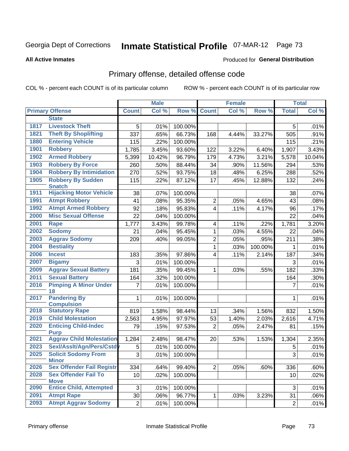#### **All Active Inmates**

#### Produced for **General Distribution**

## Primary offense, detailed offense code

|      |                                            |                | <b>Male</b> |         |                | <b>Female</b> |         |                     | <b>Total</b> |
|------|--------------------------------------------|----------------|-------------|---------|----------------|---------------|---------|---------------------|--------------|
|      | <b>Primary Offense</b>                     | <b>Count</b>   | Col %       | Row %   | <b>Count</b>   | Col %         | Row %   | <b>Total</b>        | Col %        |
|      | <b>State</b>                               |                |             |         |                |               |         |                     |              |
| 1817 | <b>Livestock Theft</b>                     | 5              | .01%        | 100.00% |                |               |         | 5                   | .01%         |
| 1821 | <b>Theft By Shoplifting</b>                | 337            | .65%        | 66.73%  | 168            | 4.44%         | 33.27%  | 505                 | .91%         |
| 1880 | <b>Entering Vehicle</b>                    | 115            | .22%        | 100.00% |                |               |         | 115                 | .21%         |
| 1901 | <b>Robbery</b>                             | 1,785          | 3.45%       | 93.60%  | 122            | 3.22%         | 6.40%   | 1,907               | 3.43%        |
| 1902 | <b>Armed Robbery</b>                       | 5,399          | 10.42%      | 96.79%  | 179            | 4.73%         | 3.21%   | 5,578               | 10.04%       |
| 1903 | <b>Robbery By Force</b>                    | 260            | .50%        | 88.44%  | 34             | .90%          | 11.56%  | 294                 | .53%         |
| 1904 | <b>Robbery By Intimidation</b>             | 270            | .52%        | 93.75%  | 18             | .48%          | 6.25%   | 288                 | .52%         |
| 1905 | <b>Robbery By Sudden</b><br><b>Snatch</b>  | 115            | .22%        | 87.12%  | 17             | .45%          | 12.88%  | 132                 | .24%         |
| 1911 | <b>Hijacking Motor Vehicle</b>             | 38             | .07%        | 100.00% |                |               |         | 38                  | .07%         |
| 1991 | <b>Atmpt Robbery</b>                       | 41             | .08%        | 95.35%  | $\overline{2}$ | .05%          | 4.65%   | 43                  | .08%         |
| 1992 | <b>Atmpt Armed Robbery</b>                 | 92             | .18%        | 95.83%  | $\overline{4}$ | .11%          | 4.17%   | 96                  | .17%         |
| 2000 | <b>Misc Sexual Offense</b>                 | 22             | .04%        | 100.00% |                |               |         | 22                  | .04%         |
| 2001 | <b>Rape</b>                                | 1,777          | 3.43%       | 99.78%  | 4              | .11%          | .22%    | 1,781               | 3.20%        |
| 2002 | <b>Sodomy</b>                              | 21             | .04%        | 95.45%  | 1              | .03%          | 4.55%   | 22                  | .04%         |
| 2003 | <b>Aggrav Sodomy</b>                       | 209            | .40%        | 99.05%  | $\overline{2}$ | .05%          | .95%    | 211                 | .38%         |
| 2004 | <b>Bestiality</b>                          |                |             |         | 1              | .03%          | 100.00% | 1                   | .01%         |
| 2006 | <b>Incest</b>                              | 183            | .35%        | 97.86%  | $\overline{4}$ | .11%          | 2.14%   | 187                 | .34%         |
| 2007 | <b>Bigamy</b>                              | 3              | .01%        | 100.00% |                |               |         | 3                   | .01%         |
| 2009 | <b>Aggrav Sexual Battery</b>               | 181            | .35%        | 99.45%  | $\mathbf{1}$   | .03%          | .55%    | 182                 | .33%         |
| 2011 | <b>Sexual Battery</b>                      | 164            | .32%        | 100.00% |                |               |         | 164                 | .30%         |
| 2016 | <b>Pimping A Minor Under</b>               | $\overline{7}$ | .01%        | 100.00% |                |               |         | 7                   | .01%         |
| 2017 | 18<br><b>Pandering By</b>                  |                |             |         |                |               |         |                     |              |
|      | <b>Compulsion</b>                          | 1              | .01%        | 100.00% |                |               |         | 1                   | .01%         |
| 2018 | <b>Statutory Rape</b>                      | 819            | 1.58%       | 98.44%  | 13             | .34%          | 1.56%   | 832                 | 1.50%        |
| 2019 | <b>Child Molestation</b>                   | 2,563          | 4.95%       | 97.97%  | 53             | 1.40%         | 2.03%   | 2,616               | 4.71%        |
| 2020 | <b>Enticing Child-Indec</b><br><b>Purp</b> | 79             | .15%        | 97.53%  | $\overline{2}$ | .05%          | 2.47%   | 81                  | .15%         |
| 2021 | <b>Aggrav Child Molestation</b>            | 1,284          | 2.48%       | 98.47%  | 20             | .53%          | 1.53%   | 1,304               | 2.35%        |
| 2023 | Sexl/Assit/Agn/Pers/Cstdy                  | 5              | .01%        | 100.00% |                |               |         | 5                   | .01%         |
| 2025 | <b>Solicit Sodomy From</b><br><b>Minor</b> | $\overline{3}$ | .01%        | 100.00% |                |               |         | $\overline{\omega}$ | .01%         |
| 2026 | <b>Sex Offender Fail Registr</b>           | 334            | .64%        | 99.40%  | 2              | .05%          | .60%    | 336                 | .60%         |
| 2028 | <b>Sex Offender Fail To</b>                | 10             | $.02\%$     | 100.00% |                |               |         | 10                  | .02%         |
|      | <b>Move</b>                                |                |             |         |                |               |         |                     |              |
| 2090 | <b>Entice Child, Attempted</b>             | 3 <sup>1</sup> | .01%        | 100.00% |                |               |         | 3                   | .01%         |
| 2091 | <b>Atmpt Rape</b>                          | 30             | .06%        | 96.77%  | $\mathbf{1}$   | .03%          | 3.23%   | 31                  | .06%         |
| 2093 | <b>Atmpt Aggrav Sodomy</b>                 | $\overline{2}$ | .01%        | 100.00% |                |               |         | $\sqrt{2}$          | .01%         |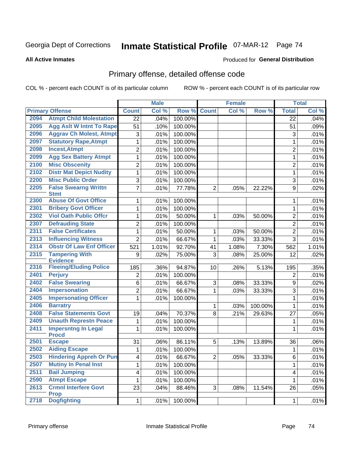Produced for **General Distribution**

#### **All Active Inmates**

## Primary offense, detailed offense code

|      |                                            |                         | <b>Male</b> |         |                | <b>Female</b> |         |                 | <b>Total</b>        |
|------|--------------------------------------------|-------------------------|-------------|---------|----------------|---------------|---------|-----------------|---------------------|
|      | <b>Primary Offense</b>                     | <b>Count</b>            | Col %       | Row %   | <b>Count</b>   | Col %         | Row %   | <b>Total</b>    | Col %               |
| 2094 | <b>Atmpt Child Molestation</b>             | $\overline{22}$         | .04%        | 100.00% |                |               |         | $\overline{22}$ | .04%                |
| 2095 | <b>Agg Aslt W Intnt To Rape</b>            | 51                      | .10%        | 100.00% |                |               |         | 51              | .09%                |
| 2096 | <b>Aggrav Ch Molest, Atmpt</b>             | 3                       | .01%        | 100.00% |                |               |         | 3               | .01%                |
| 2097 | <b>Statutory Rape, Atmpt</b>               | 1                       | .01%        | 100.00% |                |               |         | 1               | .01%                |
| 2098 | <b>Incest, Atmpt</b>                       | $\overline{2}$          | .01%        | 100.00% |                |               |         | $\overline{2}$  | .01%                |
| 2099 | <b>Agg Sex Battery Atmpt</b>               | $\mathbf 1$             | .01%        | 100.00% |                |               |         | $\mathbf{1}$    | .01%                |
| 2100 | <b>Misc Obscenity</b>                      | $\overline{2}$          | .01%        | 100.00% |                |               |         | $\overline{2}$  | .01%                |
| 2102 | <b>Distr Mat Depict Nudity</b>             | $\mathbf{1}$            | .01%        | 100.00% |                |               |         | 1               | .01%                |
| 2200 | <b>Misc Public Order</b>                   | 3                       | .01%        | 100.00% |                |               |         | 3               | .01%                |
| 2205 | <b>False Swearng Writtn</b>                | $\overline{7}$          | .01%        | 77.78%  | $\overline{2}$ | .05%          | 22.22%  | 9               | .02%                |
|      | <b>Stmt</b>                                |                         |             |         |                |               |         |                 |                     |
| 2300 | <b>Abuse Of Govt Office</b>                | 1                       | .01%        | 100.00% |                |               |         | 1               | .01%                |
| 2301 | <b>Bribery Govt Officer</b>                | 1                       | .01%        | 100.00% |                |               |         | $\mathbf{1}$    | .01%                |
| 2302 | <b>Viol Oath Public Offcr</b>              | 1                       | .01%        | 50.00%  | 1              | .03%          | 50.00%  | $\overline{2}$  | .01%                |
| 2307 | <b>Defrauding State</b>                    | $\overline{2}$          | .01%        | 100.00% |                |               |         | $\overline{2}$  | .01%                |
| 2311 | <b>False Certificates</b>                  | 1                       | .01%        | 50.00%  | 1              | .03%          | 50.00%  | $\overline{2}$  | .01%                |
| 2313 | <b>Influencing Witness</b>                 | $\overline{2}$          | .01%        | 66.67%  | $\mathbf{1}$   | .03%          | 33.33%  | 3               | .01%                |
| 2314 | <b>Obstr Of Law Enf Officer</b>            | 521                     | 1.01%       | 92.70%  | 41             | 1.08%         | 7.30%   | 562             | $\overline{1.01\%}$ |
| 2315 | <b>Tampering With</b><br><b>Evidence</b>   | 9                       | .02%        | 75.00%  | 3              | .08%          | 25.00%  | 12              | .02%                |
| 2316 | <b>Fleeing/Eluding Police</b>              | 185                     | .36%        | 94.87%  | 10             | .26%          | 5.13%   | 195             | .35%                |
| 2401 | <b>Perjury</b>                             | $\overline{2}$          | .01%        | 100.00% |                |               |         | $\overline{2}$  | .01%                |
| 2402 | <b>False Swearing</b>                      | 6                       | .01%        | 66.67%  | 3              | .08%          | 33.33%  | 9               | .02%                |
| 2404 | <b>Impersonation</b>                       | $\overline{2}$          | .01%        | 66.67%  | $\mathbf{1}$   | .03%          | 33.33%  | 3               | .01%                |
| 2405 | <b>Impersonating Officer</b>               | 1                       | .01%        | 100.00% |                |               |         | 1               | .01%                |
| 2406 | <b>Barratry</b>                            |                         |             |         | 1              | .03%          | 100.00% | 1               | .01%                |
| 2408 | <b>False Statements Govt</b>               | 19                      | .04%        | 70.37%  | 8              | .21%          | 29.63%  | 27              | .05%                |
| 2409 | <b>Unauth Represtn Peace</b>               | 1                       | .01%        | 100.00% |                |               |         | 1               | .01%                |
| 2411 | <b>Impersntng In Legal</b>                 | 1                       | .01%        | 100.00% |                |               |         | 1               | .01%                |
|      | <b>Procd</b>                               |                         |             |         |                |               |         |                 |                     |
| 2501 | <b>Escape</b>                              | 31                      | .06%        | 86.11%  | 5              | .13%          | 13.89%  | 36              | $.06\%$             |
| 2502 | <b>Aiding Escape</b>                       | 1                       | .01%        | 100.00% |                |               |         | 1               | .01%                |
| 2503 | <b>Hindering Appreh Or Pun</b>             | 4                       | .01%        | 66.67%  | $\overline{2}$ | .05%          | 33.33%  | 6               | .01%                |
| 2507 | <b>Mutiny In Penal Inst</b>                | 1                       | .01%        | 100.00% |                |               |         | 1               | .01%                |
| 2511 | <b>Bail Jumping</b>                        | $\overline{\mathbf{4}}$ | .01%        | 100.00% |                |               |         | 4               | .01%                |
| 2590 | <b>Atmpt Escape</b>                        | 1                       | .01%        | 100.00% |                |               |         | 1               | .01%                |
| 2613 | <b>Crmnl Interfere Govt</b><br><b>Prop</b> | 23                      | .04%        | 88.46%  | 3              | .08%          | 11.54%  | 26              | .05%                |
| 2718 | <b>Dogfighting</b>                         | 1                       | .01%        | 100.00% |                |               |         | $\mathbf{1}$    | .01%                |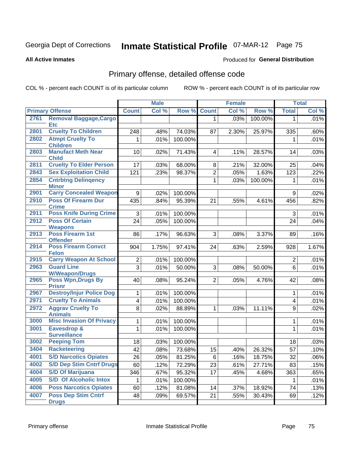**All Active Inmates**

#### Produced for **General Distribution**

## Primary offense, detailed offense code

|      |                                               |                         | <b>Male</b> |         |                | <b>Female</b> |         |                  | <b>Total</b> |
|------|-----------------------------------------------|-------------------------|-------------|---------|----------------|---------------|---------|------------------|--------------|
|      | <b>Primary Offense</b>                        | <b>Count</b>            | Col %       | Row %   | <b>Count</b>   | Col %         | Row %   | <b>Total</b>     | Col %        |
| 2761 | <b>Removal Baggage, Cargo</b><br><b>Etc</b>   |                         |             |         | 1 <sup>1</sup> | .03%          | 100.00% | $\mathbf{1}$     | .01%         |
| 2801 | <b>Cruelty To Children</b>                    | 248                     | .48%        | 74.03%  | 87             | 2.30%         | 25.97%  | 335              | .60%         |
| 2802 | <b>Atmpt Cruelty To</b><br><b>Children</b>    | 1                       | .01%        | 100.00% |                |               |         | $\mathbf 1$      | .01%         |
| 2803 | <b>Manufact Meth Near</b><br><b>Child</b>     | 10                      | .02%        | 71.43%  | $\overline{4}$ | .11%          | 28.57%  | 14               | .03%         |
| 2811 | <b>Cruelty To Elder Person</b>                | 17                      | .03%        | 68.00%  | 8              | .21%          | 32.00%  | 25               | .04%         |
| 2843 | <b>Sex Exploitation Child</b>                 | 121                     | .23%        | 98.37%  | $\overline{2}$ | .05%          | 1.63%   | 123              | .22%         |
| 2854 | <b>Cntrbtng Delingency</b><br><b>Minor</b>    |                         |             |         | $\mathbf{1}$   | .03%          | 100.00% | $\mathbf 1$      | .01%         |
| 2901 | <b>Carry Concealed Weapon</b>                 | 9                       | .02%        | 100.00% |                |               |         | 9                | .02%         |
| 2910 | <b>Poss Of Firearm Dur</b><br><b>Crime</b>    | 435                     | .84%        | 95.39%  | 21             | .55%          | 4.61%   | 456              | .82%         |
| 2911 | <b>Poss Knife During Crime</b>                | 3                       | .01%        | 100.00% |                |               |         | 3                | .01%         |
| 2912 | <b>Poss Of Certain</b><br><b>Weapons</b>      | 24                      | .05%        | 100.00% |                |               |         | 24               | .04%         |
| 2913 | <b>Poss Firearm 1st</b><br><b>Offender</b>    | 86                      | .17%        | 96.63%  | 3              | .08%          | 3.37%   | 89               | .16%         |
| 2914 | <b>Poss Firearm Convct</b><br><b>Felon</b>    | 904                     | 1.75%       | 97.41%  | 24             | .63%          | 2.59%   | 928              | 1.67%        |
| 2915 | <b>Carry Weapon At School</b>                 | $\overline{2}$          | .01%        | 100.00% |                |               |         | $\overline{2}$   | .01%         |
| 2963 | <b>Guard Line</b><br><b>W/Weapon/Drugs</b>    | $\overline{3}$          | .01%        | 50.00%  | 3              | .08%          | 50.00%  | $6\phantom{a}$   | .01%         |
| 2965 | <b>Poss Wpn, Drugs By</b><br><b>Prisnr</b>    | 40                      | .08%        | 95.24%  | $\overline{2}$ | .05%          | 4.76%   | 42               | .08%         |
| 2967 | <b>Destroy/Injur Police Dog</b>               | 1                       | .01%        | 100.00% |                |               |         | 1                | .01%         |
| 2971 | <b>Cruelty To Animals</b>                     | $\overline{\mathbf{4}}$ | .01%        | 100.00% |                |               |         | 4                | .01%         |
| 2972 | <b>Aggrav Cruelty To</b><br><b>Animals</b>    | 8                       | .02%        | 88.89%  | $\mathbf{1}$   | .03%          | 11.11%  | $\boldsymbol{9}$ | .02%         |
| 3000 | <b>Misc Invasion Of Privacy</b>               | 1                       | .01%        | 100.00% |                |               |         | 1                | .01%         |
| 3001 | <b>Eavesdrop &amp;</b><br><b>Surveillance</b> | 1                       | .01%        | 100.00% |                |               |         | $\mathbf{1}$     | .01%         |
| 3002 | <b>Peeping Tom</b>                            | 18                      | .03%        | 100.00% |                |               |         | 18               | .03%         |
| 3404 | <b>Racketeering</b>                           | 42                      | .08%        | 73.68%  | 15             | .40%          | 26.32%  | 57               | .10%         |
| 4001 | <b>S/D Narcotics Opiates</b>                  | 26                      | .05%        | 81.25%  | 6              | .16%          | 18.75%  | 32               | .06%         |
| 4002 | <b>S/D Dep Stim Cntrf Drugs</b>               | 60                      | .12%        | 72.29%  | 23             | .61%          | 27.71%  | 83               | .15%         |
| 4004 | <b>S/D Of Marijuana</b>                       | 346                     | .67%        | 95.32%  | 17             | .45%          | 4.68%   | 363              | .65%         |
| 4005 | <b>S/D Of Alcoholic Intox</b>                 |                         | .01%        | 100.00% |                |               |         |                  | .01%         |
| 4006 | <b>Poss Narcotics Opiates</b>                 | 60                      | .12%        | 81.08%  | 14             | .37%          | 18.92%  | 74               | .13%         |
| 4007 | <b>Poss Dep Stim Cntrf</b><br><b>Drugs</b>    | 48                      | .09%        | 69.57%  | 21             | .55%          | 30.43%  | 69               | .12%         |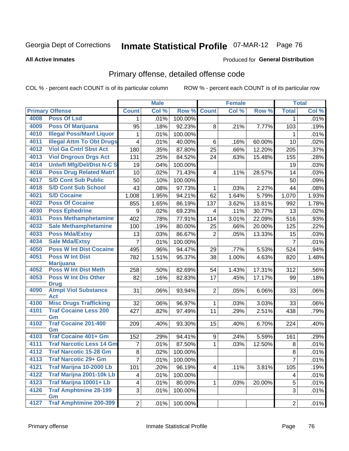#### **All Active Inmates**

#### Produced for **General Distribution**

## Primary offense, detailed offense code

|      |                                            |                | <b>Male</b> |         |                | Female |        |                | <b>Total</b> |
|------|--------------------------------------------|----------------|-------------|---------|----------------|--------|--------|----------------|--------------|
|      | <b>Primary Offense</b>                     | <b>Count</b>   | Col %       | Row %   | <b>Count</b>   | Col %  | Row %  | <b>Total</b>   | Col %        |
| 4008 | <b>Poss Of Lsd</b>                         | $\mathbf 1$    | .01%        | 100.00% |                |        |        | $\mathbf 1$    | .01%         |
| 4009 | <b>Poss Of Marijuana</b>                   | 95             | .18%        | 92.23%  | 8              | .21%   | 7.77%  | 103            | .19%         |
| 4010 | <b>Illegal Poss/Manf Liquor</b>            | 1              | .01%        | 100.00% |                |        |        | 1              | .01%         |
| 4011 | <b>Illegal Attm To Obt Drugs</b>           | $\overline{4}$ | .01%        | 40.00%  | 6              | .16%   | 60.00% | 10             | .02%         |
| 4012 | <b>Viol Ga Cntrl Sbst Act</b>              | 180            | .35%        | 87.80%  | 25             | .66%   | 12.20% | 205            | .37%         |
| 4013 | <b>Viol Dngrous Drgs Act</b>               | 131            | .25%        | 84.52%  | 24             | .63%   | 15.48% | 155            | .28%         |
| 4014 | <b>Uniwfl Mfg/Del/Dist N-C S</b>           | 19             | .04%        | 100.00% |                |        |        | 19             | .03%         |
| 4016 | <b>Poss Drug Related Matri</b>             | 10             | .02%        | 71.43%  | 4              | .11%   | 28.57% | 14             | .03%         |
| 4017 | <b>S/D Cont Sub Public</b>                 | 50             | .10%        | 100.00% |                |        |        | 50             | .09%         |
| 4018 | <b>S/D Cont Sub School</b>                 | 43             | .08%        | 97.73%  | 1              | .03%   | 2.27%  | 44             | .08%         |
| 4021 | <b>S/D Cocaine</b>                         | 1,008          | 1.95%       | 94.21%  | 62             | 1.64%  | 5.79%  | 1,070          | 1.93%        |
| 4022 | <b>Poss Of Cocaine</b>                     | 855            | 1.65%       | 86.19%  | 137            | 3.62%  | 13.81% | 992            | 1.78%        |
| 4030 | <b>Poss Ephedrine</b>                      | 9              | .02%        | 69.23%  | 4              | .11%   | 30.77% | 13             | .02%         |
| 4031 | <b>Poss Methamphetamine</b>                | 402            | .78%        | 77.91%  | 114            | 3.01%  | 22.09% | 516            | .93%         |
| 4032 | <b>Sale Methamphetamine</b>                | 100            | .19%        | 80.00%  | 25             | .66%   | 20.00% | 125            | .22%         |
| 4033 | <b>Poss Mda/Extsy</b>                      | 13             | .03%        | 86.67%  | $\overline{2}$ | .05%   | 13.33% | 15             | .03%         |
| 4034 | <b>Sale Mda/Extsy</b>                      | $\overline{7}$ | .01%        | 100.00% |                |        |        | $\overline{7}$ | .01%         |
| 4050 | <b>Poss W Int Dist Cocaine</b>             | 495            | .96%        | 94.47%  | 29             | .77%   | 5.53%  | 524            | .94%         |
| 4051 | <b>Poss W Int Dist</b>                     | 782            | 1.51%       | 95.37%  | 38             | 1.00%  | 4.63%  | 820            | 1.48%        |
|      | <b>Marijuana</b>                           |                |             |         |                |        |        |                |              |
| 4052 | <b>Poss W Int Dist Meth</b>                | 258            | .50%        | 82.69%  | 54             | 1.43%  | 17.31% | 312            | .56%         |
| 4053 | <b>Poss W Int Dis Other</b><br><b>Drug</b> | 82             | .16%        | 82.83%  | 17             | .45%   | 17.17% | 99             | .18%         |
| 4090 | <b>Atmpt Viol Substance</b>                | 31             | .06%        | 93.94%  | $\overline{2}$ | .05%   | 6.06%  | 33             | .06%         |
|      | Act                                        |                |             |         |                |        |        |                |              |
| 4100 | <b>Misc Drugs Trafficking</b>              | 32             | .06%        | 96.97%  | 1              | .03%   | 3.03%  | 33             | .06%         |
| 4101 | <b>Traf Cocaine Less 200</b>               | 427            | .82%        | 97.49%  | 11             | .29%   | 2.51%  | 438            | .79%         |
|      | Gm                                         |                |             |         |                |        |        |                |              |
| 4102 | <b>Traf Cocaine 201-400</b><br>Gm          | 209            | .40%        | 93.30%  | 15             | .40%   | 6.70%  | 224            | .40%         |
| 4103 | <b>Traf Cocaine 401+ Gm</b>                | 152            | .29%        | 94.41%  | 9              | .24%   | 5.59%  | 161            | .29%         |
| 4111 | <b>Traf Narcotic Less 14 Gm</b>            | $\overline{7}$ | .01%        | 87.50%  | 1              | .03%   | 12.50% | 8              | .01%         |
| 4112 | <b>Traf Narcotic 15-28 Gm</b>              | 8              | .02%        | 100.00% |                |        |        | 8              | .01%         |
| 4113 | <b>Traf Narcotic 29+ Gm</b>                | $\overline{7}$ | .01%        | 100.00% |                |        |        | $\overline{7}$ | .01%         |
| 4121 | Traf Marijna 10-2000 Lb                    | 101            | .20%        | 96.19%  | $\overline{4}$ | .11%   | 3.81%  | 105            | .19%         |
| 4122 | Traf Marijna 2001-10k Lb                   | $\overline{4}$ | .01%        | 100.00% |                |        |        | 4              | .01%         |
| 4123 | Traf Marijna 10001+ Lb                     | 4              | .01%        | 80.00%  | 1              | .03%   | 20.00% | 5              | .01%         |
| 4126 | <b>Traf Amphtmine 28-199</b>               | 3              | .01%        | 100.00% |                |        |        | 3              | .01%         |
|      | Gm                                         |                |             |         |                |        |        |                |              |
| 4127 | <b>Traf Amphtmine 200-399</b>              | 2              | .01%        | 100.00% |                |        |        | $\overline{c}$ | .01%         |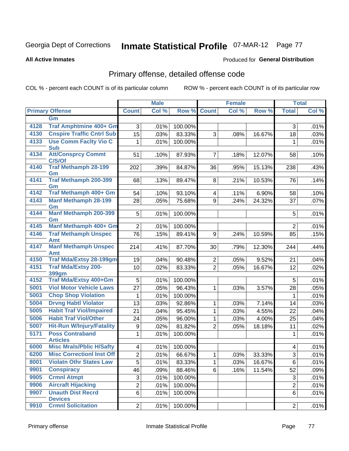**All Active Inmates**

### Produced for **General Distribution**

## Primary offense, detailed offense code

|      |                                            |                         | <b>Male</b> |         |                | <b>Female</b> |                     |                           | <b>Total</b> |
|------|--------------------------------------------|-------------------------|-------------|---------|----------------|---------------|---------------------|---------------------------|--------------|
|      | <b>Primary Offense</b>                     | <b>Count</b>            | Col %       | Row %   | <b>Count</b>   | Col %         | Row %               | <b>Total</b>              | Col %        |
|      | Gm                                         |                         |             |         |                |               |                     |                           |              |
| 4128 | Traf Amphtmine 400+ Gm                     | 3                       | .01%        | 100.00% |                |               |                     | 3                         | .01%         |
| 4130 | <b>Cnspire Traffic Cntrl Sub</b>           | 15                      | .03%        | 83.33%  | 3              | .08%          | 16.67%              | 18                        | .03%         |
| 4133 | <b>Use Comm Facity Vio C</b>               | 1                       | .01%        | 100.00% |                |               |                     | 1                         | .01%         |
|      | <b>Sub</b>                                 |                         |             |         |                |               |                     |                           |              |
| 4134 | <b>Att/Consprcy Commt</b><br>C/S/Of        | 51                      | .10%        | 87.93%  | $\overline{7}$ | .18%          | 12.07%              | 58                        | .10%         |
| 4140 | <b>Traf Methamph 28-199</b><br>Gm          | 202                     | .39%        | 84.87%  | 36             | .95%          | 15.13%              | 238                       | .43%         |
| 4141 | <b>Traf Methamph 200-399</b><br>Gm         | 68                      | .13%        | 89.47%  | 8              | .21%          | 10.53%              | 76                        | .14%         |
| 4142 | Traf Methamph 400+ Gm                      | 54                      | .10%        | 93.10%  | 4              | .11%          | 6.90%               | 58                        | .10%         |
| 4143 | <b>Manf Methamph 28-199</b>                | 28                      | .05%        | 75.68%  | 9              | .24%          | 24.32%              | 37                        | .07%         |
| 4144 | Gm<br><b>Manf Methamph 200-399</b>         | 5 <sup>1</sup>          | .01%        | 100.00% |                |               |                     | 5                         | .01%         |
|      | Gm                                         |                         |             |         |                |               |                     |                           |              |
| 4145 | Manf Methamph 400+ Gm                      | $\overline{2}$          | .01%        | 100.00% |                |               |                     | $\overline{2}$            | .01%         |
| 4146 | <b>Traf Methamph Unspec</b><br>Amt         | 76                      | .15%        | 89.41%  | 9              | .24%          | 10.59%              | 85                        | .15%         |
| 4147 | <b>Manf Methamph Unspec</b><br>Amt         | 214                     | .41%        | 87.70%  | 30             | .79%          | 12.30%              | 244                       | .44%         |
| 4150 | <b>Traf Mda/Extsy 28-199gm</b>             | 19                      | .04%        | 90.48%  | $\mathbf{2}$   | .05%          | 9.52%               | 21                        | .04%         |
| 4151 | <b>Traf Mda/Extsy 200-</b>                 | 10                      | .02%        | 83.33%  | $\overline{2}$ | .05%          | 16.67%              | 12                        | .02%         |
|      | 399gm                                      |                         |             |         |                |               |                     |                           |              |
| 4152 | <b>Traf Mda/Extsy 400+Gm</b>               | 5                       | .01%        | 100.00% |                |               |                     | 5                         | .01%         |
| 5001 | <b>Viol Motor Vehicle Laws</b>             | 27                      | .05%        | 96.43%  | 1              | .03%          | 3.57%               | 28                        | .05%         |
| 5003 | <b>Chop Shop Violation</b>                 | 1                       | .01%        | 100.00% |                |               |                     | $\mathbf 1$               | .01%         |
| 5004 | <b>Drvng Habtl Violator</b>                | 13                      | .03%        | 92.86%  | 1              | .03%          | $\overline{7.14\%}$ | 14                        | .03%         |
| 5005 | <b>Habit Traf Viol/Impaired</b>            | 21                      | .04%        | 95.45%  | $\mathbf{1}$   | .03%          | 4.55%               | 22                        | .04%         |
| 5006 | <b>Habit Traf Viol/Other</b>               | 24                      | .05%        | 96.00%  | 1              | .03%          | 4.00%               | 25                        | .04%         |
| 5007 | <b>Hit-Run W/Injury/Fatality</b>           | 9                       | .02%        | 81.82%  | $\overline{2}$ | .05%          | 18.18%              | 11                        | .02%         |
| 5171 | <b>Poss Contraband</b>                     | 1                       | .01%        | 100.00% |                |               |                     | 1                         | .01%         |
|      | <b>Articles</b>                            |                         |             |         |                |               |                     |                           |              |
| 6000 | <b>Misc Mrals/Pblic H/Safty</b>            | $\overline{\mathbf{4}}$ | .01%        | 100.00% |                |               |                     | 4                         | .01%         |
| 6200 | <b>Misc CorrectionI Inst Off</b>           | $\overline{2}$          | .01%        | 66.67%  | $\mathbf{1}$   | .03%          | 33.33%              | $\ensuremath{\mathsf{3}}$ | .01%         |
| 8001 | <b>Violatn Othr States Law</b>             | $\overline{5}$          | .01%        | 83.33%  | 1              | .03%          | 16.67%              | 6                         | .01%         |
| 9901 | <b>Conspiracy</b>                          | 46                      | .09%        | 88.46%  | 6              | .16%          | 11.54%              | 52                        | .09%         |
| 9905 | <b>Crmnl Atmpt</b>                         | $\overline{3}$          | .01%        | 100.00% |                |               |                     | 3                         | .01%         |
| 9906 | <b>Aircraft Hijacking</b>                  | $\overline{2}$          | .01%        | 100.00% |                |               |                     | $\overline{2}$            | .01%         |
| 9907 | <b>Unauth Dist Recrd</b><br><b>Devices</b> | 6                       | .01%        | 100.00% |                |               |                     | 6                         | .01%         |
| 9910 | <b>Crmnl Solicitation</b>                  | 2                       | .01%        | 100.00% |                |               |                     | $\overline{2}$            | .01%         |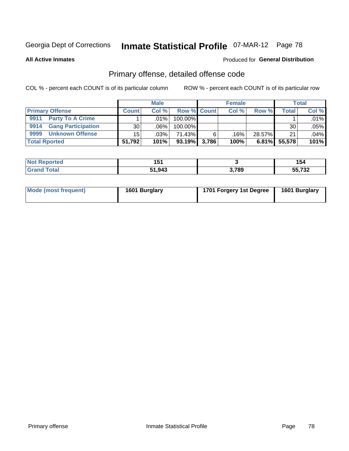**All Active Inmates**

#### Produced for **General Distribution**

## Primary offense, detailed offense code

|                                   |                 | <b>Male</b> |             |       | <b>Female</b> |        |                    | <b>Total</b> |
|-----------------------------------|-----------------|-------------|-------------|-------|---------------|--------|--------------------|--------------|
| <b>Primary Offense</b>            | <b>Count</b>    | Col%        | Row % Count |       | Col%          | Row %  | Total <sub>1</sub> | Col %        |
| <b>Party To A Crime</b><br>9911   |                 | $.01\%$     | 100.00%     |       |               |        |                    | .01%         |
| <b>Gang Participation</b><br>9914 | 30 <sub>1</sub> | .06%        | 100.00%     |       |               |        | 30                 | .05%         |
| 9999<br><b>Unknown Offense</b>    | 15 <sup>1</sup> | $.03\%$     | 71.43%      |       | .16%          | 28.57% | 21                 | .04%         |
| <b>Total Rported</b>              | 51,792          | 101%        | $93.19\%$   | 3.786 | 100%          | 6.81%  | 55,578             | 101%         |

| N<br>. teo | . .<br>4 E 4<br>. |       | 154                      |
|------------|-------------------|-------|--------------------------|
|            | 51,943            | 3,789 | $F = 700$<br>1 J L<br>-- |

| Mode (most frequent) | 1601 Burglary | 1701 Forgery 1st Degree | 1601 Burglary |
|----------------------|---------------|-------------------------|---------------|
|----------------------|---------------|-------------------------|---------------|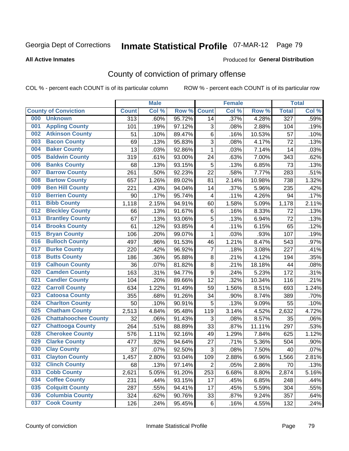#### **All Active Inmates**

#### Produced for **General Distribution**

## County of conviction of primary offense

|     |                             |              | <b>Male</b> |        |                           | <b>Female</b> |        |                  | <b>Total</b> |
|-----|-----------------------------|--------------|-------------|--------|---------------------------|---------------|--------|------------------|--------------|
|     | <b>County of Conviction</b> | <b>Count</b> | Col %       | Row %  | <b>Count</b>              | Col %         | Row %  | <b>Total</b>     | Col %        |
| 000 | <b>Unknown</b>              | 313          | .60%        | 95.72% | 14                        | .37%          | 4.28%  | $\overline{327}$ | .59%         |
| 001 | <b>Appling County</b>       | 101          | .19%        | 97.12% | $\sqrt{3}$                | .08%          | 2.88%  | 104              | .19%         |
| 002 | <b>Atkinson County</b>      | 51           | .10%        | 89.47% | 6                         | .16%          | 10.53% | 57               | .10%         |
| 003 | <b>Bacon County</b>         | 69           | .13%        | 95.83% | $\ensuremath{\mathsf{3}}$ | .08%          | 4.17%  | 72               | .13%         |
| 004 | <b>Baker County</b>         | 13           | .03%        | 92.86% | $\mathbf{1}$              | .03%          | 7.14%  | 14               | .03%         |
| 005 | <b>Baldwin County</b>       | 319          | .61%        | 93.00% | 24                        | .63%          | 7.00%  | 343              | .62%         |
| 006 | <b>Banks County</b>         | 68           | .13%        | 93.15% | 5                         | .13%          | 6.85%  | 73               | .13%         |
| 007 | <b>Barrow County</b>        | 261          | .50%        | 92.23% | 22                        | .58%          | 7.77%  | 283              | .51%         |
| 008 | <b>Bartow County</b>        | 657          | 1.26%       | 89.02% | 81                        | 2.14%         | 10.98% | 738              | 1.32%        |
| 009 | <b>Ben Hill County</b>      | 221          | .43%        | 94.04% | 14                        | .37%          | 5.96%  | 235              | .42%         |
| 010 | <b>Berrien County</b>       | 90           | .17%        | 95.74% | 4                         | .11%          | 4.26%  | 94               | .17%         |
| 011 | <b>Bibb County</b>          | 1,118        | 2.15%       | 94.91% | 60                        | 1.58%         | 5.09%  | 1,178            | 2.11%        |
| 012 | <b>Bleckley County</b>      | 66           | .13%        | 91.67% | 6                         | .16%          | 8.33%  | 72               | .13%         |
| 013 | <b>Brantley County</b>      | 67           | .13%        | 93.06% | 5                         | .13%          | 6.94%  | 72               | .13%         |
| 014 | <b>Brooks County</b>        | 61           | .12%        | 93.85% | 4                         | .11%          | 6.15%  | 65               | .12%         |
| 015 | <b>Bryan County</b>         | 106          | .20%        | 99.07% | 1                         | .03%          | .93%   | 107              | .19%         |
| 016 | <b>Bulloch County</b>       | 497          | .96%        | 91.53% | 46                        | 1.21%         | 8.47%  | 543              | .97%         |
| 017 | <b>Burke County</b>         | 220          | .42%        | 96.92% | $\overline{7}$            | .18%          | 3.08%  | 227              | .41%         |
| 018 | <b>Butts County</b>         | 186          | .36%        | 95.88% | $\bf 8$                   | .21%          | 4.12%  | 194              | .35%         |
| 019 | <b>Calhoun County</b>       | 36           | .07%        | 81.82% | $\bf 8$                   | .21%          | 18.18% | 44               | .08%         |
| 020 | <b>Camden County</b>        | 163          | .31%        | 94.77% | $\mathsf g$               | .24%          | 5.23%  | 172              | .31%         |
| 021 | <b>Candler County</b>       | 104          | .20%        | 89.66% | 12                        | .32%          | 10.34% | 116              | .21%         |
| 022 | <b>Carroll County</b>       | 634          | 1.22%       | 91.49% | 59                        | 1.56%         | 8.51%  | 693              | 1.24%        |
| 023 | <b>Catoosa County</b>       | 355          | .68%        | 91.26% | 34                        | .90%          | 8.74%  | 389              | .70%         |
| 024 | <b>Charlton County</b>      | 50           | .10%        | 90.91% | 5                         | .13%          | 9.09%  | 55               | .10%         |
| 025 | <b>Chatham County</b>       | 2,513        | 4.84%       | 95.48% | 119                       | 3.14%         | 4.52%  | 2,632            | 4.72%        |
| 026 | <b>Chattahoochee County</b> | 32           | .06%        | 91.43% | 3                         | .08%          | 8.57%  | 35               | .06%         |
| 027 | <b>Chattooga County</b>     | 264          | .51%        | 88.89% | 33                        | .87%          | 11.11% | 297              | .53%         |
| 028 | <b>Cherokee County</b>      | 576          | 1.11%       | 92.16% | 49                        | 1.29%         | 7.84%  | 625              | 1.12%        |
| 029 | <b>Clarke County</b>        | 477          | .92%        | 94.64% | 27                        | .71%          | 5.36%  | 504              | .90%         |
| 030 | <b>Clay County</b>          | 37           | .07%        | 92.50% | 3                         | .08%          | 7.50%  | 40               | .07%         |
| 031 | <b>Clayton County</b>       | 1,457        | 2.80%       | 93.04% | 109                       | 2.88%         | 6.96%  | 1,566            | 2.81%        |
| 032 | <b>Clinch County</b>        | 68           | .13%        | 97.14% | $\overline{2}$            | .05%          | 2.86%  | 70               | .13%         |
| 033 | <b>Cobb County</b>          | 2,621        | 5.05%       | 91.20% | 253                       | 6.68%         | 8.80%  | 2,874            | 5.16%        |
| 034 | <b>Coffee County</b>        | 231          | .44%        | 93.15% | 17                        | .45%          | 6.85%  | 248              | .44%         |
| 035 | <b>Colquitt County</b>      | 287          | .55%        | 94.41% | 17                        | .45%          | 5.59%  | 304              | .55%         |
| 036 | <b>Columbia County</b>      | 324          | .62%        | 90.76% | 33                        | .87%          | 9.24%  | 357              | .64%         |
| 037 | <b>Cook County</b>          | 126          | .24%        | 95.45% | 6                         | .16%          | 4.55%  | 132              | .24%         |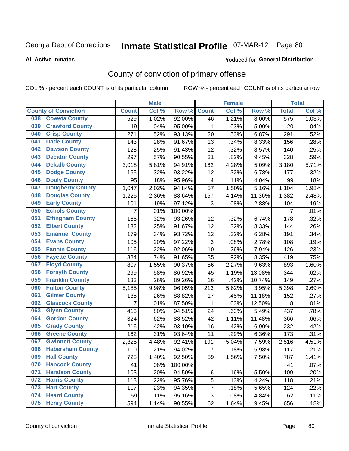**All Active Inmates**

#### Produced for **General Distribution**

## County of conviction of primary offense

|                                |                | <b>Male</b> |         |                | <b>Female</b> |        |                  | <b>Total</b> |
|--------------------------------|----------------|-------------|---------|----------------|---------------|--------|------------------|--------------|
| <b>County of Conviction</b>    | <b>Count</b>   | Col %       | Row %   | <b>Count</b>   | Col %         | Row %  | <b>Total</b>     | Col %        |
| <b>Coweta County</b><br>038    | 529            | 1.02%       | 92.00%  | 46             | 1.21%         | 8.00%  | $\overline{575}$ | 1.03%        |
| <b>Crawford County</b><br>039  | 19             | .04%        | 95.00%  | 1              | .03%          | 5.00%  | 20               | .04%         |
| <b>Crisp County</b><br>040     | 271            | .52%        | 93.13%  | 20             | .53%          | 6.87%  | 291              | .52%         |
| <b>Dade County</b><br>041      | 143            | .28%        | 91.67%  | 13             | .34%          | 8.33%  | 156              | .28%         |
| <b>Dawson County</b><br>042    | 128            | .25%        | 91.43%  | 12             | .32%          | 8.57%  | 140              | .25%         |
| <b>Decatur County</b><br>043   | 297            | .57%        | 90.55%  | 31             | .82%          | 9.45%  | 328              | .59%         |
| <b>Dekalb County</b><br>044    | 3,018          | 5.81%       | 94.91%  | 162            | 4.28%         | 5.09%  | 3,180            | 5.71%        |
| <b>Dodge County</b><br>045     | 165            | .32%        | 93.22%  | 12             | .32%          | 6.78%  | 177              | .32%         |
| <b>Dooly County</b><br>046     | 95             | .18%        | 95.96%  | 4              | .11%          | 4.04%  | 99               | .18%         |
| 047<br><b>Dougherty County</b> | 1,047          | 2.02%       | 94.84%  | 57             | 1.50%         | 5.16%  | 1,104            | 1.98%        |
| <b>Douglas County</b><br>048   | 1,225          | 2.36%       | 88.64%  | 157            | 4.14%         | 11.36% | 1,382            | 2.48%        |
| <b>Early County</b><br>049     | 101            | .19%        | 97.12%  | 3              | .08%          | 2.88%  | 104              | .19%         |
| <b>Echols County</b><br>050    | 7              | .01%        | 100.00% |                |               |        | $\overline{7}$   | .01%         |
| 051<br><b>Effingham County</b> | 166            | .32%        | 93.26%  | 12             | .32%          | 6.74%  | 178              | .32%         |
| <b>Elbert County</b><br>052    | 132            | .25%        | 91.67%  | 12             | .32%          | 8.33%  | 144              | .26%         |
| <b>Emanuel County</b><br>053   | 179            | .34%        | 93.72%  | 12             | .32%          | 6.28%  | 191              | .34%         |
| <b>Evans County</b><br>054     | 105            | .20%        | 97.22%  | 3              | .08%          | 2.78%  | 108              | .19%         |
| <b>Fannin County</b><br>055    | 116            | .22%        | 92.06%  | 10             | .26%          | 7.94%  | 126              | .23%         |
| <b>Fayette County</b><br>056   | 384            | .74%        | 91.65%  | 35             | .92%          | 8.35%  | 419              | .75%         |
| <b>Floyd County</b><br>057     | 807            | 1.55%       | 90.37%  | 86             | 2.27%         | 9.63%  | 893              | 1.60%        |
| <b>Forsyth County</b><br>058   | 299            | .58%        | 86.92%  | 45             | 1.19%         | 13.08% | 344              | .62%         |
| <b>Franklin County</b><br>059  | 133            | .26%        | 89.26%  | 16             | .42%          | 10.74% | 149              | .27%         |
| <b>Fulton County</b><br>060    | 5,185          | 9.98%       | 96.05%  | 213            | 5.62%         | 3.95%  | 5,398            | 9.69%        |
| <b>Gilmer County</b><br>061    | 135            | .26%        | 88.82%  | 17             | .45%          | 11.18% | 152              | .27%         |
| <b>Glascock County</b><br>062  | $\overline{7}$ | .01%        | 87.50%  | 1              | .03%          | 12.50% | 8                | .01%         |
| 063<br><b>Glynn County</b>     | 413            | .80%        | 94.51%  | 24             | .63%          | 5.49%  | 437              | .78%         |
| <b>Gordon County</b><br>064    | 324            | .62%        | 88.52%  | 42             | 1.11%         | 11.48% | 366              | .66%         |
| 065<br><b>Grady County</b>     | 216            | .42%        | 93.10%  | 16             | .42%          | 6.90%  | 232              | .42%         |
| <b>Greene County</b><br>066    | 162            | .31%        | 93.64%  | 11             | .29%          | 6.36%  | 173              | .31%         |
| <b>Gwinnett County</b><br>067  | 2,325          | 4.48%       | 92.41%  | 191            | 5.04%         | 7.59%  | 2,516            | 4.51%        |
| <b>Habersham County</b><br>068 | 110            | .21%        | 94.02%  | 7              | .18%          | 5.98%  | 117              | .21%         |
| 069<br><b>Hall County</b>      | 728            | 1.40%       | 92.50%  | 59             | 1.56%         | 7.50%  | 787              | 1.41%        |
| <b>Hancock County</b><br>070   | 41             | .08%        | 100.00% |                |               |        | 41               | .07%         |
| <b>Haralson County</b><br>071  | 103            | .20%        | 94.50%  | 6              | .16%          | 5.50%  | 109              | .20%         |
| <b>Harris County</b><br>072    | 113            | .22%        | 95.76%  | 5              | .13%          | 4.24%  | 118              | .21%         |
| <b>Hart County</b><br>073      | 117            | .23%        | 94.35%  | $\overline{7}$ | .18%          | 5.65%  | 124              | .22%         |
| <b>Heard County</b><br>074     | 59             | .11%        | 95.16%  | 3              | .08%          | 4.84%  | 62               | .11%         |
| <b>Henry County</b><br>075     | 594            | 1.14%       | 90.55%  | 62             | 1.64%         | 9.45%  | 656              | 1.18%        |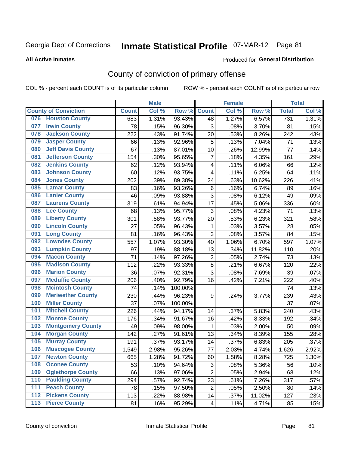#### **All Active Inmates**

#### Produced for **General Distribution**

## County of conviction of primary offense

|       |                             |              | <b>Male</b> |         |                | <b>Female</b> |        |              | <b>Total</b> |
|-------|-----------------------------|--------------|-------------|---------|----------------|---------------|--------|--------------|--------------|
|       | <b>County of Conviction</b> | <b>Count</b> | Col %       | Row %   | <b>Count</b>   | Col %         | Row %  | <b>Total</b> | Col %        |
| 076   | <b>Houston County</b>       | 683          | 1.31%       | 93.43%  | 48             | 1.27%         | 6.57%  | 731          | 1.31%        |
| 077   | <b>Irwin County</b>         | 78           | .15%        | 96.30%  | 3              | .08%          | 3.70%  | 81           | .15%         |
| 078   | <b>Jackson County</b>       | 222          | .43%        | 91.74%  | 20             | .53%          | 8.26%  | 242          | .43%         |
| 079   | <b>Jasper County</b>        | 66           | .13%        | 92.96%  | 5              | .13%          | 7.04%  | 71           | .13%         |
| 080   | <b>Jeff Davis County</b>    | 67           | .13%        | 87.01%  | 10             | .26%          | 12.99% | 77           | .14%         |
| 081   | <b>Jefferson County</b>     | 154          | .30%        | 95.65%  | $\overline{7}$ | .18%          | 4.35%  | 161          | .29%         |
| 082   | <b>Jenkins County</b>       | 62           | .12%        | 93.94%  | 4              | .11%          | 6.06%  | 66           | .12%         |
| 083   | <b>Johnson County</b>       | 60           | .12%        | 93.75%  | 4              | .11%          | 6.25%  | 64           | .11%         |
| 084   | <b>Jones County</b>         | 202          | .39%        | 89.38%  | 24             | .63%          | 10.62% | 226          | .41%         |
| 085   | <b>Lamar County</b>         | 83           | .16%        | 93.26%  | 6              | .16%          | 6.74%  | 89           | .16%         |
| 086   | <b>Lanier County</b>        | 46           | .09%        | 93.88%  | $\overline{3}$ | .08%          | 6.12%  | 49           | .09%         |
| 087   | <b>Laurens County</b>       | 319          | .61%        | 94.94%  | 17             | .45%          | 5.06%  | 336          | .60%         |
| 088   | <b>Lee County</b>           | 68           | .13%        | 95.77%  | 3              | .08%          | 4.23%  | 71           | .13%         |
| 089   | <b>Liberty County</b>       | 301          | .58%        | 93.77%  | 20             | .53%          | 6.23%  | 321          | .58%         |
| 090   | <b>Lincoln County</b>       | 27           | .05%        | 96.43%  | 1              | .03%          | 3.57%  | 28           | .05%         |
| 091   | <b>Long County</b>          | 81           | .16%        | 96.43%  | 3              | .08%          | 3.57%  | 84           | .15%         |
| 092   | <b>Lowndes County</b>       | 557          | 1.07%       | 93.30%  | 40             | 1.06%         | 6.70%  | 597          | 1.07%        |
| 093   | <b>Lumpkin County</b>       | 97           | .19%        | 88.18%  | 13             | .34%          | 11.82% | 110          | .20%         |
| 094   | <b>Macon County</b>         | 71           | .14%        | 97.26%  | $\overline{2}$ | .05%          | 2.74%  | 73           | .13%         |
| 095   | <b>Madison County</b>       | 112          | .22%        | 93.33%  | 8              | .21%          | 6.67%  | 120          | .22%         |
| 096   | <b>Marion County</b>        | 36           | .07%        | 92.31%  | 3              | .08%          | 7.69%  | 39           | .07%         |
| 097   | <b>Mcduffie County</b>      | 206          | .40%        | 92.79%  | 16             | .42%          | 7.21%  | 222          | .40%         |
| 098   | <b>Mcintosh County</b>      | 74           | .14%        | 100.00% |                |               |        | 74           | .13%         |
| 099   | <b>Meriwether County</b>    | 230          | .44%        | 96.23%  | 9              | .24%          | 3.77%  | 239          | .43%         |
| 100   | <b>Miller County</b>        | 37           | .07%        | 100.00% |                |               |        | 37           | .07%         |
| 101   | <b>Mitchell County</b>      | 226          | .44%        | 94.17%  | 14             | .37%          | 5.83%  | 240          | .43%         |
| 102   | <b>Monroe County</b>        | 176          | .34%        | 91.67%  | 16             | .42%          | 8.33%  | 192          | .34%         |
| 103   | <b>Montgomery County</b>    | 49           | .09%        | 98.00%  | $\mathbf 1$    | .03%          | 2.00%  | 50           | .09%         |
| 104   | <b>Morgan County</b>        | 142          | .27%        | 91.61%  | 13             | .34%          | 8.39%  | 155          | .28%         |
| 105   | <b>Murray County</b>        | 191          | .37%        | 93.17%  | 14             | .37%          | 6.83%  | 205          | .37%         |
| 106   | <b>Muscogee County</b>      | 1,549        | 2.98%       | 95.26%  | 77             | 2.03%         | 4.74%  | 1,626        | 2.92%        |
| 107   | <b>Newton County</b>        | 665          | 1.28%       | 91.72%  | 60             | 1.58%         | 8.28%  | 725          | 1.30%        |
| 108   | <b>Oconee County</b>        | 53           | .10%        | 94.64%  | 3              | .08%          | 5.36%  | 56           | .10%         |
| 109   | <b>Oglethorpe County</b>    | 66           | .13%        | 97.06%  | $\overline{2}$ | .05%          | 2.94%  | 68           | .12%         |
| 110   | <b>Paulding County</b>      | 294          | .57%        | 92.74%  | 23             | .61%          | 7.26%  | 317          | .57%         |
| 111   | <b>Peach County</b>         | 78           | .15%        | 97.50%  | $\overline{2}$ | .05%          | 2.50%  | 80           | .14%         |
| 112   | <b>Pickens County</b>       | 113          | .22%        | 88.98%  | 14             | .37%          | 11.02% | 127          | .23%         |
| $113$ | <b>Pierce County</b>        | 81           | .16%        | 95.29%  | 4              | .11%          | 4.71%  | 85           | .15%         |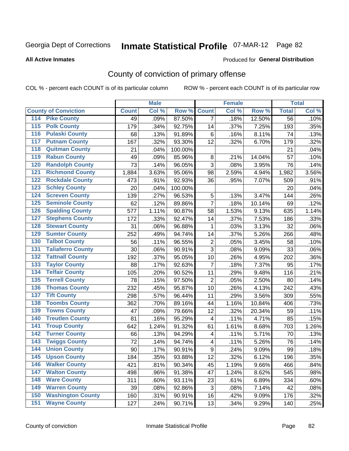#### **All Active Inmates**

#### Produced for **General Distribution**

## County of conviction of primary offense

|                                          |              | <b>Male</b> |         |                  | <b>Female</b> |        |                 | <b>Total</b> |
|------------------------------------------|--------------|-------------|---------|------------------|---------------|--------|-----------------|--------------|
| <b>County of Conviction</b>              | <b>Count</b> | Col %       | Row %   | <b>Count</b>     | Col %         | Row %  | <b>Total</b>    | Col %        |
| <b>Pike County</b><br>114                | 49           | .09%        | 87.50%  | $\overline{7}$   | .18%          | 12.50% | $\overline{56}$ | .10%         |
| <b>Polk County</b><br>$\overline{115}$   | 179          | .34%        | 92.75%  | 14               | .37%          | 7.25%  | 193             | .35%         |
| <b>Pulaski County</b><br>116             | 68           | .13%        | 91.89%  | 6                | .16%          | 8.11%  | 74              | .13%         |
| <b>Putnam County</b><br>117              | 167          | .32%        | 93.30%  | 12               | .32%          | 6.70%  | 179             | .32%         |
| <b>Quitman County</b><br>118             | 21           | .04%        | 100.00% |                  |               |        | 21              | .04%         |
| <b>Rabun County</b><br>119               | 49           | .09%        | 85.96%  | 8                | .21%          | 14.04% | 57              | .10%         |
| <b>Randolph County</b><br>120            | 73           | .14%        | 96.05%  | 3                | .08%          | 3.95%  | 76              | .14%         |
| <b>Richmond County</b><br>121            | 1,884        | 3.63%       | 95.06%  | 98               | 2.59%         | 4.94%  | 1,982           | 3.56%        |
| <b>Rockdale County</b><br>122            | 473          | .91%        | 92.93%  | 36               | .95%          | 7.07%  | 509             | .91%         |
| <b>Schley County</b><br>123              | 20           | .04%        | 100.00% |                  |               |        | 20              | .04%         |
| <b>Screven County</b><br>124             | 139          | .27%        | 96.53%  | 5                | .13%          | 3.47%  | 144             | .26%         |
| <b>Seminole County</b><br>125            | 62           | .12%        | 89.86%  | $\overline{7}$   | .18%          | 10.14% | 69              | .12%         |
| <b>Spalding County</b><br>126            | 577          | 1.11%       | 90.87%  | 58               | 1.53%         | 9.13%  | 635             | 1.14%        |
| <b>Stephens County</b><br>127            | 172          | .33%        | 92.47%  | 14               | .37%          | 7.53%  | 186             | .33%         |
| <b>Stewart County</b><br>128             | 31           | .06%        | 96.88%  | 1                | .03%          | 3.13%  | 32              | .06%         |
| <b>Sumter County</b><br>129              | 252          | .49%        | 94.74%  | 14               | .37%          | 5.26%  | 266             | .48%         |
| <b>Talbot County</b><br>130              | 56           | .11%        | 96.55%  | $\overline{2}$   | .05%          | 3.45%  | 58              | .10%         |
| <b>Taliaferro County</b><br>131          | 30           | .06%        | 90.91%  | $\overline{3}$   | .08%          | 9.09%  | 33              | .06%         |
| <b>Tattnall County</b><br>132            | 192          | .37%        | 95.05%  | 10               | .26%          | 4.95%  | 202             | .36%         |
| <b>Taylor County</b><br>133              | 88           | .17%        | 92.63%  | $\overline{7}$   | .18%          | 7.37%  | 95              | .17%         |
| <b>Telfair County</b><br>134             | 105          | .20%        | 90.52%  | 11               | .29%          | 9.48%  | 116             | .21%         |
| <b>Terrell County</b><br>135             | 78           | .15%        | 97.50%  | $\overline{2}$   | .05%          | 2.50%  | 80              | .14%         |
| <b>Thomas County</b><br>136              | 232          | .45%        | 95.87%  | 10               | .26%          | 4.13%  | 242             | .43%         |
| <b>Tift County</b><br>137                | 298          | .57%        | 96.44%  | 11               | .29%          | 3.56%  | 309             | .55%         |
| <b>Toombs County</b><br>138              | 362          | .70%        | 89.16%  | 44               | 1.16%         | 10.84% | 406             | .73%         |
| <b>Towns County</b><br>139               | 47           | .09%        | 79.66%  | 12               | .32%          | 20.34% | 59              | .11%         |
| <b>Treutlen County</b><br>140            | 81           | .16%        | 95.29%  | 4                | .11%          | 4.71%  | 85              | .15%         |
| <b>Troup County</b><br>141               | 642          | 1.24%       | 91.32%  | 61               | 1.61%         | 8.68%  | 703             | 1.26%        |
| <b>Turner County</b><br>142              | 66           | .13%        | 94.29%  | 4                | .11%          | 5.71%  | 70              | .13%         |
| <b>Twiggs County</b><br>$\overline{143}$ | 72           | .14%        | 94.74%  | 4                | .11%          | 5.26%  | 76              | .14%         |
| <b>Union County</b><br>144               | 90           | .17%        | 90.91%  | $\boldsymbol{9}$ | .24%          | 9.09%  | 99              | .18%         |
| 145<br><b>Upson County</b>               | 184          | .35%        | 93.88%  | 12               | .32%          | 6.12%  | 196             | .35%         |
| <b>Walker County</b><br>146              | 421          | .81%        | 90.34%  | 45               | 1.19%         | 9.66%  | 466             | .84%         |
| <b>Walton County</b><br>147              | 498          | .96%        | 91.38%  | 47               | 1.24%         | 8.62%  | 545             | .98%         |
| <b>Ware County</b><br>148                | 311          | .60%        | 93.11%  | 23               | .61%          | 6.89%  | 334             | .60%         |
| <b>Warren County</b><br>149              | 39           | .08%        | 92.86%  | 3                | .08%          | 7.14%  | 42              | .08%         |
| <b>Washington County</b><br>150          | 160          | .31%        | 90.91%  | 16               | .42%          | 9.09%  | 176             | .32%         |
| <b>Wayne County</b><br>151               | 127          | .24%        | 90.71%  | 13               | .34%          | 9.29%  | 140             | .25%         |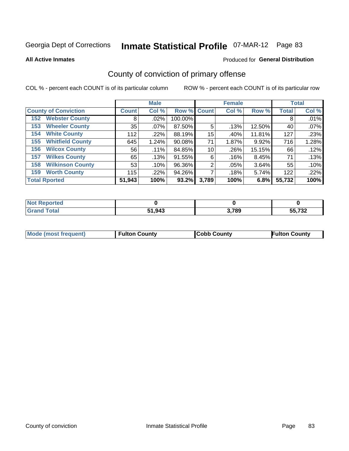**All Active Inmates**

#### Produced for **General Distribution**

## County of conviction of primary offense

|                                |              | <b>Male</b> |             |       | <b>Female</b> |        |              | <b>Total</b> |
|--------------------------------|--------------|-------------|-------------|-------|---------------|--------|--------------|--------------|
| <b>County of Conviction</b>    | <b>Count</b> | Col %       | Row % Count |       | Col %         | Row %  | <b>Total</b> | Col %        |
| <b>Webster County</b><br>152   | 8            | $.02\%$     | 100.00%     |       |               |        | 8            | .01%         |
| <b>Wheeler County</b><br>153   | 35           | .07%        | 87.50%      | 5     | .13%          | 12.50% | 40           | .07%         |
| <b>White County</b><br>154     | 112          | .22%        | 88.19%      | 15    | .40%          | 11.81% | 127          | .23%         |
| <b>Whitfield County</b><br>155 | 645          | 1.24%       | $90.08\%$   | 71    | 1.87%         | 9.92%  | 716          | 1.28%        |
| <b>Wilcox County</b><br>156    | 56           | .11%        | 84.85%      | 10    | .26%          | 15.15% | 66           | .12%         |
| <b>Wilkes County</b><br>157    | 65           | .13%        | 91.55%      | 6     | .16%          | 8.45%  | 71           | .13%         |
| <b>Wilkinson County</b><br>158 | 53           | .10%        | 96.36%      | 2     | $.05\%$       | 3.64%  | 55           | .10%         |
| <b>Worth County</b><br>159     | 115          | .22%        | 94.26%      |       | .18%          | 5.74%  | 122          | .22%         |
| <b>Total Rported</b>           | 51,943       | 100%        | 93.2%       | 3,789 | 100%          | 6.8%   | 55,732       | 100%         |

| <b>Not Reported</b> |        |       |                    |
|---------------------|--------|-------|--------------------|
| <b>Grand Total</b>  | 51,943 | 3,789 | $EP$ 700<br>33,732 |

| Mode (most frequent) | <b>Fulton County</b> | <b>Cobb County</b> | <b>Fulton County</b> |
|----------------------|----------------------|--------------------|----------------------|
|                      |                      |                    |                      |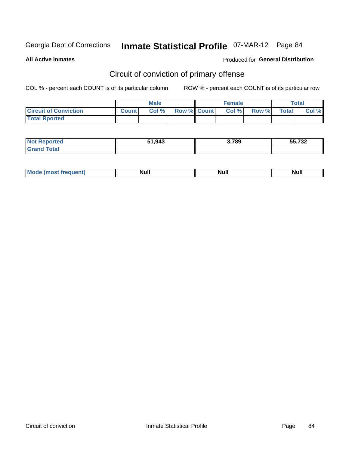**All Active Inmates**

#### Produced for **General Distribution**

## Circuit of conviction of primary offense

|                              |              | <b>Male</b> |                    | <b>Female</b> |       |              | Total |
|------------------------------|--------------|-------------|--------------------|---------------|-------|--------------|-------|
| <b>Circuit of Conviction</b> | <b>Count</b> | Col%        | <b>Row % Count</b> | Col %         | Row % | <b>Total</b> | Col % |
| <b>Total Rported</b>         |              |             |                    |               |       |              |       |

| neo<br><b>NOT</b>     | 51,943 | 3,789 | EE 700<br>7 J Z |
|-----------------------|--------|-------|-----------------|
| <b>Total</b><br>r e e |        |       |                 |

| <b>Mode</b><br>Most frequent) ( | <b>Null</b> | <b>Nul</b> | Nul. |
|---------------------------------|-------------|------------|------|
|---------------------------------|-------------|------------|------|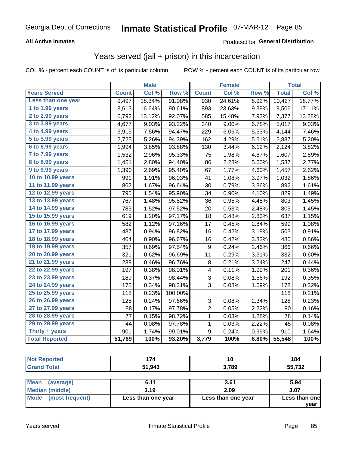### **All Active Inmates**

#### Produced for **General Distribution**

### Years served (jail + prison) in this incarceration

COL % - percent each COUNT is of its particular column ROW % - percent each COUNT is of its particular row

|                        |              | <b>Male</b> |         |                  | <b>Female</b> |                  |              | <b>Total</b> |
|------------------------|--------------|-------------|---------|------------------|---------------|------------------|--------------|--------------|
| <b>Years Served</b>    | <b>Count</b> | Col %       | Row %   | <b>Count</b>     | Col %         | Row <sup>%</sup> | <b>Total</b> | Col %        |
| Less than one year     | 9,497        | 18.34%      | 91.08%  | 930              | 24.61%        | 8.92%            | 10,427       | 18.77%       |
| 1 to 1.99 years        | 8,613        | 16.64%      | 90.61%  | 893              | 23.63%        | 9.39%            | 9,506        | 17.11%       |
| 2 to 2.99 years        | 6,792        | 13.12%      | 92.07%  | 585              | 15.48%        | 7.93%            | 7,377        | 13.28%       |
| 3 to 3.99 years        | 4,677        | 9.03%       | 93.22%  | 340              | 9.00%         | 6.78%            | 5,017        | 9.03%        |
| 4 to 4.99 years        | 3,915        | 7.56%       | 94.47%  | 229              | 6.06%         | 5.53%            | 4,144        | 7.46%        |
| 5 to 5.99 years        | 2,725        | 5.26%       | 94.39%  | 162              | 4.29%         | 5.61%            | 2,887        | 5.20%        |
| 6 to 6.99 years        | 1,994        | 3.85%       | 93.88%  | 130              | 3.44%         | 6.12%            | 2,124        | 3.82%        |
| 7 to 7.99 years        | 1,532        | 2.96%       | 95.33%  | 75               | 1.98%         | 4.67%            | 1,607        | 2.89%        |
| <b>8 to 8.99 years</b> | 1,451        | 2.80%       | 94.40%  | 86               | 2.28%         | 5.60%            | 1,537        | 2.77%        |
| 9 to 9.99 years        | 1,390        | 2.69%       | 95.40%  | 67               | 1.77%         | 4.60%            | 1,457        | 2.62%        |
| 10 to 10.99 years      | 991          | 1.91%       | 96.03%  | 41               | 1.08%         | 3.97%            | 1,032        | 1.86%        |
| 11 to 11.99 years      | 862          | 1.67%       | 96.64%  | 30               | 0.79%         | 3.36%            | 892          | 1.61%        |
| 12 to 12.99 years      | 795          | 1.54%       | 95.90%  | 34               | 0.90%         | 4.10%            | 829          | 1.49%        |
| 13 to 13.99 years      | 767          | 1.48%       | 95.52%  | 36               | 0.95%         | 4.48%            | 803          | 1.45%        |
| 14 to 14.99 years      | 785          | 1.52%       | 97.52%  | 20               | 0.53%         | 2.48%            | 805          | 1.45%        |
| 15 to 15.99 years      | 619          | 1.20%       | 97.17%  | 18               | 0.48%         | 2.83%            | 637          | 1.15%        |
| 16 to 16.99 years      | 582          | 1.12%       | 97.16%  | 17               | 0.45%         | 2.84%            | 599          | 1.08%        |
| 17 to 17.99 years      | 487          | 0.94%       | 96.82%  | 16               | 0.42%         | 3.18%            | 503          | 0.91%        |
| 18 to 18.99 years      | 464          | 0.90%       | 96.67%  | 16               | 0.42%         | 3.33%            | 480          | 0.86%        |
| 19 to 19.99 years      | 357          | 0.69%       | 97.54%  | 9                | 0.24%         | 2.46%            | 366          | 0.66%        |
| 20 to 20.99 years      | 321          | 0.62%       | 96.69%  | 11               | 0.29%         | 3.31%            | 332          | 0.60%        |
| 21 to 21.99 years      | 239          | 0.46%       | 96.76%  | 8                | 0.21%         | 3.24%            | 247          | 0.44%        |
| 22 to 22.99 years      | 197          | 0.38%       | 98.01%  | 4                | 0.11%         | 1.99%            | 201          | 0.36%        |
| 23 to 23.99 years      | 189          | 0.37%       | 98.44%  | 3                | 0.08%         | 1.56%            | 192          | 0.35%        |
| 24 to 24.99 years      | 175          | 0.34%       | 98.31%  | 3                | 0.08%         | 1.69%            | 178          | 0.32%        |
| 25 to 25.99 years      | 118          | 0.23%       | 100.00% |                  |               |                  | 118          | 0.21%        |
| 26 to 26.99 years      | 125          | 0.24%       | 97.66%  | 3                | 0.08%         | 2.34%            | 128          | 0.23%        |
| 27 to 27.99 years      | 88           | 0.17%       | 97.78%  | $\overline{2}$   | 0.05%         | 2.22%            | 90           | 0.16%        |
| 28 to 28.99 years      | 77           | 0.15%       | 98.72%  | $\mathbf 1$      | 0.03%         | 1.28%            | 78           | 0.14%        |
| 29 to 29.99 years      | 44           | 0.08%       | 97.78%  | $\mathbf 1$      | 0.03%         | 2.22%            | 45           | 0.08%        |
| Thirty + years         | 901          | 1.74%       | 99.01%  | $\boldsymbol{9}$ | 0.24%         | 0.99%            | 910          | 1.64%        |
| <b>Total Reported</b>  | 51,769       | 100%        | 93.20%  | 3,779            | 100%          | 6.80%            | 55,548       | 100%         |

| <b>Not Reported</b>     | 174                | 10                 |               |  |  |
|-------------------------|--------------------|--------------------|---------------|--|--|
| <b>Grand Total</b>      | 51,943             | 3.789              |               |  |  |
|                         |                    |                    |               |  |  |
| Mean<br>(average)       | 6.11               | 3.61               | 5.94          |  |  |
| <b>Median (middle)</b>  | 3.19               | 2.09               | 3.07          |  |  |
| Mode<br>(most frequent) | Less than one year | Less than one year | Less than one |  |  |

**year**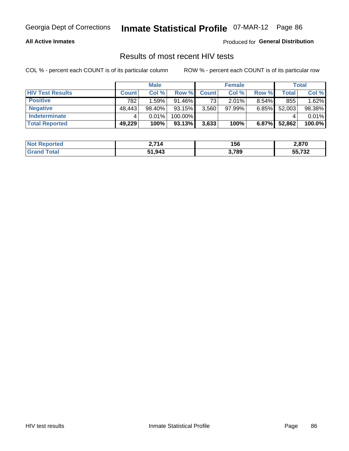#### **All Active Inmates**

Produced for **General Distribution**

### Results of most recent HIV tests

|                         |              | <b>Male</b> |           |                 | <b>Female</b> |          |        | <b>Total</b> |
|-------------------------|--------------|-------------|-----------|-----------------|---------------|----------|--------|--------------|
| <b>HIV Test Results</b> | <b>Count</b> | Col %       | Row %I    | <b>Count</b>    | Col %         | Row %    | Total  | Col %        |
| <b>Positive</b>         | 782          | 1.59%       | $91.46\%$ | 73 <sub>1</sub> | $2.01\%$      | $8.54\%$ | 855    | 1.62%        |
| <b>Negative</b>         | 48,443       | 98.40%      | 93.15%    | 3,560           | $97.99\%$     | 6.85%    | 52,003 | 98.38%       |
| <b>Indeterminate</b>    |              | 0.01%       | 100.00%   |                 |               |          |        | 0.01%        |
| <b>Total Reported</b>   | 49,229       | 100%        | 93.13%    | 3,633           | 100%          | $6.87\%$ | 52,862 | 100.0%       |

| <b>Not Reported</b> | ?.714  | 156   | 2,870  |
|---------------------|--------|-------|--------|
| Total<br>Gran       | 51,943 | 3,789 | 55,732 |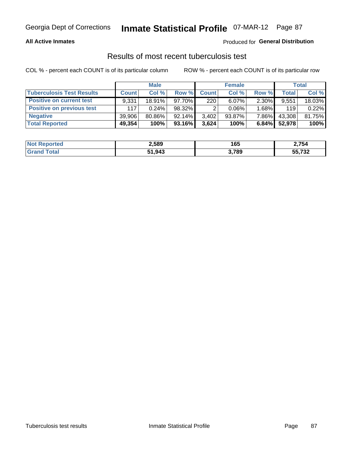#### **All Active Inmates**

#### Produced for **General Distribution**

### Results of most recent tuberculosis test

|                                  |              | <b>Male</b> |           |              | <b>Female</b> |          |              | Total  |
|----------------------------------|--------------|-------------|-----------|--------------|---------------|----------|--------------|--------|
| <b>Tuberculosis Test Results</b> | <b>Count</b> | Col %       | Row %     | <b>Count</b> | Col %         | Row %    | <b>Total</b> | Col %  |
| <b>Positive on current test</b>  | 9,331        | 18.91%      | 97.70%    | 220          | $6.07\%$      | $2.30\%$ | 9,551        | 18.03% |
| <b>Positive on previous test</b> | 117          | 0.24%       | 98.32%    |              | $0.06\%$      | 1.68%    | 119          | 0.22%  |
| <b>Negative</b>                  | 39.906       | 80.86%      | $92.14\%$ | 3,402        | $93.87\%$     | 7.86%    | 43,308       | 81.75% |
| <b>Total Reported</b>            | 49,354       | 100%        | 93.16%    | 3,624        | 100%          | $6.84\%$ | 52,978       | 100%   |

| <b>Not Reported</b> | 2,589  | 165   | 2,754  |
|---------------------|--------|-------|--------|
| Total<br>Gran       | 51,943 | 3,789 | 55,732 |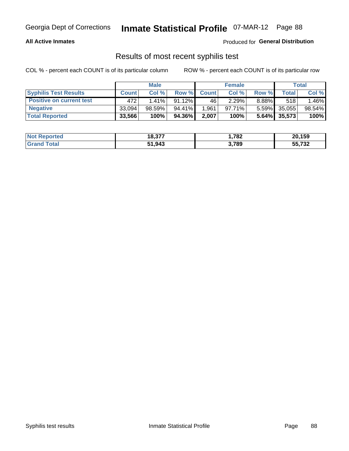#### **All Active Inmates**

Produced for **General Distribution**

### Results of most recent syphilis test

|                                 | <b>Male</b>  |          |           | <b>Female</b> |        |          | Total           |        |
|---------------------------------|--------------|----------|-----------|---------------|--------|----------|-----------------|--------|
| <b>Syphilis Test Results</b>    | <b>Count</b> | Col%     | Row %     | <b>Count</b>  | Col %  | Row %    | Total I         | Col %  |
| <b>Positive on current test</b> | 472          | $1.41\%$ | $91.12\%$ | 46            | 2.29%  | $8.88\%$ | 518             | .46%   |
| <b>Negative</b>                 | 33.094       | 98.59%   | 94.41%    | .961          | 97.71% | $5.59\%$ | 35,055          | 98.54% |
| <b>Total Reported</b>           | 33,566       | 100%     | 94.36%    | 2,007         | 100%   |          | $5.64\%$ 35,573 | 100%   |

| <b>Not Reported</b> | 18,377 | 782. ا | 20,159              |
|---------------------|--------|--------|---------------------|
| <b>Grand Total</b>  | 51,943 | 3,789  | $F = 700$<br>33.732 |